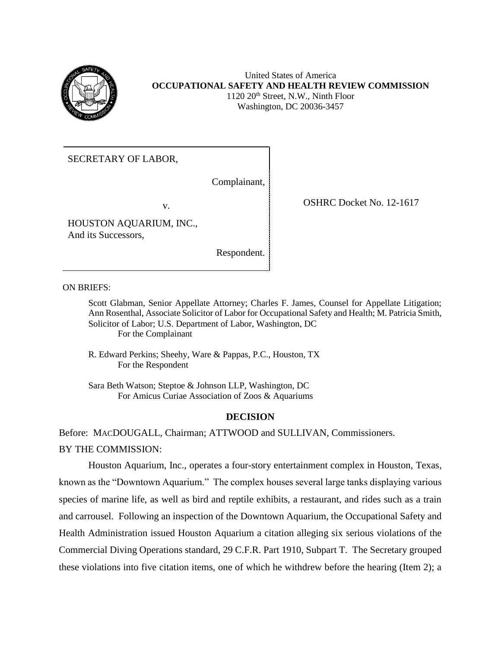

### United States of America **OCCUPATIONAL SAFETY AND HEALTH REVIEW COMMISSION** 1120 20<sup>th</sup> Street, N.W., Ninth Floor Washington, DC 20036-3457

SECRETARY OF LABOR,

Complainant,

HOUSTON AQUARIUM, INC., And its Successors,

Respondent.

v. COSHRC Docket No. 12-1617

ON BRIEFS:

Scott Glabman, Senior Appellate Attorney; Charles F. James, Counsel for Appellate Litigation; Ann Rosenthal, Associate Solicitor of Labor for Occupational Safety and Health; M. Patricia Smith, Solicitor of Labor; U.S. Department of Labor, Washington, DC For the Complainant

R. Edward Perkins; Sheehy, Ware & Pappas, P.C., Houston, TX For the Respondent

Sara Beth Watson; Steptoe & Johnson LLP, Washington, DC For Amicus Curiae Association of Zoos & Aquariums

# **DECISION**

Before: MACDOUGALL, Chairman; ATTWOOD and SULLIVAN, Commissioners. BY THE COMMISSION:

Houston Aquarium, Inc., operates a four-story entertainment complex in Houston, Texas, known as the "Downtown Aquarium." The complex houses several large tanks displaying various species of marine life, as well as bird and reptile exhibits, a restaurant, and rides such as a train and carrousel. Following an inspection of the Downtown Aquarium, the Occupational Safety and Health Administration issued Houston Aquarium a citation alleging six serious violations of the Commercial Diving Operations standard, 29 C.F.R. Part 1910, Subpart T. The Secretary grouped these violations into five citation items, one of which he withdrew before the hearing (Item 2); a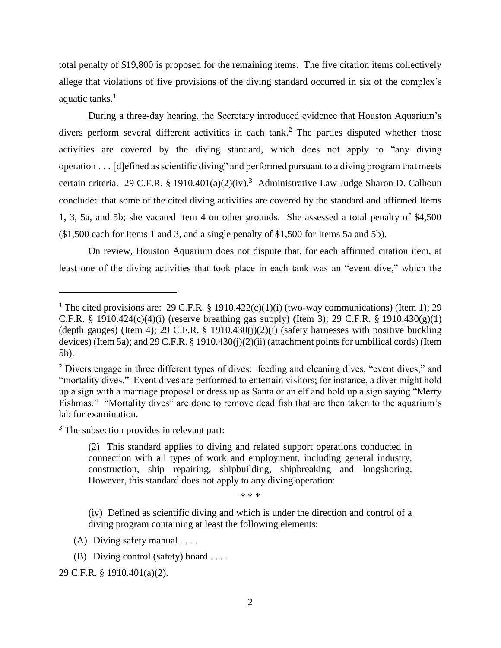total penalty of \$19,800 is proposed for the remaining items. The five citation items collectively allege that violations of five provisions of the diving standard occurred in six of the complex's aquatic tanks.<sup>1</sup>

During a three-day hearing, the Secretary introduced evidence that Houston Aquarium's divers perform several different activities in each tank.<sup>2</sup> The parties disputed whether those activities are covered by the diving standard, which does not apply to "any diving operation . . . [d]efined as scientific diving" and performed pursuant to a diving program that meets certain criteria. 29 C.F.R. § 1910.401(a)(2)(iv).<sup>3</sup> Administrative Law Judge Sharon D. Calhoun concluded that some of the cited diving activities are covered by the standard and affirmed Items 1, 3, 5a, and 5b; she vacated Item 4 on other grounds. She assessed a total penalty of \$4,500 (\$1,500 each for Items 1 and 3, and a single penalty of \$1,500 for Items 5a and 5b).

On review, Houston Aquarium does not dispute that, for each affirmed citation item, at least one of the diving activities that took place in each tank was an "event dive," which the

<sup>3</sup> The subsection provides in relevant part:

 $\overline{\phantom{a}}$ 

\* \* \*

(iv) Defined as scientific diving and which is under the direction and control of a diving program containing at least the following elements:

<sup>&</sup>lt;sup>1</sup> The cited provisions are: 29 C.F.R. § 1910.422(c)(1)(i) (two-way communications) (Item 1); 29 C.F.R. § 1910.424(c)(4)(i) (reserve breathing gas supply) (Item 3); 29 C.F.R. § 1910.430(g)(1) (depth gauges) (Item 4); 29 C.F.R. § 1910.430(j)(2)(i) (safety harnesses with positive buckling devices) (Item 5a); and 29 C.F.R. § 1910.430(j)(2)(ii) (attachment points for umbilical cords) (Item 5b).

<sup>&</sup>lt;sup>2</sup> Divers engage in three different types of dives: feeding and cleaning dives, "event dives," and "mortality dives." Event dives are performed to entertain visitors; for instance, a diver might hold up a sign with a marriage proposal or dress up as Santa or an elf and hold up a sign saying "Merry Fishmas." "Mortality dives" are done to remove dead fish that are then taken to the aquarium's lab for examination.

<sup>(2)</sup> This standard applies to diving and related support operations conducted in connection with all types of work and employment, including general industry, construction, ship repairing, shipbuilding, shipbreaking and longshoring. However, this standard does not apply to any diving operation:

<sup>(</sup>A) Diving safety manual . . . .

<sup>(</sup>B) Diving control (safety) board . . . .

<sup>29</sup> C.F.R. § 1910.401(a)(2).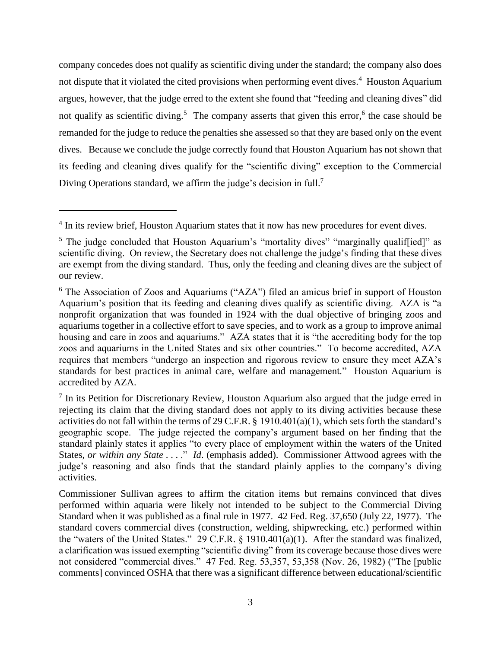company concedes does not qualify as scientific diving under the standard; the company also does not dispute that it violated the cited provisions when performing event dives.<sup>4</sup> Houston Aquarium argues, however, that the judge erred to the extent she found that "feeding and cleaning dives" did not qualify as scientific diving.<sup>5</sup> The company asserts that given this error,<sup>6</sup> the case should be remanded for the judge to reduce the penalties she assessed so that they are based only on the event dives. Because we conclude the judge correctly found that Houston Aquarium has not shown that its feeding and cleaning dives qualify for the "scientific diving" exception to the Commercial Diving Operations standard, we affirm the judge's decision in full.<sup>7</sup>

<sup>&</sup>lt;sup>4</sup> In its review brief, Houston Aquarium states that it now has new procedures for event dives.

<sup>&</sup>lt;sup>5</sup> The judge concluded that Houston Aquarium's "mortality dives" "marginally qualif[ied]" as scientific diving. On review, the Secretary does not challenge the judge's finding that these dives are exempt from the diving standard. Thus, only the feeding and cleaning dives are the subject of our review.

<sup>6</sup> The Association of Zoos and Aquariums ("AZA") filed an amicus brief in support of Houston Aquarium's position that its feeding and cleaning dives qualify as scientific diving. AZA is "a nonprofit organization that was founded in 1924 with the dual objective of bringing zoos and aquariums together in a collective effort to save species, and to work as a group to improve animal housing and care in zoos and aquariums." AZA states that it is "the accrediting body for the top zoos and aquariums in the United States and six other countries." To become accredited, AZA requires that members "undergo an inspection and rigorous review to ensure they meet AZA's standards for best practices in animal care, welfare and management." Houston Aquarium is accredited by AZA.

<sup>&</sup>lt;sup>7</sup> In its Petition for Discretionary Review, Houston Aquarium also argued that the judge erred in rejecting its claim that the diving standard does not apply to its diving activities because these activities do not fall within the terms of 29 C.F.R. § 1910.401(a)(1), which sets forth the standard's geographic scope. The judge rejected the company's argument based on her finding that the standard plainly states it applies "to every place of employment within the waters of the United States, *or within any State* . . . ." *Id.* (emphasis added). Commissioner Attwood agrees with the judge's reasoning and also finds that the standard plainly applies to the company's diving activities.

Commissioner Sullivan agrees to affirm the citation items but remains convinced that dives performed within aquaria were likely not intended to be subject to the Commercial Diving Standard when it was published as a final rule in 1977. 42 Fed. Reg. 37,650 (July 22, 1977). The standard covers commercial dives (construction, welding, shipwrecking, etc.) performed within the "waters of the United States." 29 C.F.R. § 1910.401(a)(1). After the standard was finalized, a clarification was issued exempting "scientific diving" from its coverage because those dives were not considered "commercial dives." 47 Fed. Reg. 53,357, 53,358 (Nov. 26, 1982) ("The [public comments] convinced OSHA that there was a significant difference between educational/scientific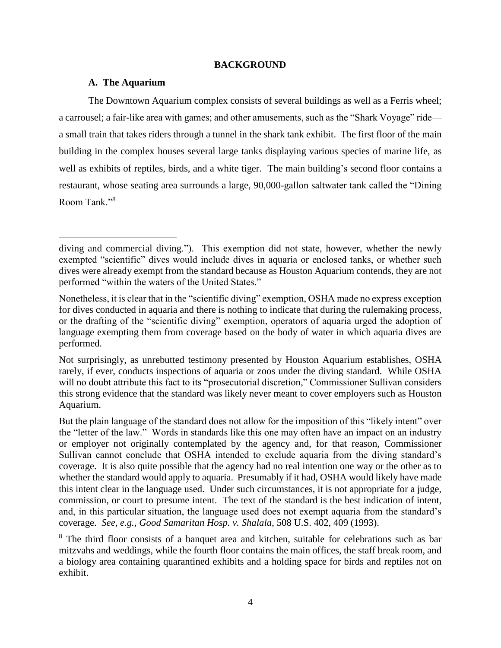### **BACKGROUND**

### **A. The Aquarium**

 $\overline{a}$ 

The Downtown Aquarium complex consists of several buildings as well as a Ferris wheel; a carrousel; a fair-like area with games; and other amusements, such as the "Shark Voyage" ride a small train that takes riders through a tunnel in the shark tank exhibit. The first floor of the main building in the complex houses several large tanks displaying various species of marine life, as well as exhibits of reptiles, birds, and a white tiger. The main building's second floor contains a restaurant, whose seating area surrounds a large, 90,000-gallon saltwater tank called the "Dining Room Tank."<sup>8</sup>

diving and commercial diving."). This exemption did not state, however, whether the newly exempted "scientific" dives would include dives in aquaria or enclosed tanks, or whether such dives were already exempt from the standard because as Houston Aquarium contends, they are not performed "within the waters of the United States."

Nonetheless, it is clear that in the "scientific diving" exemption, OSHA made no express exception for dives conducted in aquaria and there is nothing to indicate that during the rulemaking process, or the drafting of the "scientific diving" exemption, operators of aquaria urged the adoption of language exempting them from coverage based on the body of water in which aquaria dives are performed.

Not surprisingly, as unrebutted testimony presented by Houston Aquarium establishes, OSHA rarely, if ever, conducts inspections of aquaria or zoos under the diving standard. While OSHA will no doubt attribute this fact to its "prosecutorial discretion," Commissioner Sullivan considers this strong evidence that the standard was likely never meant to cover employers such as Houston Aquarium.

But the plain language of the standard does not allow for the imposition of this "likely intent" over the "letter of the law." Words in standards like this one may often have an impact on an industry or employer not originally contemplated by the agency and, for that reason, Commissioner Sullivan cannot conclude that OSHA intended to exclude aquaria from the diving standard's coverage. It is also quite possible that the agency had no real intention one way or the other as to whether the standard would apply to aquaria. Presumably if it had, OSHA would likely have made this intent clear in the language used. Under such circumstances, it is not appropriate for a judge, commission, or court to presume intent. The text of the standard is the best indication of intent, and, in this particular situation, the language used does not exempt aquaria from the standard's coverage. *See, e.g.*, *Good Samaritan Hosp. v. Shalala*, 508 U.S. 402, 409 (1993).

<sup>&</sup>lt;sup>8</sup> The third floor consists of a banquet area and kitchen, suitable for celebrations such as bar mitzvahs and weddings, while the fourth floor contains the main offices, the staff break room, and a biology area containing quarantined exhibits and a holding space for birds and reptiles not on exhibit.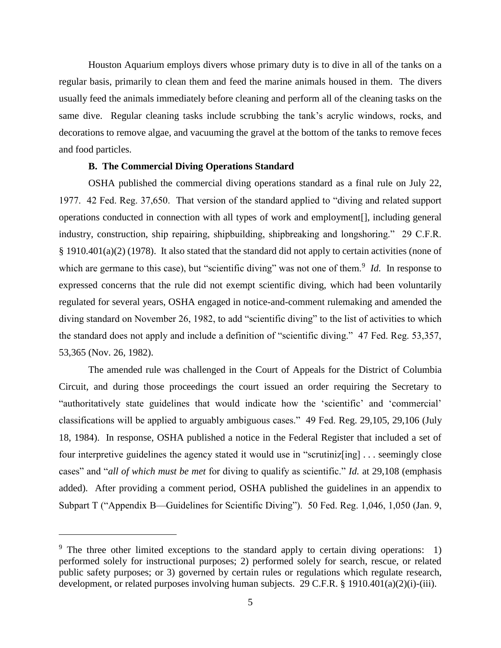Houston Aquarium employs divers whose primary duty is to dive in all of the tanks on a regular basis, primarily to clean them and feed the marine animals housed in them. The divers usually feed the animals immediately before cleaning and perform all of the cleaning tasks on the same dive. Regular cleaning tasks include scrubbing the tank's acrylic windows, rocks, and decorations to remove algae, and vacuuming the gravel at the bottom of the tanks to remove feces and food particles.

### **B. The Commercial Diving Operations Standard**

OSHA published the commercial diving operations standard as a final rule on July 22, 1977. 42 Fed. Reg. 37,650. That version of the standard applied to "diving and related support operations conducted in connection with all types of work and employment[], including general industry, construction, ship repairing, shipbuilding, shipbreaking and longshoring." 29 C.F.R. § 1910.401(a)(2) (1978). It also stated that the standard did not apply to certain activities (none of which are germane to this case), but "scientific diving" was not one of them.<sup>9</sup> *Id*. In response to expressed concerns that the rule did not exempt scientific diving, which had been voluntarily regulated for several years, OSHA engaged in notice-and-comment rulemaking and amended the diving standard on November 26, 1982, to add "scientific diving" to the list of activities to which the standard does not apply and include a definition of "scientific diving." 47 Fed. Reg. 53,357, 53,365 (Nov. 26, 1982).

The amended rule was challenged in the Court of Appeals for the District of Columbia Circuit, and during those proceedings the court issued an order requiring the Secretary to "authoritatively state guidelines that would indicate how the 'scientific' and 'commercial' classifications will be applied to arguably ambiguous cases." 49 Fed. Reg. 29,105, 29,106 (July 18, 1984). In response, OSHA published a notice in the Federal Register that included a set of four interpretive guidelines the agency stated it would use in "scrutiniz[ing] . . . seemingly close cases" and "*all of which must be met* for diving to qualify as scientific." *Id.* at 29,108 (emphasis added).After providing a comment period, OSHA published the guidelines in an appendix to Subpart T ("Appendix B—Guidelines for Scientific Diving"). 50 Fed. Reg. 1,046, 1,050 (Jan. 9,

<sup>&</sup>lt;sup>9</sup> The three other limited exceptions to the standard apply to certain diving operations: 1) performed solely for instructional purposes; 2) performed solely for search, rescue, or related public safety purposes; or 3) governed by certain rules or regulations which regulate research, development, or related purposes involving human subjects. 29 C.F.R. § 1910.401(a)(2)(i)-(iii).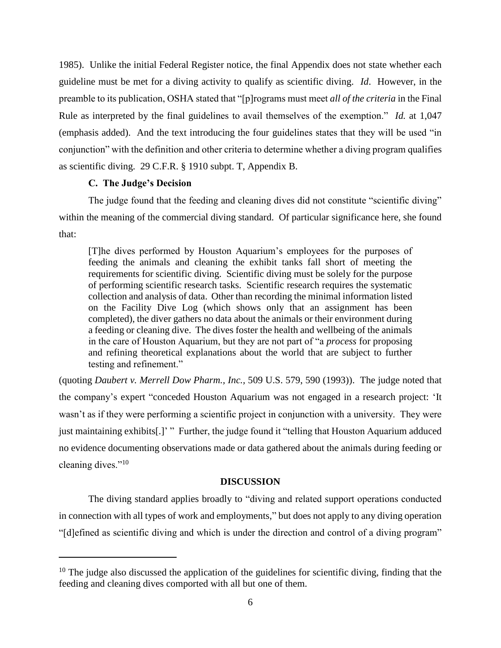1985). Unlike the initial Federal Register notice, the final Appendix does not state whether each guideline must be met for a diving activity to qualify as scientific diving. *Id*. However, in the preamble to its publication, OSHA stated that "[p]rograms must meet *all of the criteria* in the Final Rule as interpreted by the final guidelines to avail themselves of the exemption." *Id.* at 1,047 (emphasis added). And the text introducing the four guidelines states that they will be used "in conjunction" with the definition and other criteria to determine whether a diving program qualifies as scientific diving. 29 C.F.R. § 1910 subpt. T, Appendix B.

#### **C. The Judge's Decision**

 $\overline{a}$ 

The judge found that the feeding and cleaning dives did not constitute "scientific diving" within the meaning of the commercial diving standard. Of particular significance here, she found that:

[T]he dives performed by Houston Aquarium's employees for the purposes of feeding the animals and cleaning the exhibit tanks fall short of meeting the requirements for scientific diving. Scientific diving must be solely for the purpose of performing scientific research tasks. Scientific research requires the systematic collection and analysis of data. Other than recording the minimal information listed on the Facility Dive Log (which shows only that an assignment has been completed), the diver gathers no data about the animals or their environment during a feeding or cleaning dive. The dives foster the health and wellbeing of the animals in the care of Houston Aquarium, but they are not part of "a *process* for proposing and refining theoretical explanations about the world that are subject to further testing and refinement."

(quoting *Daubert v. Merrell Dow Pharm., Inc.,* 509 U.S. 579, 590 (1993)). The judge noted that the company's expert "conceded Houston Aquarium was not engaged in a research project: 'It wasn't as if they were performing a scientific project in conjunction with a university. They were just maintaining exhibits[.]' " Further, the judge found it "telling that Houston Aquarium adduced no evidence documenting observations made or data gathered about the animals during feeding or cleaning dives."<sup>10</sup>

#### **DISCUSSION**

The diving standard applies broadly to "diving and related support operations conducted in connection with all types of work and employments," but does not apply to any diving operation "[d]efined as scientific diving and which is under the direction and control of a diving program"

 $10$  The judge also discussed the application of the guidelines for scientific diving, finding that the feeding and cleaning dives comported with all but one of them.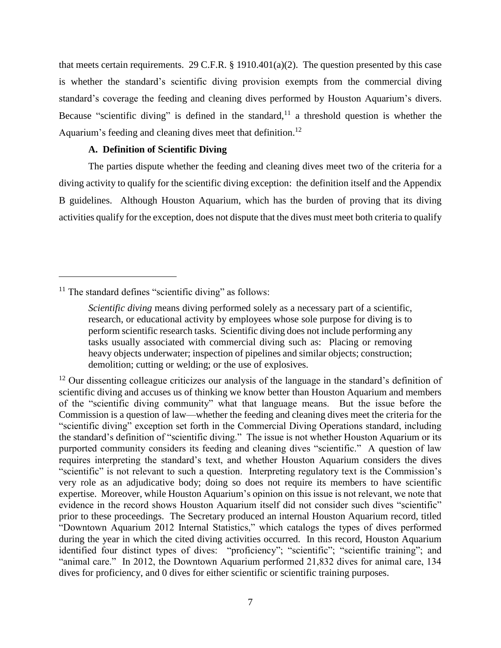that meets certain requirements. 29 C.F.R. § 1910.401(a)(2). The question presented by this case is whether the standard's scientific diving provision exempts from the commercial diving standard's coverage the feeding and cleaning dives performed by Houston Aquarium's divers. Because "scientific diving" is defined in the standard,<sup>11</sup> a threshold question is whether the Aquarium's feeding and cleaning dives meet that definition.<sup>12</sup>

# **A. Definition of Scientific Diving**

The parties dispute whether the feeding and cleaning dives meet two of the criteria for a diving activity to qualify for the scientific diving exception: the definition itself and the Appendix B guidelines. Although Houston Aquarium, which has the burden of proving that its diving activities qualify for the exception, does not dispute that the dives must meet both criteria to qualify

 $11$  The standard defines "scientific diving" as follows:

*Scientific diving* means diving performed solely as a necessary part of a scientific, research, or educational activity by employees whose sole purpose for diving is to perform scientific research tasks. Scientific diving does not include performing any tasks usually associated with commercial diving such as: Placing or removing heavy objects underwater; inspection of pipelines and similar objects; construction; demolition; cutting or welding; or the use of explosives.

 $12$  Our dissenting colleague criticizes our analysis of the language in the standard's definition of scientific diving and accuses us of thinking we know better than Houston Aquarium and members of the "scientific diving community" what that language means. But the issue before the Commission is a question of law—whether the feeding and cleaning dives meet the criteria for the "scientific diving" exception set forth in the Commercial Diving Operations standard, including the standard's definition of "scientific diving." The issue is not whether Houston Aquarium or its purported community considers its feeding and cleaning dives "scientific." A question of law requires interpreting the standard's text, and whether Houston Aquarium considers the dives "scientific" is not relevant to such a question. Interpreting regulatory text is the Commission's very role as an adjudicative body; doing so does not require its members to have scientific expertise. Moreover, while Houston Aquarium's opinion on this issue is not relevant, we note that evidence in the record shows Houston Aquarium itself did not consider such dives "scientific" prior to these proceedings. The Secretary produced an internal Houston Aquarium record, titled "Downtown Aquarium 2012 Internal Statistics," which catalogs the types of dives performed during the year in which the cited diving activities occurred. In this record, Houston Aquarium identified four distinct types of dives: "proficiency"; "scientific"; "scientific training"; and "animal care." In 2012, the Downtown Aquarium performed 21,832 dives for animal care, 134 dives for proficiency, and 0 dives for either scientific or scientific training purposes.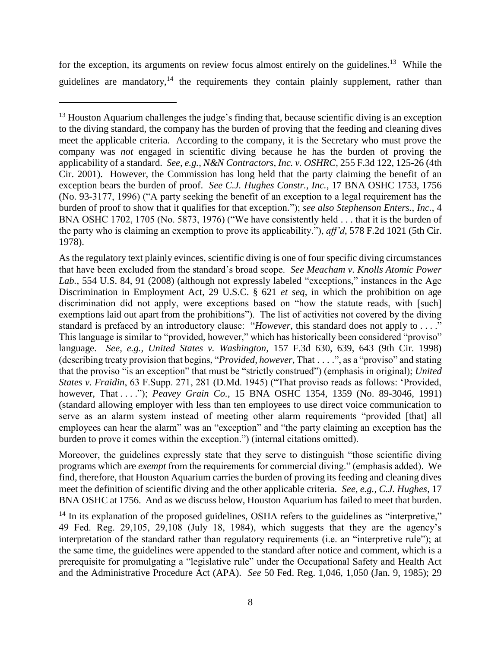for the exception, its arguments on review focus almost entirely on the guidelines.<sup>13</sup> While the guidelines are mandatory,<sup>14</sup> the requirements they contain plainly supplement, rather than

 $\overline{\phantom{a}}$ 

Moreover, the guidelines expressly state that they serve to distinguish "those scientific diving programs which are *exempt* from the requirements for commercial diving." (emphasis added). We find, therefore, that Houston Aquarium carries the burden of proving its feeding and cleaning dives meet the definition of scientific diving and the other applicable criteria. *See, e.g., C.J. Hughes*, 17 BNA OSHC at 1756. And as we discuss below, Houston Aquarium has failed to meet that burden.

 $14$  In its explanation of the proposed guidelines, OSHA refers to the guidelines as "interpretive," 49 Fed. Reg. 29,105, 29,108 (July 18, 1984), which suggests that they are the agency's interpretation of the standard rather than regulatory requirements (i.e. an "interpretive rule"); at the same time, the guidelines were appended to the standard after notice and comment, which is a prerequisite for promulgating a "legislative rule" under the Occupational Safety and Health Act and the Administrative Procedure Act (APA). *See* 50 Fed. Reg. 1,046, 1,050 (Jan. 9, 1985); 29

<sup>&</sup>lt;sup>13</sup> Houston Aquarium challenges the judge's finding that, because scientific diving is an exception to the diving standard, the company has the burden of proving that the feeding and cleaning dives meet the applicable criteria. According to the company, it is the Secretary who must prove the company was *not* engaged in scientific diving because he has the burden of proving the applicability of a standard. *See, e.g.*, *N&N Contractors, Inc. v. OSHRC*, 255 F.3d 122, 125-26 (4th Cir. 2001). However, the Commission has long held that the party claiming the benefit of an exception bears the burden of proof. *See C.J. Hughes Constr., Inc.*, 17 BNA OSHC 1753, 1756 (No. 93-3177, 1996) ("A party seeking the benefit of an exception to a legal requirement has the burden of proof to show that it qualifies for that exception."); *see also Stephenson Enters., Inc.*, 4 BNA OSHC 1702, 1705 (No. 5873, 1976) ("We have consistently held . . . that it is the burden of the party who is claiming an exemption to prove its applicability."), *aff'd*, 578 F.2d 1021 (5th Cir. 1978).

As the regulatory text plainly evinces, scientific diving is one of four specific diving circumstances that have been excluded from the standard's broad scope. *See Meacham v. Knolls Atomic Power Lab.*, 554 U.S. 84, 91 (2008) (although not expressly labeled "exceptions," instances in the Age Discrimination in Employment Act, 29 U.S.C. § 621 *et seq*, in which the prohibition on age discrimination did not apply, were exceptions based on "how the statute reads, with [such] exemptions laid out apart from the prohibitions"). The list of activities not covered by the diving standard is prefaced by an introductory clause: "*However*, this standard does not apply to . . . ." This language is similar to "provided, however," which has historically been considered "proviso" language. *See, e.g., United States v. Washington,* 157 F.3d 630, 639, 643 (9th Cir. 1998) (describing treaty provision that begins, "*Provided, however*, That . . . .", as a "proviso" and stating that the proviso "is an exception" that must be "strictly construed") (emphasis in original); *United States v. Fraidin*, 63 F.Supp. 271, 281 (D.Md. 1945) ("That proviso reads as follows: 'Provided, however, That . . . ."); *Peavey Grain Co.*, 15 BNA OSHC 1354, 1359 (No. 89-3046, 1991) (standard allowing employer with less than ten employees to use direct voice communication to serve as an alarm system instead of meeting other alarm requirements "provided [that] all employees can hear the alarm" was an "exception" and "the party claiming an exception has the burden to prove it comes within the exception.") (internal citations omitted).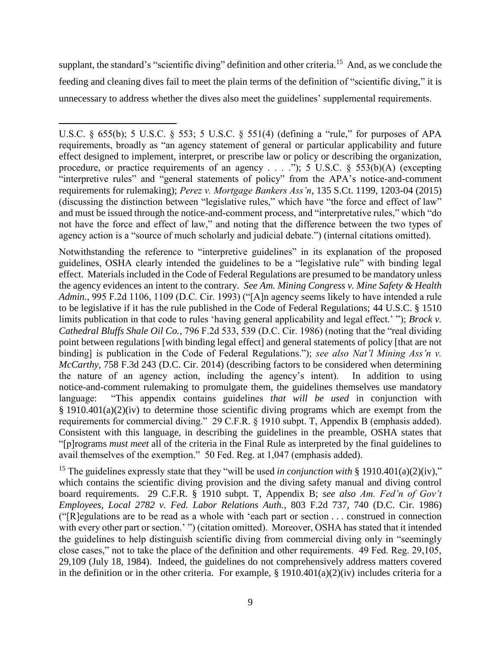supplant, the standard's "scientific diving" definition and other criteria.<sup>15</sup> And, as we conclude the feeding and cleaning dives fail to meet the plain terms of the definition of "scientific diving," it is unnecessary to address whether the dives also meet the guidelines' supplemental requirements.

l

Notwithstanding the reference to "interpretive guidelines" in its explanation of the proposed guidelines, OSHA clearly intended the guidelines to be a "legislative rule" with binding legal effect. Materials included in the Code of Federal Regulations are presumed to be mandatory unless the agency evidences an intent to the contrary. *See Am. Mining Congress v. Mine Safety & Health Admin.*, 995 F.2d 1106, 1109 (D.C. Cir. 1993) ("[A]n agency seems likely to have intended a rule to be legislative if it has the rule published in the Code of Federal Regulations; [44 U.S.C. § 1510](https://1.next.westlaw.com/Link/Document/FullText?findType=L&pubNum=1000546&cite=44USCAS1510&originatingDoc=I90c219fb969a11d9bc61beebb95be672&refType=LQ&originationContext=document&transitionType=DocumentItem&contextData=(sc.History*oc.UserEnteredCitation)) limits publication in that code to rules 'having general applicability and legal effect.' "); *Brock v. Cathedral Bluffs Shale Oil Co.*, 796 F.2d 533, 539 (D.C. Cir. 1986) (noting that the "real dividing point between regulations [with binding legal effect] and general statements of policy [that are not binding] is publication in the Code of Federal Regulations."); *see also Nat'l Mining Ass'n v. McCarthy*, 758 F.3d 243 (D.C. Cir. 2014) (describing factors to be considered when determining the nature of an agency action, including the agency's intent). In addition to using notice-and-comment rulemaking to promulgate them, the guidelines themselves use mandatory language: "This appendix contains guidelines *that will be used* in conjunction with  $§$  [1910.401\(a\)\(2\)\(iv\)](https://1.next.westlaw.com/Link/Document/FullText?findType=L&pubNum=1000547&cite=29CFRS1910.401&originatingDoc=NDDBB66608BE811D98CF4E0B65F42E6DA&refType=VB&originationContext=document&transitionType=DocumentItem&contextData=(sc.History*oc.Document)#co_pp_b9c60000a3934) to determine those scientific diving programs which are exempt from the requirements for commercial diving." 29 C.F.R. § 1910 subpt. T, Appendix B (emphasis added). Consistent with this language, in describing the guidelines in the preamble, OSHA states that "[p]rograms *must meet* all of the criteria in the Final Rule as interpreted by the final guidelines to avail themselves of the exemption." 50 Fed. Reg. at 1,047 (emphasis added).

<sup>15</sup> The guidelines expressly state that they "will be used *in conjunction with* § [1910.401\(a\)\(2\)\(iv\),](https://1.next.westlaw.com/Link/Document/FullText?findType=L&pubNum=1000547&cite=29CFRS1910.401&originatingDoc=NDDBB66608BE811D98CF4E0B65F42E6DA&refType=VB&originationContext=document&transitionType=DocumentItem&contextData=(sc.History*oc.Document)#co_pp_b9c60000a3934)" which contains the scientific diving provision and the diving safety manual and diving control board requirements. 29 C.F.R. § 1910 subpt. T, Appendix B; *see also Am. Fed'n of Gov't Employees, Local 2782 v. Fed. Labor Relations Auth.*, 803 F.2d 737, 740 (D.C. Cir. 1986) ("[R]egulations are to be read as a whole with 'each part or section . . . construed in connection with every other part or section.' ") (citation omitted). Moreover, OSHA has stated that it intended the guidelines to help distinguish scientific diving from commercial diving only in "seemingly close cases," not to take the place of the definition and other requirements. 49 Fed. Reg. 29,105, 29,109 (July 18, 1984). Indeed, the guidelines do not comprehensively address matters covered in the definition or in the other criteria. For example,  $\S 1910.401(a)(2)(iv)$  $\S 1910.401(a)(2)(iv)$  includes criteria for a

U.S.C. § 655(b); 5 U.S.C. § 553; 5 U.S.C. § 551(4) (defining a "rule," for purposes of APA requirements, broadly as "an agency statement of general or particular applicability and future effect designed to implement, interpret, or prescribe law or policy or describing the organization, procedure, or practice requirements of an agency . . . ."); 5 U.S.C. § 553(b)(A) (excepting "interpretive rules" and "general statements of policy" from the APA's notice-and-comment requirements for rulemaking); *Perez v. Mortgage Bankers Ass'n*, 135 S.Ct. 1199, 1203-04 (2015) (discussing the distinction between "legislative rules," which have "the force and effect of law" and must be issued through the notice-and-comment process, and "interpretative rules," which "do not have the force and effect of law," and noting that the difference between the two types of agency action is a "source of much scholarly and judicial debate.") (internal citations omitted).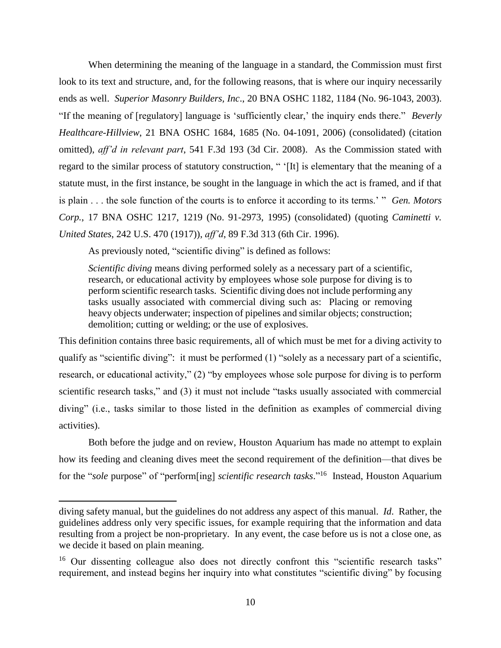When determining the meaning of the language in a standard, the Commission must first look to its text and structure, and, for the following reasons, that is where our inquiry necessarily ends as well. *Superior Masonry Builders, Inc*., 20 BNA OSHC 1182, 1184 (No. 96-1043, 2003). "If the meaning of [regulatory] language is 'sufficiently clear,' the inquiry ends there." *Beverly Healthcare-Hillview*, 21 BNA OSHC 1684, 1685 (No. 04-1091, 2006) (consolidated) (citation omitted), *aff'd in relevant part*, 541 F.3d 193 (3d Cir. 2008). As the Commission stated with regard to the similar process of statutory construction, " '[It] is elementary that the meaning of a statute must, in the first instance, be sought in the language in which the act is framed, and if that is plain . . . the sole function of the courts is to enforce it according to its terms.' " *Gen. Motors Corp.*, 17 BNA OSHC 1217, 1219 (No. 91-2973, 1995) (consolidated) (quoting *Caminetti v. United States*, 242 U.S. 470 (1917)), *aff'd*, 89 F.3d 313 (6th Cir. 1996).

As previously noted, "scientific diving" is defined as follows:

*Scientific diving* means diving performed solely as a necessary part of a scientific, research, or educational activity by employees whose sole purpose for diving is to perform scientific research tasks. Scientific diving does not include performing any tasks usually associated with commercial diving such as: Placing or removing heavy objects underwater; inspection of pipelines and similar objects; construction; demolition; cutting or welding; or the use of explosives.

This definition contains three basic requirements, all of which must be met for a diving activity to qualify as "scientific diving": it must be performed (1) "solely as a necessary part of a scientific, research, or educational activity," (2) "by employees whose sole purpose for diving is to perform scientific research tasks," and (3) it must not include "tasks usually associated with commercial diving" (i.e., tasks similar to those listed in the definition as examples of commercial diving activities).

Both before the judge and on review, Houston Aquarium has made no attempt to explain how its feeding and cleaning dives meet the second requirement of the definition—that dives be for the "*sole* purpose" of "perform[ing] *scientific research tasks*." <sup>16</sup> Instead, Houston Aquarium

diving safety manual, but the guidelines do not address any aspect of this manual. *Id*. Rather, the guidelines address only very specific issues, for example requiring that the information and data resulting from a project be non-proprietary. In any event, the case before us is not a close one, as we decide it based on plain meaning.

<sup>&</sup>lt;sup>16</sup> Our dissenting colleague also does not directly confront this "scientific research tasks" requirement, and instead begins her inquiry into what constitutes "scientific diving" by focusing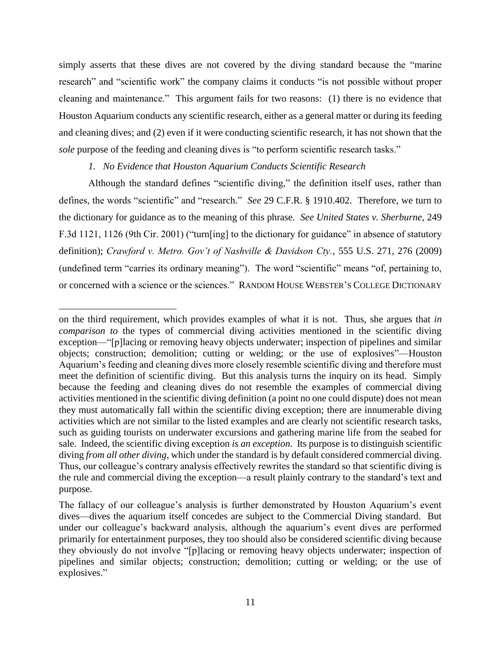simply asserts that these dives are not covered by the diving standard because the "marine research" and "scientific work" the company claims it conducts "is not possible without proper cleaning and maintenance." This argument fails for two reasons: (1) there is no evidence that Houston Aquarium conducts any scientific research, either as a general matter or during its feeding and cleaning dives; and (2) even if it were conducting scientific research, it has not shown that the *sole* purpose of the feeding and cleaning dives is "to perform scientific research tasks."

### *1. No Evidence that Houston Aquarium Conducts Scientific Research*

l

Although the standard defines "scientific diving," the definition itself uses, rather than defines, the words "scientific" and "research." *See* 29 C.F.R. § 1910.402. Therefore, we turn to the dictionary for guidance as to the meaning of this phrase. *See United States v. Sherburne*, 249 F.3d 1121, 1126 (9th Cir. 2001) ("turn[ing] to the dictionary for guidance" in absence of statutory definition); *Crawford v. Metro. Gov't of Nashville & Davidson Cty.*, 555 U.S. 271, 276 (2009) (undefined term "carries its ordinary meaning"). The word "scientific" means "of, pertaining to, or concerned with a science or the sciences." RANDOM HOUSE WEBSTER'S COLLEGE DICTIONARY

on the third requirement, which provides examples of what it is not. Thus, she argues that *in comparison to* the types of commercial diving activities mentioned in the scientific diving exception—"[p]lacing or removing heavy objects underwater; inspection of pipelines and similar objects; construction; demolition; cutting or welding; or the use of explosives"—Houston Aquarium's feeding and cleaning dives more closely resemble scientific diving and therefore must meet the definition of scientific diving. But this analysis turns the inquiry on its head. Simply because the feeding and cleaning dives do not resemble the examples of commercial diving activities mentioned in the scientific diving definition (a point no one could dispute) does not mean they must automatically fall within the scientific diving exception; there are innumerable diving activities which are not similar to the listed examples and are clearly not scientific research tasks, such as guiding tourists on underwater excursions and gathering marine life from the seabed for sale. Indeed, the scientific diving exception *is an exception*. Its purpose is to distinguish scientific diving *from all other diving*, which under the standard is by default considered commercial diving. Thus, our colleague's contrary analysis effectively rewrites the standard so that scientific diving is the rule and commercial diving the exception—a result plainly contrary to the standard's text and purpose.

The fallacy of our colleague's analysis is further demonstrated by Houston Aquarium's event dives—dives the aquarium itself concedes are subject to the Commercial Diving standard. But under our colleague's backward analysis, although the aquarium's event dives are performed primarily for entertainment purposes, they too should also be considered scientific diving because they obviously do not involve "[p]lacing or removing heavy objects underwater; inspection of pipelines and similar objects; construction; demolition; cutting or welding; or the use of explosives."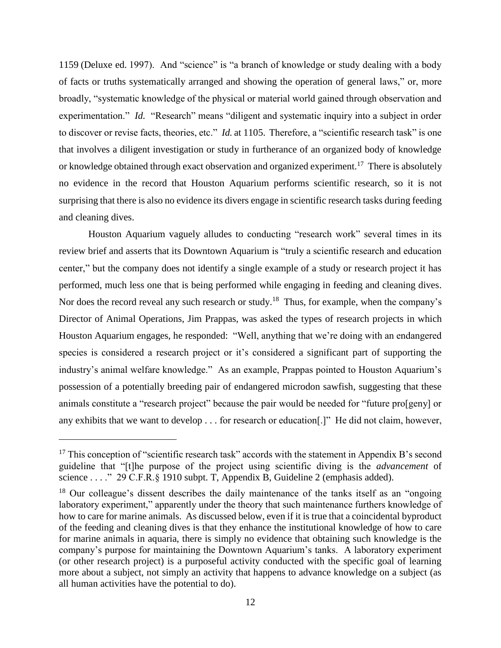1159 (Deluxe ed. 1997). And "science" is "a branch of knowledge or study dealing with a body of facts or truths systematically arranged and showing the operation of general laws," or, more broadly, "systematic knowledge of the physical or material world gained through observation and experimentation." *Id.* "Research" means "diligent and systematic inquiry into a subject in order to discover or revise facts, theories, etc." *Id.* at 1105. Therefore, a "scientific research task" is one that involves a diligent investigation or study in furtherance of an organized body of knowledge or knowledge obtained through exact observation and organized experiment.<sup>17</sup> There is absolutely no evidence in the record that Houston Aquarium performs scientific research, so it is not surprising that there is also no evidence its divers engage in scientific research tasks during feeding and cleaning dives.

Houston Aquarium vaguely alludes to conducting "research work" several times in its review brief and asserts that its Downtown Aquarium is "truly a scientific research and education center," but the company does not identify a single example of a study or research project it has performed, much less one that is being performed while engaging in feeding and cleaning dives. Nor does the record reveal any such research or study.<sup>18</sup> Thus, for example, when the company's Director of Animal Operations, Jim Prappas, was asked the types of research projects in which Houston Aquarium engages, he responded: "Well, anything that we're doing with an endangered species is considered a research project or it's considered a significant part of supporting the industry's animal welfare knowledge." As an example, Prappas pointed to Houston Aquarium's possession of a potentially breeding pair of endangered microdon sawfish, suggesting that these animals constitute a "research project" because the pair would be needed for "future pro[geny] or any exhibits that we want to develop . . . for research or education[.]" He did not claim, however,

 $\overline{a}$ 

 $17$  This conception of "scientific research task" accords with the statement in Appendix B's second guideline that "[t]he purpose of the project using scientific diving is the *advancement* of science . . . ." 29 C.F.R. § 1910 subpt. T, Appendix B, Guideline 2 (emphasis added).

 $18$  Our colleague's dissent describes the daily maintenance of the tanks itself as an "ongoing" laboratory experiment," apparently under the theory that such maintenance furthers knowledge of how to care for marine animals. As discussed below, even if it is true that a coincidental byproduct of the feeding and cleaning dives is that they enhance the institutional knowledge of how to care for marine animals in aquaria, there is simply no evidence that obtaining such knowledge is the company's purpose for maintaining the Downtown Aquarium's tanks. A laboratory experiment (or other research project) is a purposeful activity conducted with the specific goal of learning more about a subject, not simply an activity that happens to advance knowledge on a subject (as all human activities have the potential to do).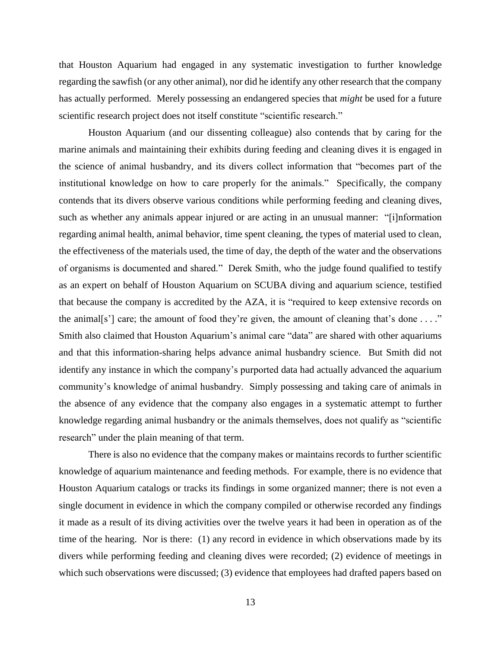that Houston Aquarium had engaged in any systematic investigation to further knowledge regarding the sawfish (or any other animal), nor did he identify any other research that the company has actually performed. Merely possessing an endangered species that *might* be used for a future scientific research project does not itself constitute "scientific research."

Houston Aquarium (and our dissenting colleague) also contends that by caring for the marine animals and maintaining their exhibits during feeding and cleaning dives it is engaged in the science of animal husbandry, and its divers collect information that "becomes part of the institutional knowledge on how to care properly for the animals." Specifically, the company contends that its divers observe various conditions while performing feeding and cleaning dives, such as whether any animals appear injured or are acting in an unusual manner: "[i]nformation regarding animal health, animal behavior, time spent cleaning, the types of material used to clean, the effectiveness of the materials used, the time of day, the depth of the water and the observations of organisms is documented and shared." Derek Smith, who the judge found qualified to testify as an expert on behalf of Houston Aquarium on SCUBA diving and aquarium science, testified that because the company is accredited by the AZA, it is "required to keep extensive records on the animal[s'] care; the amount of food they're given, the amount of cleaning that's done . . . ." Smith also claimed that Houston Aquarium's animal care "data" are shared with other aquariums and that this information-sharing helps advance animal husbandry science. But Smith did not identify any instance in which the company's purported data had actually advanced the aquarium community's knowledge of animal husbandry. Simply possessing and taking care of animals in the absence of any evidence that the company also engages in a systematic attempt to further knowledge regarding animal husbandry or the animals themselves, does not qualify as "scientific research" under the plain meaning of that term.

There is also no evidence that the company makes or maintains records to further scientific knowledge of aquarium maintenance and feeding methods. For example, there is no evidence that Houston Aquarium catalogs or tracks its findings in some organized manner; there is not even a single document in evidence in which the company compiled or otherwise recorded any findings it made as a result of its diving activities over the twelve years it had been in operation as of the time of the hearing. Nor is there: (1) any record in evidence in which observations made by its divers while performing feeding and cleaning dives were recorded; (2) evidence of meetings in which such observations were discussed; (3) evidence that employees had drafted papers based on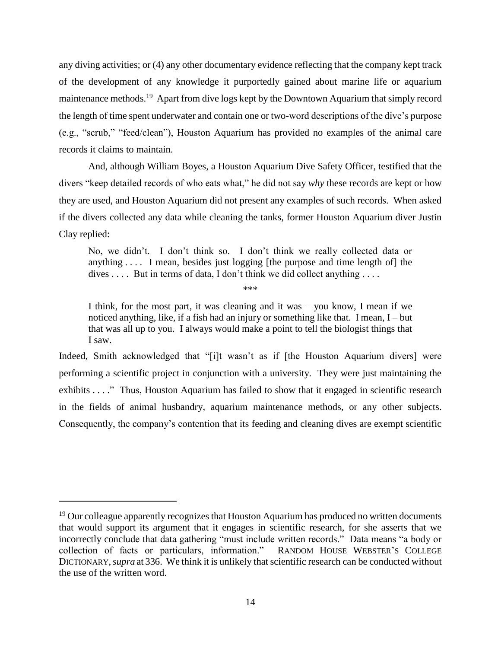any diving activities; or (4) any other documentary evidence reflecting that the company kept track of the development of any knowledge it purportedly gained about marine life or aquarium maintenance methods.<sup>19</sup> Apart from dive logs kept by the Downtown Aquarium that simply record the length of time spent underwater and contain one or two-word descriptions of the dive's purpose (e.g., "scrub," "feed/clean"), Houston Aquarium has provided no examples of the animal care records it claims to maintain.

And, although William Boyes, a Houston Aquarium Dive Safety Officer, testified that the divers "keep detailed records of who eats what," he did not say *why* these records are kept or how they are used, and Houston Aquarium did not present any examples of such records. When asked if the divers collected any data while cleaning the tanks, former Houston Aquarium diver Justin Clay replied:

No, we didn't. I don't think so. I don't think we really collected data or anything . . . . I mean, besides just logging [the purpose and time length of] the dives  $\dots$  But in terms of data, I don't think we did collect anything  $\dots$ 

\*\*\*

I think, for the most part, it was cleaning and it was – you know, I mean if we noticed anything, like, if a fish had an injury or something like that. I mean, I – but that was all up to you. I always would make a point to tell the biologist things that I saw.

Indeed, Smith acknowledged that "[i]t wasn't as if [the Houston Aquarium divers] were performing a scientific project in conjunction with a university. They were just maintaining the exhibits . . . . " Thus, Houston Aquarium has failed to show that it engaged in scientific research in the fields of animal husbandry, aquarium maintenance methods, or any other subjects. Consequently, the company's contention that its feeding and cleaning dives are exempt scientific

 $19$  Our colleague apparently recognizes that Houston Aquarium has produced no written documents that would support its argument that it engages in scientific research, for she asserts that we incorrectly conclude that data gathering "must include written records." Data means "a body or collection of facts or particulars, information." RANDOM HOUSE WEBSTER'S COLLEGE DICTIONARY,*supra* at 336. We think it is unlikely that scientific research can be conducted without the use of the written word.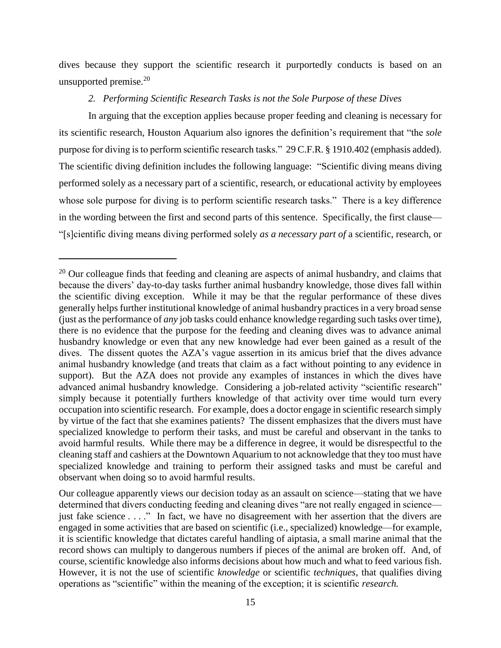dives because they support the scientific research it purportedly conducts is based on an unsupported premise.<sup>20</sup>

# *2. Performing Scientific Research Tasks is not the Sole Purpose of these Dives*

In arguing that the exception applies because proper feeding and cleaning is necessary for its scientific research, Houston Aquarium also ignores the definition's requirement that "the *sole* purpose for diving is to perform scientific research tasks." 29 C.F.R. § 1910.402 (emphasis added). The scientific diving definition includes the following language: "Scientific diving means diving performed solely as a necessary part of a scientific, research, or educational activity by employees whose sole purpose for diving is to perform scientific research tasks." There is a key difference in the wording between the first and second parts of this sentence. Specifically, the first clause— "[s]cientific diving means diving performed solely *as a necessary part of* a scientific, research, or

 $\overline{a}$ 

 $20$  Our colleague finds that feeding and cleaning are aspects of animal husbandry, and claims that because the divers' day-to-day tasks further animal husbandry knowledge, those dives fall within the scientific diving exception. While it may be that the regular performance of these dives generally helps further institutional knowledge of animal husbandry practices in a very broad sense (just as the performance of *any* job tasks could enhance knowledge regarding such tasks over time), there is no evidence that the purpose for the feeding and cleaning dives was to advance animal husbandry knowledge or even that any new knowledge had ever been gained as a result of the dives. The dissent quotes the AZA's vague assertion in its amicus brief that the dives advance animal husbandry knowledge (and treats that claim as a fact without pointing to any evidence in support). But the AZA does not provide any examples of instances in which the dives have advanced animal husbandry knowledge. Considering a job-related activity "scientific research" simply because it potentially furthers knowledge of that activity over time would turn every occupation into scientific research. For example, does a doctor engage in scientific research simply by virtue of the fact that she examines patients? The dissent emphasizes that the divers must have specialized knowledge to perform their tasks, and must be careful and observant in the tanks to avoid harmful results. While there may be a difference in degree, it would be disrespectful to the cleaning staff and cashiers at the Downtown Aquarium to not acknowledge that they too must have specialized knowledge and training to perform their assigned tasks and must be careful and observant when doing so to avoid harmful results.

Our colleague apparently views our decision today as an assault on science—stating that we have determined that divers conducting feeding and cleaning dives "are not really engaged in science just fake science . . . ." In fact, we have no disagreement with her assertion that the divers are engaged in some activities that are based on scientific (i.e., specialized) knowledge—for example, it is scientific knowledge that dictates careful handling of aiptasia, a small marine animal that the record shows can multiply to dangerous numbers if pieces of the animal are broken off. And, of course, scientific knowledge also informs decisions about how much and what to feed various fish. However, it is not the use of scientific *knowledge* or scientific *techniques*, that qualifies diving operations as "scientific" within the meaning of the exception; it is scientific *research.*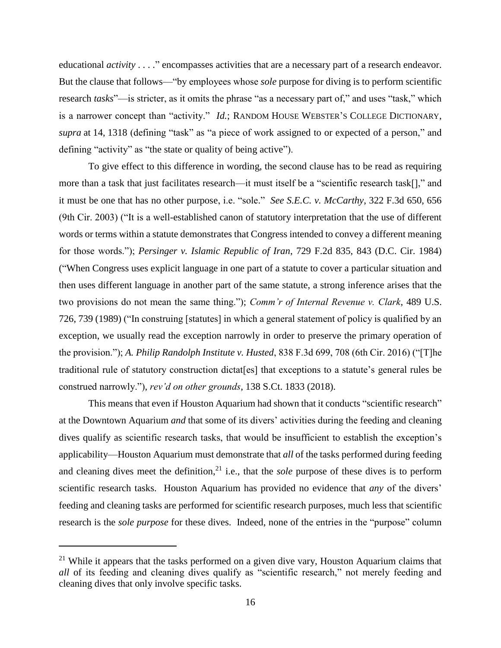educational *activity* . . . ." encompasses activities that are a necessary part of a research endeavor. But the clause that follows—"by employees whose *sole* purpose for diving is to perform scientific research *tasks*"—is stricter, as it omits the phrase "as a necessary part of," and uses "task," which is a narrower concept than "activity." *Id.*; RANDOM HOUSE WEBSTER'S COLLEGE DICTIONARY, *supra* at 14, 1318 (defining "task" as "a piece of work assigned to or expected of a person," and defining "activity" as "the state or quality of being active").

To give effect to this difference in wording, the second clause has to be read as requiring more than a task that just facilitates research—it must itself be a "scientific research task[]," and it must be one that has no other purpose, i.e. "sole." *See S.E.C. v. McCarthy*, 322 F.3d 650, 656 (9th Cir. 2003) ("It is a well-established canon of statutory interpretation that the use of different words or terms within a statute demonstrates that Congress intended to convey a different meaning for those words."); *Persinger v. Islamic Republic of Iran*, 729 F.2d 835, 843 (D.C. Cir. 1984) ("When Congress uses explicit language in one part of a statute to cover a particular situation and then uses different language in another part of the same statute, a strong inference arises that the two provisions do not mean the same thing."); *[Comm'r of Internal Revenue v. Clark](https://1.next.westlaw.com/Link/Document/FullText?findType=Y&serNum=1989042742&pubNum=0000708&originatingDoc=Ib455c22081bd11e68bf9cabfb8a03530&refType=RP&originationContext=document&transitionType=DocumentItem&contextData=(sc.UserEnteredCitation))*, 489 U.S. [726, 739 \(1989\)](https://1.next.westlaw.com/Link/Document/FullText?findType=Y&serNum=1989042742&pubNum=0000708&originatingDoc=Ib455c22081bd11e68bf9cabfb8a03530&refType=RP&originationContext=document&transitionType=DocumentItem&contextData=(sc.UserEnteredCitation)) ("In construing [statutes] in which a general statement of policy is qualified by an exception, we usually read the exception narrowly in order to preserve the primary operation of the provision."); *A. Philip Randolph Institute v. Husted*, 838 F.3d 699, 708 (6th Cir. 2016) ("[T]he traditional rule of statutory construction dictat[es] that exceptions to a statute's general rules be construed narrowly."), *rev'd on other grounds*, 138 S.Ct. 1833 (2018).

This means that even if Houston Aquarium had shown that it conducts "scientific research" at the Downtown Aquarium *and* that some of its divers' activities during the feeding and cleaning dives qualify as scientific research tasks, that would be insufficient to establish the exception's applicability—Houston Aquarium must demonstrate that *all* of the tasks performed during feeding and cleaning dives meet the definition,<sup>21</sup> i.e., that the *sole* purpose of these dives is to perform scientific research tasks. Houston Aquarium has provided no evidence that *any* of the divers' feeding and cleaning tasks are performed for scientific research purposes, much less that scientific research is the *sole purpose* for these dives. Indeed, none of the entries in the "purpose" column

l

<sup>&</sup>lt;sup>21</sup> While it appears that the tasks performed on a given dive vary, Houston Aquarium claims that *all* of its feeding and cleaning dives qualify as "scientific research," not merely feeding and cleaning dives that only involve specific tasks.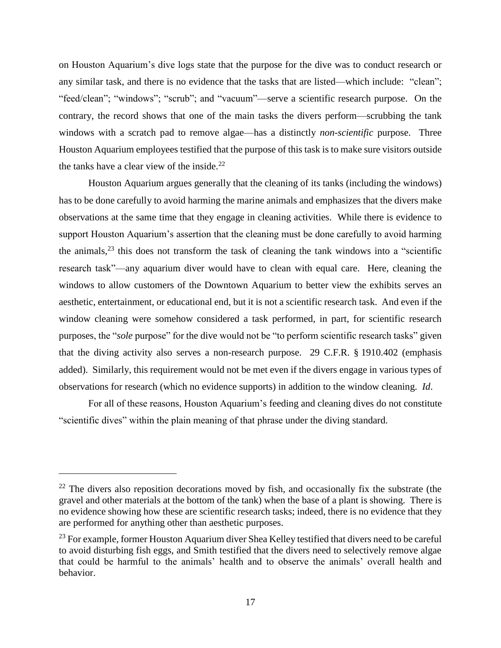on Houston Aquarium's dive logs state that the purpose for the dive was to conduct research or any similar task, and there is no evidence that the tasks that are listed—which include: "clean"; "feed/clean"; "windows"; "scrub"; and "vacuum"—serve a scientific research purpose. On the contrary, the record shows that one of the main tasks the divers perform—scrubbing the tank windows with a scratch pad to remove algae—has a distinctly *non-scientific* purpose. Three Houston Aquarium employees testified that the purpose of this task is to make sure visitors outside the tanks have a clear view of the inside. $^{22}$ 

Houston Aquarium argues generally that the cleaning of its tanks (including the windows) has to be done carefully to avoid harming the marine animals and emphasizes that the divers make observations at the same time that they engage in cleaning activities. While there is evidence to support Houston Aquarium's assertion that the cleaning must be done carefully to avoid harming the animals, <sup>23</sup> this does not transform the task of cleaning the tank windows into a "scientific research task"—any aquarium diver would have to clean with equal care. Here, cleaning the windows to allow customers of the Downtown Aquarium to better view the exhibits serves an aesthetic, entertainment, or educational end, but it is not a scientific research task. And even if the window cleaning were somehow considered a task performed, in part, for scientific research purposes, the "*sole* purpose" for the dive would not be "to perform scientific research tasks" given that the diving activity also serves a non-research purpose. 29 C.F.R. § 1910.402 (emphasis added). Similarly, this requirement would not be met even if the divers engage in various types of observations for research (which no evidence supports) in addition to the window cleaning. *Id*.

For all of these reasons, Houston Aquarium's feeding and cleaning dives do not constitute "scientific dives" within the plain meaning of that phrase under the diving standard.

l

 $22$  The divers also reposition decorations moved by fish, and occasionally fix the substrate (the gravel and other materials at the bottom of the tank) when the base of a plant is showing. There is no evidence showing how these are scientific research tasks; indeed, there is no evidence that they are performed for anything other than aesthetic purposes.

<sup>&</sup>lt;sup>23</sup> For example, former Houston Aquarium diver Shea Kelley testified that divers need to be careful to avoid disturbing fish eggs, and Smith testified that the divers need to selectively remove algae that could be harmful to the animals' health and to observe the animals' overall health and behavior.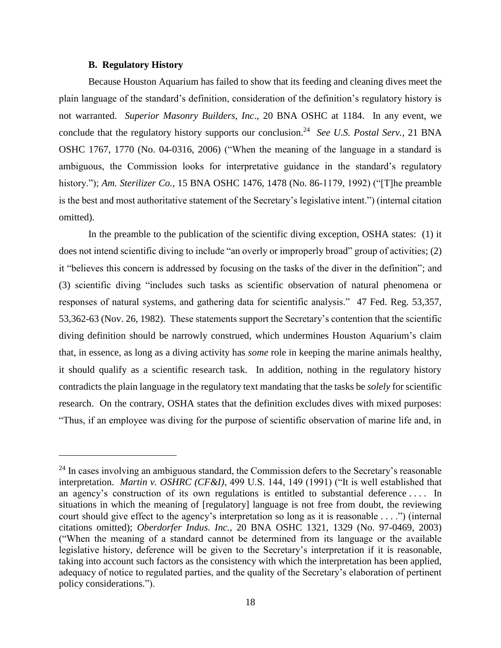### **B. Regulatory History**

 $\overline{\phantom{a}}$ 

Because Houston Aquarium has failed to show that its feeding and cleaning dives meet the plain language of the standard's definition, consideration of the definition's regulatory history is not warranted. *Superior Masonry Builders, Inc*., 20 BNA OSHC at 1184. In any event, we conclude that the regulatory history supports our conclusion. 24 *See U.S. Postal Serv.*, 21 BNA OSHC 1767, 1770 (No. 04-0316, 2006) ("When the meaning of the language in a standard is ambiguous, the Commission looks for interpretative guidance in the standard's regulatory history."); *Am. Sterilizer Co.*, 15 BNA OSHC 1476, 1478 (No. 86-1179, 1992) ("[T]he preamble is the best and most authoritative statement of the Secretary's legislative intent.") (internal citation omitted).

In the preamble to the publication of the scientific diving exception, OSHA states: (1) it does not intend scientific diving to include "an overly or improperly broad" group of activities; (2) it "believes this concern is addressed by focusing on the tasks of the diver in the definition"; and (3) scientific diving "includes such tasks as scientific observation of natural phenomena or responses of natural systems, and gathering data for scientific analysis." 47 Fed. Reg. 53,357, 53,362-63 (Nov. 26, 1982). These statements support the Secretary's contention that the scientific diving definition should be narrowly construed, which undermines Houston Aquarium's claim that, in essence, as long as a diving activity has *some* role in keeping the marine animals healthy, it should qualify as a scientific research task. In addition, nothing in the regulatory history contradicts the plain language in the regulatory text mandating that the tasks be *solely* for scientific research. On the contrary, OSHA states that the definition excludes dives with mixed purposes: "Thus, if an employee was diving for the purpose of scientific observation of marine life and, in

<sup>&</sup>lt;sup>24</sup> In cases involving an ambiguous standard, the Commission defers to the Secretary's reasonable interpretation. *Martin v. OSHRC (CF&I)*, 499 U.S. 144, 149 (1991) ("It is well established that an agency's construction of its own regulations is entitled to substantial deference . . . . In situations in which the meaning of [regulatory] language is not free from doubt, the reviewing court should give effect to the agency's interpretation so long as it is reasonable . . . .") (internal citations omitted); *Oberdorfer Indus. Inc.*, 20 BNA OSHC 1321, 1329 (No. 97-0469, 2003) ("When the meaning of a standard cannot be determined from its language or the available legislative history, deference will be given to the Secretary's interpretation if it is reasonable, taking into account such factors as the consistency with which the interpretation has been applied, adequacy of notice to regulated parties, and the quality of the Secretary's elaboration of pertinent policy considerations*.*").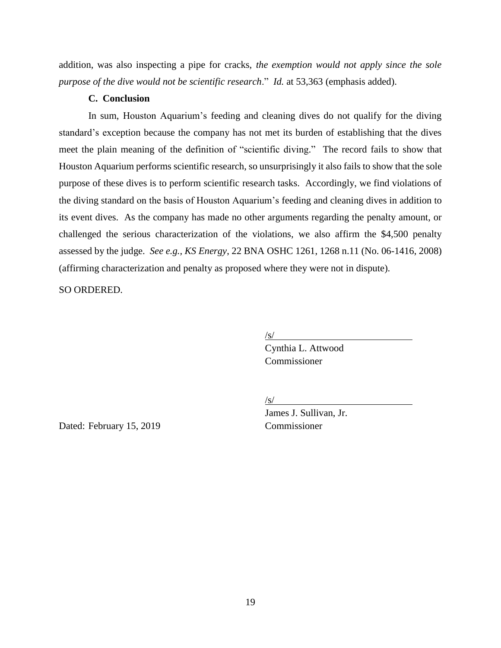addition, was also inspecting a pipe for cracks, *the exemption would not apply since the sole purpose of the dive would not be scientific research*." *Id.* at 53,363 (emphasis added).

# **C. Conclusion**

In sum, Houston Aquarium's feeding and cleaning dives do not qualify for the diving standard's exception because the company has not met its burden of establishing that the dives meet the plain meaning of the definition of "scientific diving." The record fails to show that Houston Aquarium performs scientific research, so unsurprisingly it also fails to show that the sole purpose of these dives is to perform scientific research tasks. Accordingly, we find violations of the diving standard on the basis of Houston Aquarium's feeding and cleaning dives in addition to its event dives. As the company has made no other arguments regarding the penalty amount, or challenged the serious characterization of the violations, we also affirm the \$4,500 penalty assessed by the judge. *See e.g., KS Energy*, 22 BNA OSHC 1261, 1268 n.11 (No. 06-1416, 2008) (affirming characterization and penalty as proposed where they were not in dispute).

SO ORDERED.

/s/

Cynthia L. Attwood Commissioner

/s/

James J. Sullivan, Jr.

Dated: February 15, 2019 Commissioner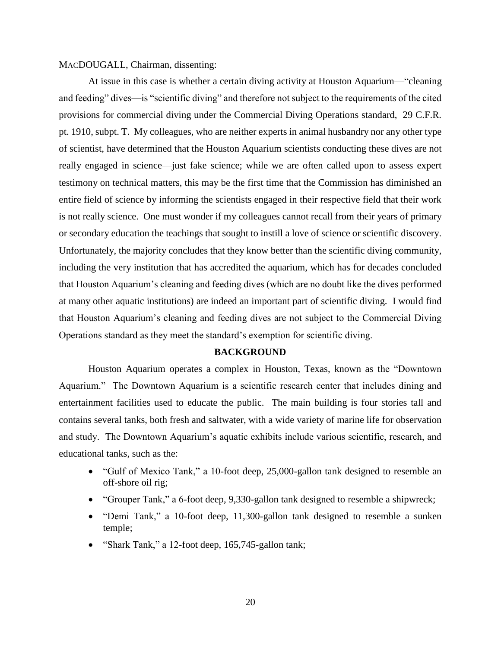### MACDOUGALL, Chairman, dissenting:

At issue in this case is whether a certain diving activity at Houston Aquarium—"cleaning and feeding" dives—is "scientific diving" and therefore not subject to the requirements of the cited provisions for commercial diving under the Commercial Diving Operations standard, 29 C.F.R. pt. 1910, subpt. T. My colleagues, who are neither experts in animal husbandry nor any other type of scientist, have determined that the Houston Aquarium scientists conducting these dives are not really engaged in science—just fake science; while we are often called upon to assess expert testimony on technical matters, this may be the first time that the Commission has diminished an entire field of science by informing the scientists engaged in their respective field that their work is not really science. One must wonder if my colleagues cannot recall from their years of primary or secondary education the teachings that sought to instill a love of science or scientific discovery. Unfortunately, the majority concludes that they know better than the scientific diving community, including the very institution that has accredited the aquarium, which has for decades concluded that Houston Aquarium's cleaning and feeding dives (which are no doubt like the dives performed at many other aquatic institutions) are indeed an important part of scientific diving. I would find that Houston Aquarium's cleaning and feeding dives are not subject to the Commercial Diving Operations standard as they meet the standard's exemption for scientific diving.

### **BACKGROUND**

Houston Aquarium operates a complex in Houston, Texas, known as the "Downtown Aquarium." The Downtown Aquarium is a scientific research center that includes dining and entertainment facilities used to educate the public. The main building is four stories tall and contains several tanks, both fresh and saltwater, with a wide variety of marine life for observation and study. The Downtown Aquarium's aquatic exhibits include various scientific, research, and educational tanks, such as the:

- "Gulf of Mexico Tank," a 10-foot deep, 25,000-gallon tank designed to resemble an off-shore oil rig;
- "Grouper Tank," a 6-foot deep, 9,330-gallon tank designed to resemble a shipwreck;
- "Demi Tank," a 10-foot deep, 11,300-gallon tank designed to resemble a sunken temple;
- "Shark Tank," a 12-foot deep, 165,745-gallon tank;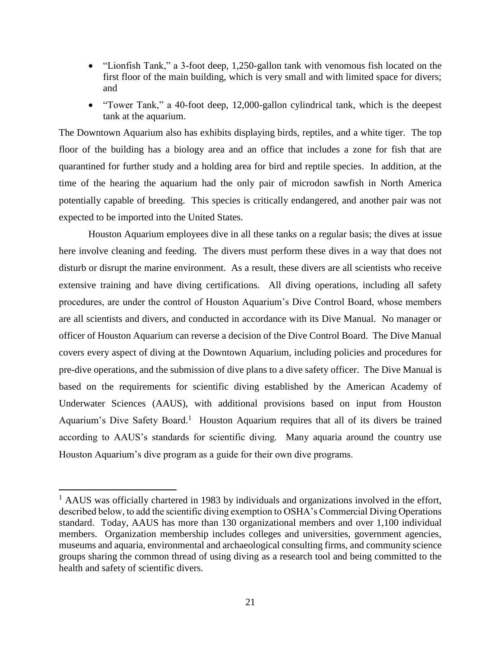- "Lionfish Tank," a 3-foot deep, 1,250-gallon tank with venomous fish located on the first floor of the main building, which is very small and with limited space for divers; and
- "Tower Tank," a 40-foot deep, 12,000-gallon cylindrical tank, which is the deepest tank at the aquarium.

The Downtown Aquarium also has exhibits displaying birds, reptiles, and a white tiger. The top floor of the building has a biology area and an office that includes a zone for fish that are quarantined for further study and a holding area for bird and reptile species. In addition, at the time of the hearing the aquarium had the only pair of microdon sawfish in North America potentially capable of breeding. This species is critically endangered, and another pair was not expected to be imported into the United States.

Houston Aquarium employees dive in all these tanks on a regular basis; the dives at issue here involve cleaning and feeding. The divers must perform these dives in a way that does not disturb or disrupt the marine environment. As a result, these divers are all scientists who receive extensive training and have diving certifications. All diving operations, including all safety procedures, are under the control of Houston Aquarium's Dive Control Board, whose members are all scientists and divers, and conducted in accordance with its Dive Manual. No manager or officer of Houston Aquarium can reverse a decision of the Dive Control Board. The Dive Manual covers every aspect of diving at the Downtown Aquarium, including policies and procedures for pre-dive operations, and the submission of dive plans to a dive safety officer. The Dive Manual is based on the requirements for scientific diving established by the American Academy of Underwater Sciences (AAUS), with additional provisions based on input from Houston Aquarium's Dive Safety Board.<sup>1</sup> Houston Aquarium requires that all of its divers be trained according to AAUS's standards for scientific diving. Many aquaria around the country use Houston Aquarium's dive program as a guide for their own dive programs.

 $\overline{a}$ 

 $<sup>1</sup>$  AAUS was officially chartered in 1983 by individuals and organizations involved in the effort,</sup> described below, to add the scientific diving exemption to OSHA's Commercial Diving Operations standard. Today, AAUS has more than 130 organizational members and over 1,100 individual members. Organization membership includes colleges and universities, government agencies, museums and aquaria, environmental and archaeological consulting firms, and community science groups sharing the common thread of using diving as a research tool and being committed to the health and safety of scientific divers.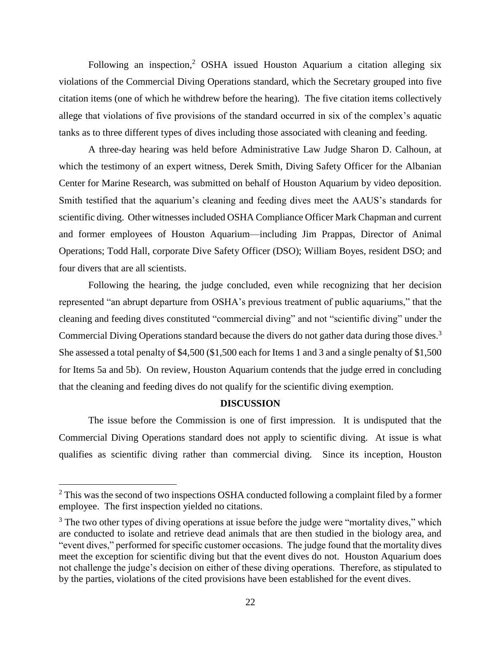Following an inspection,<sup>2</sup> OSHA issued Houston Aquarium a citation alleging six violations of the Commercial Diving Operations standard, which the Secretary grouped into five citation items (one of which he withdrew before the hearing). The five citation items collectively allege that violations of five provisions of the standard occurred in six of the complex's aquatic tanks as to three different types of dives including those associated with cleaning and feeding.

A three-day hearing was held before Administrative Law Judge Sharon D. Calhoun, at which the testimony of an expert witness, Derek Smith, Diving Safety Officer for the Albanian Center for Marine Research, was submitted on behalf of Houston Aquarium by video deposition. Smith testified that the aquarium's cleaning and feeding dives meet the AAUS's standards for scientific diving. Other witnesses included OSHA Compliance Officer Mark Chapman and current and former employees of Houston Aquarium—including Jim Prappas, Director of Animal Operations; Todd Hall, corporate Dive Safety Officer (DSO); William Boyes, resident DSO; and four divers that are all scientists.

Following the hearing, the judge concluded, even while recognizing that her decision represented "an abrupt departure from OSHA's previous treatment of public aquariums," that the cleaning and feeding dives constituted "commercial diving" and not "scientific diving" under the Commercial Diving Operations standard because the divers do not gather data during those dives.<sup>3</sup> She assessed a total penalty of \$4,500 (\$1,500 each for Items 1 and 3 and a single penalty of \$1,500 for Items 5a and 5b). On review, Houston Aquarium contends that the judge erred in concluding that the cleaning and feeding dives do not qualify for the scientific diving exemption.

#### **DISCUSSION**

The issue before the Commission is one of first impression. It is undisputed that the Commercial Diving Operations standard does not apply to scientific diving. At issue is what qualifies as scientific diving rather than commercial diving. Since its inception, Houston

 $\overline{a}$ 

<sup>&</sup>lt;sup>2</sup> This was the second of two inspections OSHA conducted following a complaint filed by a former employee. The first inspection yielded no citations.

 $3$  The two other types of diving operations at issue before the judge were "mortality dives," which are conducted to isolate and retrieve dead animals that are then studied in the biology area, and "event dives," performed for specific customer occasions. The judge found that the mortality dives meet the exception for scientific diving but that the event dives do not. Houston Aquarium does not challenge the judge's decision on either of these diving operations. Therefore, as stipulated to by the parties, violations of the cited provisions have been established for the event dives.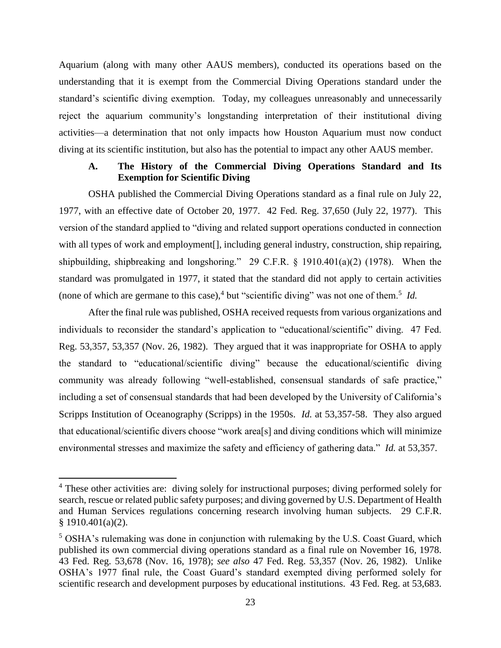Aquarium (along with many other AAUS members), conducted its operations based on the understanding that it is exempt from the Commercial Diving Operations standard under the standard's scientific diving exemption. Today, my colleagues unreasonably and unnecessarily reject the aquarium community's longstanding interpretation of their institutional diving activities—a determination that not only impacts how Houston Aquarium must now conduct diving at its scientific institution, but also has the potential to impact any other AAUS member.

# **A. The History of the Commercial Diving Operations Standard and Its Exemption for Scientific Diving**

OSHA published the Commercial Diving Operations standard as a final rule on July 22, 1977, with an effective date of October 20, 1977. 42 Fed. Reg. 37,650 (July 22, 1977). This version of the standard applied to "diving and related support operations conducted in connection with all types of work and employment[], including general industry, construction, ship repairing, shipbuilding, shipbreaking and longshoring." 29 C.F.R. § 1910.401(a)(2) (1978). When the standard was promulgated in 1977, it stated that the standard did not apply to certain activities (none of which are germane to this case),  $4$  but "scientific diving" was not one of them.<sup>5</sup> *Id.* 

After the final rule was published, OSHA received requests from various organizations and individuals to reconsider the standard's application to "educational/scientific" diving. 47 Fed. Reg. 53,357, 53,357 (Nov. 26, 1982). They argued that it was inappropriate for OSHA to apply the standard to "educational/scientific diving" because the educational/scientific diving community was already following "well-established, consensual standards of safe practice," including a set of consensual standards that had been developed by the University of California's Scripps Institution of Oceanography (Scripps) in the 1950s. *Id.* at 53,357-58. They also argued that educational/scientific divers choose "work area[s] and diving conditions which will minimize environmental stresses and maximize the safety and efficiency of gathering data." *Id.* at 53,357.

l

<sup>&</sup>lt;sup>4</sup> These other activities are: diving solely for instructional purposes; diving performed solely for search, rescue or related public safety purposes; and diving governed by U.S. Department of Health and Human Services regulations concerning research involving human subjects. 29 C.F.R. § 1910.401(a)(2).

<sup>5</sup> OSHA's rulemaking was done in conjunction with rulemaking by the U.S. Coast Guard, which published its own commercial diving operations standard as a final rule on November 16, 1978. 43 Fed. Reg. 53,678 (Nov. 16, 1978); *see also* 47 Fed. Reg. 53,357 (Nov. 26, 1982).Unlike OSHA's 1977 final rule, the Coast Guard's standard exempted diving performed solely for scientific research and development purposes by educational institutions. 43 Fed. Reg. at 53,683.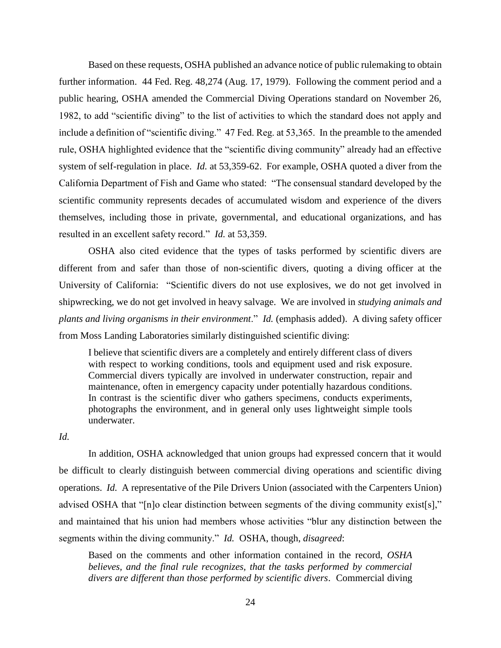Based on these requests, OSHA published an advance notice of public rulemaking to obtain further information. 44 Fed. Reg. 48,274 (Aug. 17, 1979). Following the comment period and a public hearing, OSHA amended the Commercial Diving Operations standard on November 26, 1982, to add "scientific diving" to the list of activities to which the standard does not apply and include a definition of "scientific diving." 47 Fed. Reg. at 53,365.In the preamble to the amended rule, OSHA highlighted evidence that the "scientific diving community" already had an effective system of self-regulation in place. *Id.* at 53,359-62.For example, OSHA quoted a diver from the California Department of Fish and Game who stated: "The consensual standard developed by the scientific community represents decades of accumulated wisdom and experience of the divers themselves, including those in private, governmental, and educational organizations, and has resulted in an excellent safety record." *Id.* at 53,359.

OSHA also cited evidence that the types of tasks performed by scientific divers are different from and safer than those of non-scientific divers, quoting a diving officer at the University of California: "Scientific divers do not use explosives, we do not get involved in shipwrecking, we do not get involved in heavy salvage. We are involved in *studying animals and plants and living organisms in their environment*." *Id.* (emphasis added).A diving safety officer from Moss Landing Laboratories similarly distinguished scientific diving:

I believe that scientific divers are a completely and entirely different class of divers with respect to working conditions, tools and equipment used and risk exposure. Commercial divers typically are involved in underwater construction, repair and maintenance, often in emergency capacity under potentially hazardous conditions. In contrast is the scientific diver who gathers specimens, conducts experiments, photographs the environment, and in general only uses lightweight simple tools underwater.

### *Id.*

In addition, OSHA acknowledged that union groups had expressed concern that it would be difficult to clearly distinguish between commercial diving operations and scientific diving operations. *Id.* A representative of the Pile Drivers Union (associated with the Carpenters Union) advised OSHA that "[n]o clear distinction between segments of the diving community exist[s]," and maintained that his union had members whose activities "blur any distinction between the segments within the diving community." *Id.* OSHA, though, *disagreed*:

Based on the comments and other information contained in the record, *OSHA*  believes, and the final rule recognizes, that the tasks performed by commercial *divers are different than those performed by scientific divers*. Commercial diving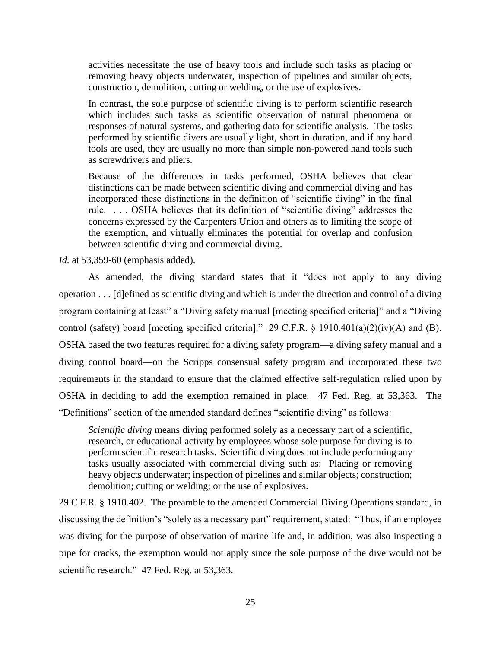activities necessitate the use of heavy tools and include such tasks as placing or removing heavy objects underwater, inspection of pipelines and similar objects, construction, demolition, cutting or welding, or the use of explosives.

In contrast, the sole purpose of scientific diving is to perform scientific research which includes such tasks as scientific observation of natural phenomena or responses of natural systems, and gathering data for scientific analysis. The tasks performed by scientific divers are usually light, short in duration, and if any hand tools are used, they are usually no more than simple non-powered hand tools such as screwdrivers and pliers.

Because of the differences in tasks performed, OSHA believes that clear distinctions can be made between scientific diving and commercial diving and has incorporated these distinctions in the definition of "scientific diving" in the final rule. . . . OSHA believes that its definition of "scientific diving" addresses the concerns expressed by the Carpenters Union and others as to limiting the scope of the exemption, and virtually eliminates the potential for overlap and confusion between scientific diving and commercial diving.

*Id.* at 53,359-60 (emphasis added).

As amended, the diving standard states that it "does not apply to any diving operation . . . [d]efined as scientific diving and which is under the direction and control of a diving program containing at least" a "Diving safety manual [meeting specified criteria]" and a "Diving control (safety) board [meeting specified criteria]." 29 C.F.R. § 1910.401(a)(2)(iv)(A) and (B)*.*  OSHA based the two features required for a diving safety program—a diving safety manual and a diving control board—on the Scripps consensual safety program and incorporated these two requirements in the standard to ensure that the claimed effective self-regulation relied upon by OSHA in deciding to add the exemption remained in place. 47 Fed. Reg. at 53,363. The "Definitions" section of the amended standard defines "scientific diving" as follows:

*Scientific diving means diving performed solely as a necessary part of a scientific,* research, or educational activity by employees whose sole purpose for diving is to perform scientific research tasks. Scientific diving does not include performing any tasks usually associated with commercial diving such as: Placing or removing heavy objects underwater; inspection of pipelines and similar objects; construction; demolition; cutting or welding; or the use of explosives.

29 C.F.R. § 1910.402. The preamble to the amended Commercial Diving Operations standard, in discussing the definition's "solely as a necessary part" requirement, stated: "Thus, if an employee was diving for the purpose of observation of marine life and, in addition, was also inspecting a pipe for cracks, the exemption would not apply since the sole purpose of the dive would not be scientific research." 47 Fed. Reg. at 53,363.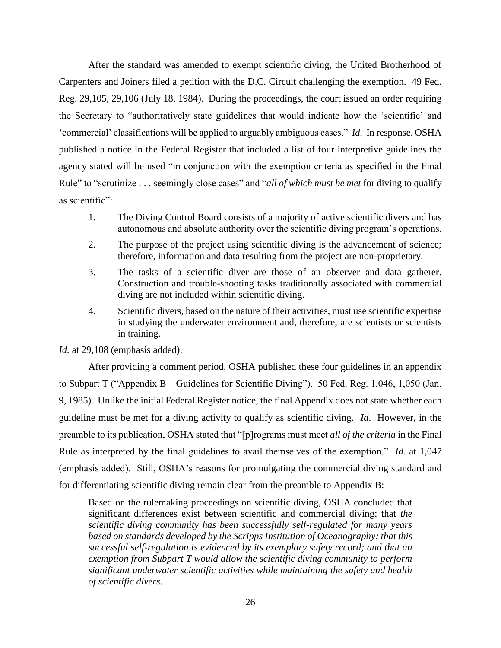After the standard was amended to exempt scientific diving, the United Brotherhood of Carpenters and Joiners filed a petition with the D.C. Circuit challenging the exemption. 49 Fed. Reg. 29,105, 29,106 (July 18, 1984). During the proceedings, the court issued an order requiring the Secretary to "authoritatively state guidelines that would indicate how the 'scientific' and 'commercial' classifications will be applied to arguably ambiguous cases." *Id.* In response, OSHA published a notice in the Federal Register that included a list of four interpretive guidelines the agency stated will be used "in conjunction with the exemption criteria as specified in the Final Rule" to "scrutinize . . . seemingly close cases" and "*all of which must be met* for diving to qualify as scientific":

- 1. The Diving Control Board consists of a majority of active scientific divers and has autonomous and absolute authority over the scientific diving program's operations.
- 2. The purpose of the project using scientific diving is the advancement of science; therefore, information and data resulting from the project are non-proprietary.
- 3. The tasks of a scientific diver are those of an observer and data gatherer. Construction and trouble-shooting tasks traditionally associated with commercial diving are not included within scientific diving.
- 4. Scientific divers, based on the nature of their activities, must use scientific expertise in studying the underwater environment and, therefore, are scientists or scientists in training.

*Id.* at 29,108 (emphasis added).

After providing a comment period, OSHA published these four guidelines in an appendix to Subpart T ("Appendix B—Guidelines for Scientific Diving"). 50 Fed. Reg. 1,046, 1,050 (Jan. 9, 1985). Unlike the initial Federal Register notice, the final Appendix does not state whether each guideline must be met for a diving activity to qualify as scientific diving. *Id*. However, in the preamble to its publication, OSHA stated that "[p]rograms must meet *all of the criteria* in the Final Rule as interpreted by the final guidelines to avail themselves of the exemption." *Id.* at 1,047 (emphasis added). Still, OSHA's reasons for promulgating the commercial diving standard and for differentiating scientific diving remain clear from the preamble to Appendix B:

Based on the rulemaking proceedings on scientific diving, OSHA concluded that significant differences exist between scientific and commercial diving; that *the scientific diving community has been successfully self-regulated for many years based on standards developed by the Scripps Institution of Oceanography; that this successful self-regulation is evidenced by its exemplary safety record; and that an exemption from Subpart T would allow the scientific diving community to perform significant underwater scientific activities while maintaining the safety and health of scientific divers.*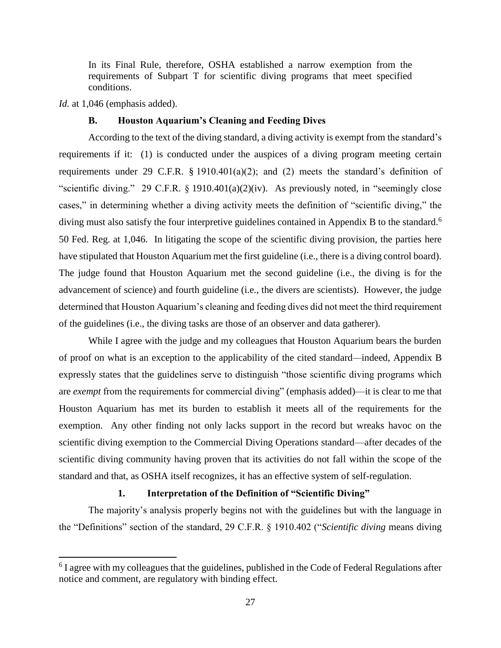In its Final Rule, therefore, OSHA established a narrow exemption from the requirements of Subpart T for scientific diving programs that meet specified conditions.

*Id.* at 1,046 (emphasis added).

 $\overline{a}$ 

#### **B. Houston Aquarium's Cleaning and Feeding Dives**

According to the text of the diving standard, a diving activity is exempt from the standard's requirements if it: (1) is conducted under the auspices of a diving program meeting certain requirements under 29 C.F.R. § 1910.401(a)(2); and (2) meets the standard's definition of "scientific diving." 29 C.F.R. § 1910.401(a)(2)(iv). As previously noted, in "seemingly close cases," in determining whether a diving activity meets the definition of "scientific diving," the diving must also satisfy the four interpretive guidelines contained in Appendix B to the standard.<sup>6</sup> 50 Fed. Reg. at 1,046. In litigating the scope of the scientific diving provision, the parties here have stipulated that Houston Aquarium met the first guideline (i.e., there is a diving control board). The judge found that Houston Aquarium met the second guideline (i.e., the diving is for the advancement of science) and fourth guideline (i.e., the divers are scientists). However, the judge determined that Houston Aquarium's cleaning and feeding dives did not meet the third requirement of the guidelines (i.e., the diving tasks are those of an observer and data gatherer).

While I agree with the judge and my colleagues that Houston Aquarium bears the burden of proof on what is an exception to the applicability of the cited standard*—*indeed, Appendix B expressly states that the guidelines serve to distinguish "those scientific diving programs which are *exempt* from the requirements for commercial diving" (emphasis added)—it is clear to me that Houston Aquarium has met its burden to establish it meets all of the requirements for the exemption. Any other finding not only lacks support in the record but wreaks havoc on the scientific diving exemption to the Commercial Diving Operations standard—after decades of the scientific diving community having proven that its activities do not fall within the scope of the standard and that, as OSHA itself recognizes, it has an effective system of self-regulation.

### **1. Interpretation of the Definition of "Scientific Diving"**

The majority's analysis properly begins not with the guidelines but with the language in the "Definitions" section of the standard, 29 C.F.R. § 1910.402 ("*Scientific diving* means diving

 $6$  I agree with my colleagues that the guidelines, published in the Code of Federal Regulations after notice and comment, are regulatory with binding effect.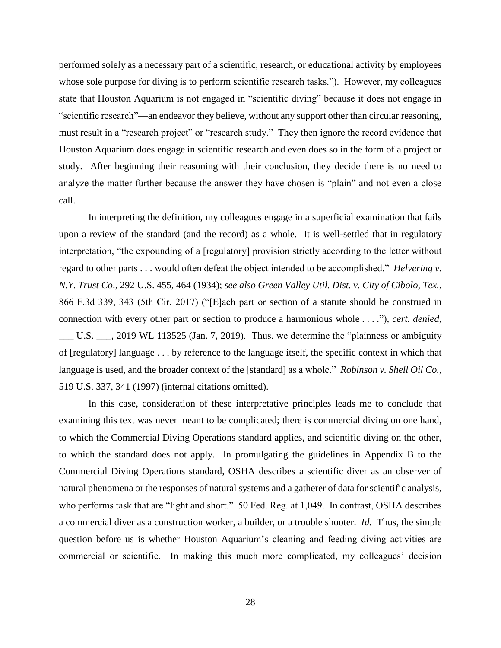performed solely as a necessary part of a scientific, research, or educational activity by employees whose sole purpose for diving is to perform scientific research tasks."). However, my colleagues state that Houston Aquarium is not engaged in "scientific diving" because it does not engage in "scientific research"—an endeavor they believe, without any support other than circular reasoning, must result in a "research project" or "research study." They then ignore the record evidence that Houston Aquarium does engage in scientific research and even does so in the form of a project or study. After beginning their reasoning with their conclusion, they decide there is no need to analyze the matter further because the answer they have chosen is "plain" and not even a close call.

In interpreting the definition, my colleagues engage in a superficial examination that fails upon a review of the standard (and the record) as a whole. It is well-settled that in regulatory interpretation, "the expounding of a [regulatory] provision strictly according to the letter without regard to other parts . . . would often defeat the object intended to be accomplished." *Helvering v. N.Y. Trust Co*., 292 U.S. 455, 464 (1934); *see also Green Valley Util. Dist. v. City of Cibolo, Tex.*, 866 F.3d 339, 343 (5th Cir. 2017) ("[E]ach part or section of a statute should be construed in connection with every other part or section to produce a harmonious whole . . . ."), *cert. denied*, \_\_\_ U.S. \_\_\_, 2019 WL 113525 (Jan. 7, 2019). Thus, we determine the "plainness or ambiguity of [regulatory] language . . . by reference to the language itself, the specific context in which that language is used, and the broader context of the [standard] as a whole." *Robinson v. Shell Oil Co.*, 519 U.S. 337, 341 (1997) (internal citations omitted).

In this case, consideration of these interpretative principles leads me to conclude that examining this text was never meant to be complicated; there is commercial diving on one hand, to which the Commercial Diving Operations standard applies, and scientific diving on the other, to which the standard does not apply. In promulgating the guidelines in Appendix B to the Commercial Diving Operations standard, OSHA describes a scientific diver as an observer of natural phenomena or the responses of natural systems and a gatherer of data for scientific analysis, who performs task that are "light and short." 50 Fed. Reg. at 1,049. In contrast, OSHA describes a commercial diver as a construction worker, a builder, or a trouble shooter. *Id.* Thus, the simple question before us is whether Houston Aquarium's cleaning and feeding diving activities are commercial or scientific. In making this much more complicated, my colleagues' decision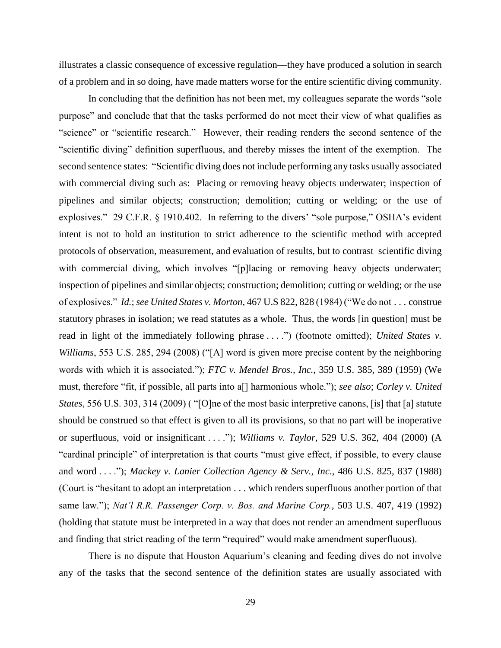illustrates a classic consequence of excessive regulation—they have produced a solution in search of a problem and in so doing, have made matters worse for the entire scientific diving community.

In concluding that the definition has not been met, my colleagues separate the words "sole purpose" and conclude that that the tasks performed do not meet their view of what qualifies as "science" or "scientific research." However, their reading renders the second sentence of the "scientific diving" definition superfluous, and thereby misses the intent of the exemption. The second sentence states: "Scientific diving does not include performing any tasks usually associated with commercial diving such as: Placing or removing heavy objects underwater; inspection of pipelines and similar objects; construction; demolition; cutting or welding; or the use of explosives." 29 C.F.R. § 1910.402. In referring to the divers' "sole purpose," OSHA's evident intent is not to hold an institution to strict adherence to the scientific method with accepted protocols of observation, measurement, and evaluation of results, but to contrast scientific diving with commercial diving, which involves "[p]lacing or removing heavy objects underwater; inspection of pipelines and similar objects; construction; demolition; cutting or welding; or the use of explosives." *Id.*; *see United States v. Morton*, 467 U.S 822, 828 (1984) ("We do not . . . construe statutory phrases in isolation; we read statutes as a whole. Thus, the words [in question] must be read in light of the immediately following phrase . . . .") (footnote omitted); *United States v. Williams*, 553 U.S. 285, 294 (2008) ("[A] word is given more precise content by the neighboring words with which it is associated."); *FTC v. Mendel Bros., Inc.*, 359 U.S. 385, 389 (1959) (We must, therefore "fit, if possible, all parts into a[] harmonious whole."); *see also*; *Corley v. United States*, 556 U.S. 303, 314 (2009) ( "[O]ne of the most basic interpretive canons, [is] that [a] statute should be construed so that effect is given to all its provisions, so that no part will be inoperative or superfluous, void or insignificant . . . ."); *Williams v. Taylor*, 529 U.S. 362, 404 (2000) (A "cardinal principle" of interpretation is that courts "must give effect, if possible, to every clause and word . . . ."); *Mackey v. Lanier Collection Agency & Serv., Inc.*, 486 U.S. 825, 837 (1988) (Court is "hesitant to adopt an interpretation . . . which renders superfluous another portion of that same law."); *Nat'l R.R. Passenger Corp. v. Bos. and Marine Corp.*, 503 U.S. 407, 419 (1992) (holding that statute must be interpreted in a way that does not render an amendment superfluous and finding that strict reading of the term "required" would make amendment superfluous).

There is no dispute that Houston Aquarium's cleaning and feeding dives do not involve any of the tasks that the second sentence of the definition states are usually associated with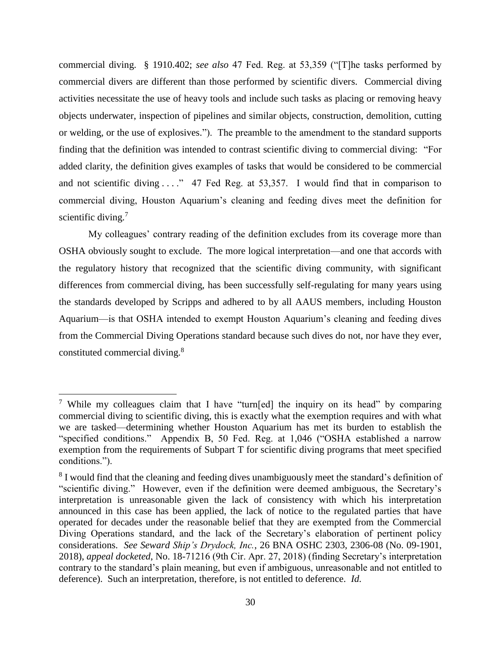commercial diving. § 1910.402; *see also* 47 Fed. Reg. at 53,359 ("[T]he tasks performed by commercial divers are different than those performed by scientific divers. Commercial diving activities necessitate the use of heavy tools and include such tasks as placing or removing heavy objects underwater, inspection of pipelines and similar objects, construction, demolition, cutting or welding, or the use of explosives."). The preamble to the amendment to the standard supports finding that the definition was intended to contrast scientific diving to commercial diving: "For added clarity, the definition gives examples of tasks that would be considered to be commercial and not scientific diving . . . . " 47 Fed Reg. at 53,357. I would find that in comparison to commercial diving, Houston Aquarium's cleaning and feeding dives meet the definition for scientific diving.<sup>7</sup>

My colleagues' contrary reading of the definition excludes from its coverage more than OSHA obviously sought to exclude. The more logical interpretation—and one that accords with the regulatory history that recognized that the scientific diving community, with significant differences from commercial diving, has been successfully self-regulating for many years using the standards developed by Scripps and adhered to by all AAUS members, including Houston Aquarium—is that OSHA intended to exempt Houston Aquarium's cleaning and feeding dives from the Commercial Diving Operations standard because such dives do not, nor have they ever, constituted commercial diving.<sup>8</sup>

<sup>7</sup> While my colleagues claim that I have "turn[ed] the inquiry on its head" by comparing commercial diving to scientific diving, this is exactly what the exemption requires and with what we are tasked—determining whether Houston Aquarium has met its burden to establish the "specified conditions." Appendix B, 50 Fed. Reg. at 1,046 ("OSHA established a narrow exemption from the requirements of Subpart T for scientific diving programs that meet specified conditions.").

<sup>&</sup>lt;sup>8</sup> I would find that the cleaning and feeding dives unambiguously meet the standard's definition of "scientific diving." However, even if the definition were deemed ambiguous, the Secretary's interpretation is unreasonable given the lack of consistency with which his interpretation announced in this case has been applied, the lack of notice to the regulated parties that have operated for decades under the reasonable belief that they are exempted from the Commercial Diving Operations standard, and the lack of the Secretary's elaboration of pertinent policy considerations. *See Seward Ship's Drydock, Inc.*, 26 BNA OSHC 2303, 2306-08 (No. 09-1901, 2018), *appeal docketed*, No. 18-71216 (9th Cir. Apr. 27, 2018) (finding Secretary's interpretation contrary to the standard's plain meaning, but even if ambiguous, unreasonable and not entitled to deference). Such an interpretation, therefore, is not entitled to deference. *Id.*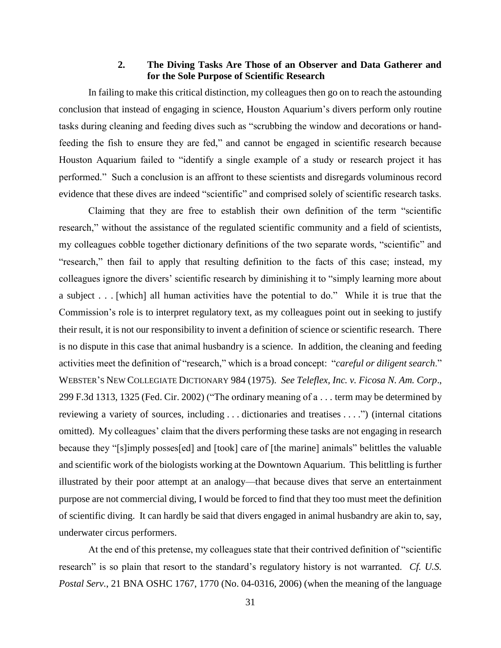### **2. The Diving Tasks Are Those of an Observer and Data Gatherer and for the Sole Purpose of Scientific Research**

In failing to make this critical distinction, my colleagues then go on to reach the astounding conclusion that instead of engaging in science, Houston Aquarium's divers perform only routine tasks during cleaning and feeding dives such as "scrubbing the window and decorations or handfeeding the fish to ensure they are fed," and cannot be engaged in scientific research because Houston Aquarium failed to "identify a single example of a study or research project it has performed." Such a conclusion is an affront to these scientists and disregards voluminous record evidence that these dives are indeed "scientific" and comprised solely of scientific research tasks.

Claiming that they are free to establish their own definition of the term "scientific research," without the assistance of the regulated scientific community and a field of scientists, my colleagues cobble together dictionary definitions of the two separate words, "scientific" and "research," then fail to apply that resulting definition to the facts of this case; instead, my colleagues ignore the divers' scientific research by diminishing it to "simply learning more about a subject . . . [which] all human activities have the potential to do." While it is true that the Commission's role is to interpret regulatory text, as my colleagues point out in seeking to justify their result, it is not our responsibility to invent a definition of science or scientific research. There is no dispute in this case that animal husbandry is a science. In addition, the cleaning and feeding activities meet the definition of "research," which is a broad concept: "*careful or diligent search*." WEBSTER'S NEW COLLEGIATE DICTIONARY 984 (1975). *See Teleflex, Inc. v. Ficosa N. Am. Corp*., 299 F.3d 1313, 1325 (Fed. Cir. 2002) ("The ordinary meaning of a . . . term may be determined by reviewing a variety of sources, including . . . dictionaries and treatises . . . .") (internal citations omitted). My colleagues' claim that the divers performing these tasks are not engaging in research because they "[s]imply posses[ed] and [took] care of [the marine] animals" belittles the valuable and scientific work of the biologists working at the Downtown Aquarium. This belittling is further illustrated by their poor attempt at an analogy—that because dives that serve an entertainment purpose are not commercial diving, I would be forced to find that they too must meet the definition of scientific diving. It can hardly be said that divers engaged in animal husbandry are akin to, say, underwater circus performers.

At the end of this pretense, my colleagues state that their contrived definition of "scientific research" is so plain that resort to the standard's regulatory history is not warranted. *Cf. U.S. Postal Serv.*, 21 BNA OSHC 1767, 1770 (No. 04-0316, 2006) (when the meaning of the language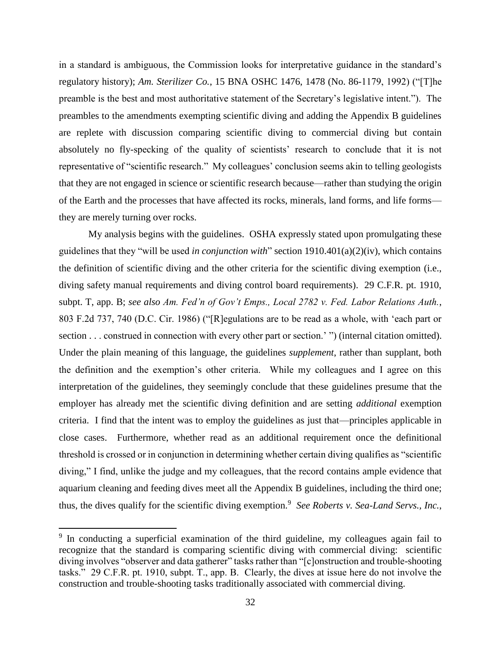in a standard is ambiguous, the Commission looks for interpretative guidance in the standard's regulatory history); *Am. Sterilizer Co.*, 15 BNA OSHC 1476, 1478 (No. 86-1179, 1992) ("[T]he preamble is the best and most authoritative statement of the Secretary's legislative intent."). The preambles to the amendments exempting scientific diving and adding the Appendix B guidelines are replete with discussion comparing scientific diving to commercial diving but contain absolutely no fly-specking of the quality of scientists' research to conclude that it is not representative of "scientific research." My colleagues' conclusion seems akin to telling geologists that they are not engaged in science or scientific research because—rather than studying the origin of the Earth and the processes that have affected its rocks, minerals, land forms, and life forms they are merely turning over rocks.

My analysis begins with the guidelines. OSHA expressly stated upon promulgating these guidelines that they "will be used *in conjunction with*" section [1910.401\(a\)\(2\)\(iv\),](https://1.next.westlaw.com/Link/Document/FullText?findType=L&pubNum=1000547&cite=29CFRS1910.401&originatingDoc=NDDBB66608BE811D98CF4E0B65F42E6DA&refType=VB&originationContext=document&transitionType=DocumentItem&contextData=(sc.History*oc.Document)#co_pp_b9c60000a3934) which contains the definition of scientific diving and the other criteria for the scientific diving exemption (i.e., diving safety manual requirements and diving control board requirements). 29 C.F.R. pt. 1910, subpt. T, app. B; *see also Am. Fed'n of Gov't Emps., Local 2782 v. Fed. Labor Relations Auth.*, 803 F.2d 737, 740 (D.C. Cir. 1986) ("[R]egulations are to be read as a whole, with 'each part or section . . . construed in connection with every other part or section.' ") (internal citation omitted). Under the plain meaning of this language, the guidelines *supplement*, rather than supplant, both the definition and the exemption's other criteria. While my colleagues and I agree on this interpretation of the guidelines, they seemingly conclude that these guidelines presume that the employer has already met the scientific diving definition and are setting *additional* exemption criteria. I find that the intent was to employ the guidelines as just that—principles applicable in close cases. Furthermore, whether read as an additional requirement once the definitional threshold is crossed or in conjunction in determining whether certain diving qualifies as "scientific diving," I find, unlike the judge and my colleagues, that the record contains ample evidence that aquarium cleaning and feeding dives meet all the Appendix B guidelines, including the third one; thus, the dives qualify for the scientific diving exemption.<sup>9</sup> See Roberts v. Sea-Land Servs., Inc.,

<sup>&</sup>lt;sup>9</sup> In conducting a superficial examination of the third guideline, my colleagues again fail to recognize that the standard is comparing scientific diving with commercial diving: scientific diving involves "observer and data gatherer" tasks rather than "[c]onstruction and trouble-shooting tasks." 29 C.F.R. pt. 1910, subpt. T., app. B. Clearly, the dives at issue here do not involve the construction and trouble-shooting tasks traditionally associated with commercial diving.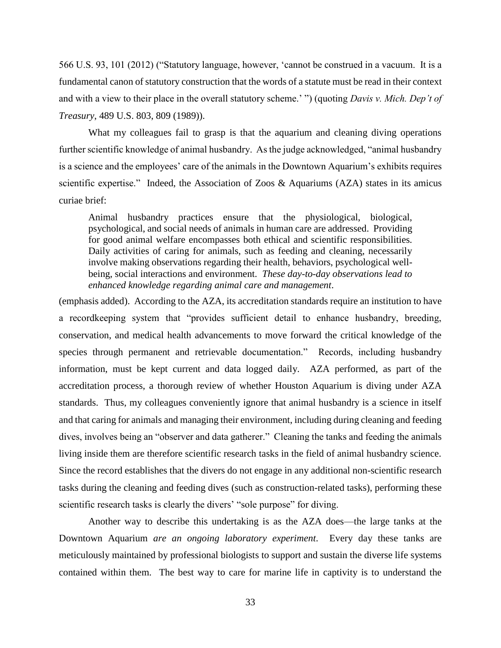566 U.S. 93, 101 (2012) ("Statutory language, however, 'cannot be construed in a vacuum. It is a fundamental canon of statutory construction that the words of a statute must be read in their context and with a view to their place in the overall statutory scheme.' ") (quoting *Davis v. Mich. Dep't of Treasury*, 489 U.S. 803, 809 (1989)).

What my colleagues fail to grasp is that the aquarium and cleaning diving operations further scientific knowledge of animal husbandry. As the judge acknowledged, "animal husbandry is a science and the employees' care of the animals in the Downtown Aquarium's exhibits requires scientific expertise." Indeed, the Association of Zoos & Aquariums (AZA) states in its amicus curiae brief:

Animal husbandry practices ensure that the physiological, biological, psychological, and social needs of animals in human care are addressed. Providing for good animal welfare encompasses both ethical and scientific responsibilities. Daily activities of caring for animals, such as feeding and cleaning, necessarily involve making observations regarding their health, behaviors, psychological wellbeing, social interactions and environment. *These day-to-day observations lead to enhanced knowledge regarding animal care and management*.

(emphasis added). According to the AZA, its accreditation standards require an institution to have a recordkeeping system that "provides sufficient detail to enhance husbandry, breeding, conservation, and medical health advancements to move forward the critical knowledge of the species through permanent and retrievable documentation." Records, including husbandry information, must be kept current and data logged daily. AZA performed, as part of the accreditation process, a thorough review of whether Houston Aquarium is diving under AZA standards. Thus, my colleagues conveniently ignore that animal husbandry is a science in itself and that caring for animals and managing their environment, including during cleaning and feeding dives, involves being an "observer and data gatherer." Cleaning the tanks and feeding the animals living inside them are therefore scientific research tasks in the field of animal husbandry science. Since the record establishes that the divers do not engage in any additional non-scientific research tasks during the cleaning and feeding dives (such as construction-related tasks), performing these scientific research tasks is clearly the divers' "sole purpose" for diving.

Another way to describe this undertaking is as the AZA does—the large tanks at the Downtown Aquarium *are an ongoing laboratory experiment*. Every day these tanks are meticulously maintained by professional biologists to support and sustain the diverse life systems contained within them. The best way to care for marine life in captivity is to understand the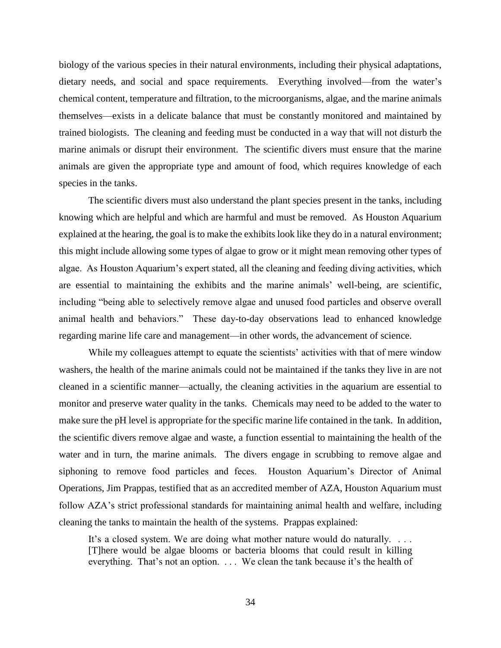biology of the various species in their natural environments, including their physical adaptations, dietary needs, and social and space requirements. Everything involved—from the water's chemical content, temperature and filtration, to the microorganisms, algae, and the marine animals themselves—exists in a delicate balance that must be constantly monitored and maintained by trained biologists. The cleaning and feeding must be conducted in a way that will not disturb the marine animals or disrupt their environment. The scientific divers must ensure that the marine animals are given the appropriate type and amount of food, which requires knowledge of each species in the tanks.

The scientific divers must also understand the plant species present in the tanks, including knowing which are helpful and which are harmful and must be removed. As Houston Aquarium explained at the hearing, the goal is to make the exhibits look like they do in a natural environment; this might include allowing some types of algae to grow or it might mean removing other types of algae. As Houston Aquarium's expert stated, all the cleaning and feeding diving activities, which are essential to maintaining the exhibits and the marine animals' well-being, are scientific, including "being able to selectively remove algae and unused food particles and observe overall animal health and behaviors." These day-to-day observations lead to enhanced knowledge regarding marine life care and management—in other words, the advancement of science.

While my colleagues attempt to equate the scientists' activities with that of mere window washers, the health of the marine animals could not be maintained if the tanks they live in are not cleaned in a scientific manner—actually, the cleaning activities in the aquarium are essential to monitor and preserve water quality in the tanks. Chemicals may need to be added to the water to make sure the pH level is appropriate for the specific marine life contained in the tank. In addition, the scientific divers remove algae and waste, a function essential to maintaining the health of the water and in turn, the marine animals. The divers engage in scrubbing to remove algae and siphoning to remove food particles and feces. Houston Aquarium's Director of Animal Operations, Jim Prappas, testified that as an accredited member of AZA, Houston Aquarium must follow AZA's strict professional standards for maintaining animal health and welfare, including cleaning the tanks to maintain the health of the systems. Prappas explained:

It's a closed system. We are doing what mother nature would do naturally. . . . [T]here would be algae blooms or bacteria blooms that could result in killing everything. That's not an option. . . . We clean the tank because it's the health of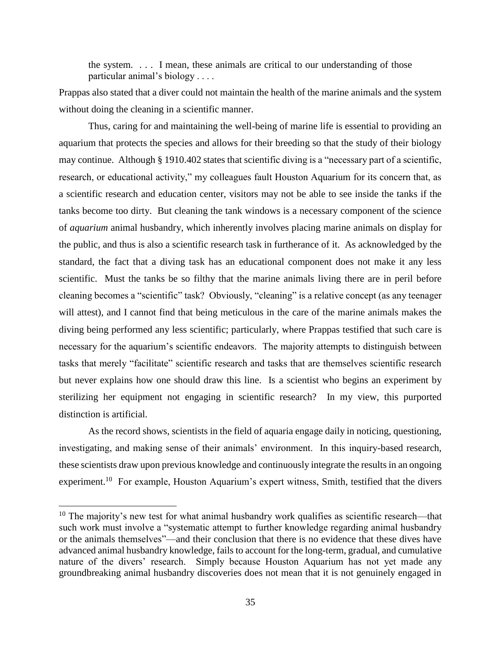the system. . . . I mean, these animals are critical to our understanding of those particular animal's biology . . . .

Prappas also stated that a diver could not maintain the health of the marine animals and the system without doing the cleaning in a scientific manner.

Thus, caring for and maintaining the well-being of marine life is essential to providing an aquarium that protects the species and allows for their breeding so that the study of their biology may continue. Although § 1910.402 states that scientific diving is a "necessary part of a scientific, research, or educational activity," my colleagues fault Houston Aquarium for its concern that, as a scientific research and education center, visitors may not be able to see inside the tanks if the tanks become too dirty. But cleaning the tank windows is a necessary component of the science of *aquarium* animal husbandry, which inherently involves placing marine animals on display for the public, and thus is also a scientific research task in furtherance of it. As acknowledged by the standard, the fact that a diving task has an educational component does not make it any less scientific. Must the tanks be so filthy that the marine animals living there are in peril before cleaning becomes a "scientific" task? Obviously, "cleaning" is a relative concept (as any teenager will attest), and I cannot find that being meticulous in the care of the marine animals makes the diving being performed any less scientific; particularly, where Prappas testified that such care is necessary for the aquarium's scientific endeavors. The majority attempts to distinguish between tasks that merely "facilitate" scientific research and tasks that are themselves scientific research but never explains how one should draw this line. Is a scientist who begins an experiment by sterilizing her equipment not engaging in scientific research? In my view, this purported distinction is artificial.

As the record shows, scientists in the field of aquaria engage daily in noticing, questioning, investigating, and making sense of their animals' environment. In this inquiry-based research, these scientists draw upon previous knowledge and continuously integrate the results in an ongoing experiment.<sup>10</sup> For example, Houston Aquarium's expert witness, Smith, testified that the divers

 $10$  The majority's new test for what animal husbandry work qualifies as scientific research—that such work must involve a "systematic attempt to further knowledge regarding animal husbandry or the animals themselves"—and their conclusion that there is no evidence that these dives have advanced animal husbandry knowledge, fails to account for the long-term, gradual, and cumulative nature of the divers' research. Simply because Houston Aquarium has not yet made any groundbreaking animal husbandry discoveries does not mean that it is not genuinely engaged in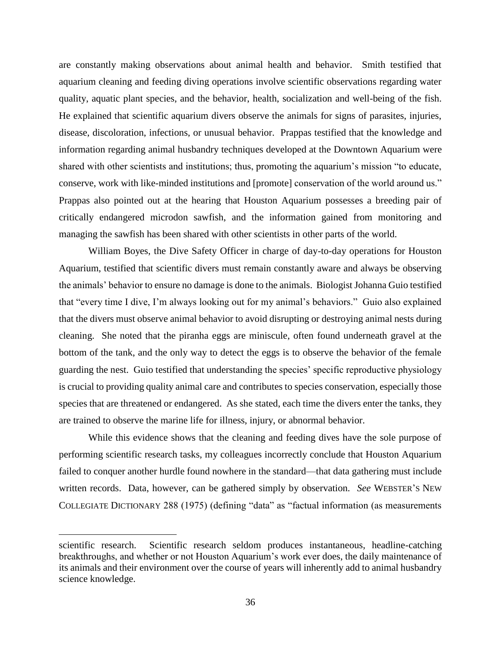are constantly making observations about animal health and behavior. Smith testified that aquarium cleaning and feeding diving operations involve scientific observations regarding water quality, aquatic plant species, and the behavior, health, socialization and well-being of the fish. He explained that scientific aquarium divers observe the animals for signs of parasites, injuries, disease, discoloration, infections, or unusual behavior. Prappas testified that the knowledge and information regarding animal husbandry techniques developed at the Downtown Aquarium were shared with other scientists and institutions; thus, promoting the aquarium's mission "to educate, conserve, work with like-minded institutions and [promote] conservation of the world around us." Prappas also pointed out at the hearing that Houston Aquarium possesses a breeding pair of critically endangered microdon sawfish, and the information gained from monitoring and managing the sawfish has been shared with other scientists in other parts of the world.

William Boyes, the Dive Safety Officer in charge of day-to-day operations for Houston Aquarium, testified that scientific divers must remain constantly aware and always be observing the animals' behavior to ensure no damage is done to the animals. Biologist Johanna Guio testified that "every time I dive, I'm always looking out for my animal's behaviors." Guio also explained that the divers must observe animal behavior to avoid disrupting or destroying animal nests during cleaning. She noted that the piranha eggs are miniscule, often found underneath gravel at the bottom of the tank, and the only way to detect the eggs is to observe the behavior of the female guarding the nest. Guio testified that understanding the species' specific reproductive physiology is crucial to providing quality animal care and contributes to species conservation, especially those species that are threatened or endangered. As she stated, each time the divers enter the tanks, they are trained to observe the marine life for illness, injury, or abnormal behavior.

While this evidence shows that the cleaning and feeding dives have the sole purpose of performing scientific research tasks, my colleagues incorrectly conclude that Houston Aquarium failed to conquer another hurdle found nowhere in the standard—that data gathering must include written records. Data, however, can be gathered simply by observation. *See* WEBSTER'S NEW COLLEGIATE DICTIONARY 288 (1975) (defining "data" as "factual information (as measurements

scientific research. Scientific research seldom produces instantaneous, headline-catching breakthroughs, and whether or not Houston Aquarium's work ever does, the daily maintenance of its animals and their environment over the course of years will inherently add to animal husbandry science knowledge.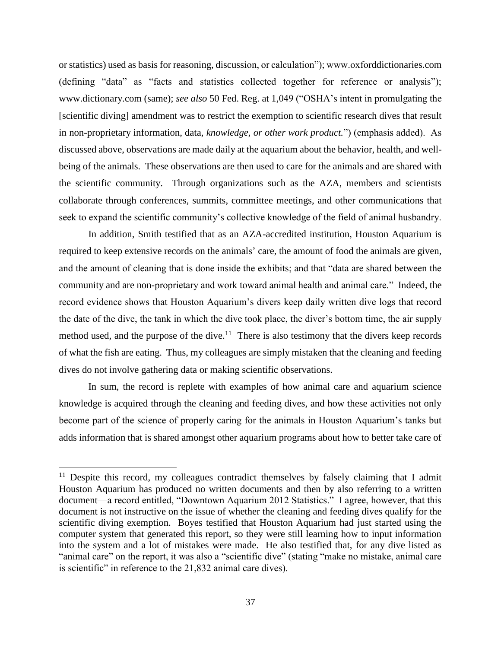or statistics) used as basis for reasoning, discussion, or calculation"); www.oxforddictionaries.com (defining "data" as "facts and statistics collected together for reference or analysis"); www.dictionary.com (same); *see also* 50 Fed. Reg. at 1,049 ("OSHA's intent in promulgating the [scientific diving] amendment was to restrict the exemption to scientific research dives that result in non-proprietary information, data, *knowledge, or other work product.*") (emphasis added). As discussed above, observations are made daily at the aquarium about the behavior, health, and wellbeing of the animals. These observations are then used to care for the animals and are shared with the scientific community. Through organizations such as the AZA, members and scientists collaborate through conferences, summits, committee meetings, and other communications that seek to expand the scientific community's collective knowledge of the field of animal husbandry.

In addition, Smith testified that as an AZA-accredited institution, Houston Aquarium is required to keep extensive records on the animals' care, the amount of food the animals are given, and the amount of cleaning that is done inside the exhibits; and that "data are shared between the community and are non-proprietary and work toward animal health and animal care." Indeed, the record evidence shows that Houston Aquarium's divers keep daily written dive logs that record the date of the dive, the tank in which the dive took place, the diver's bottom time, the air supply method used, and the purpose of the dive.<sup>11</sup> There is also testimony that the divers keep records of what the fish are eating. Thus, my colleagues are simply mistaken that the cleaning and feeding dives do not involve gathering data or making scientific observations.

In sum, the record is replete with examples of how animal care and aquarium science knowledge is acquired through the cleaning and feeding dives, and how these activities not only become part of the science of properly caring for the animals in Houston Aquarium's tanks but adds information that is shared amongst other aquarium programs about how to better take care of

<sup>&</sup>lt;sup>11</sup> Despite this record, my colleagues contradict themselves by falsely claiming that I admit Houston Aquarium has produced no written documents and then by also referring to a written document—a record entitled, "Downtown Aquarium 2012 Statistics." I agree, however, that this document is not instructive on the issue of whether the cleaning and feeding dives qualify for the scientific diving exemption. Boyes testified that Houston Aquarium had just started using the computer system that generated this report, so they were still learning how to input information into the system and a lot of mistakes were made. He also testified that, for any dive listed as "animal care" on the report, it was also a "scientific dive" (stating "make no mistake, animal care is scientific" in reference to the 21,832 animal care dives).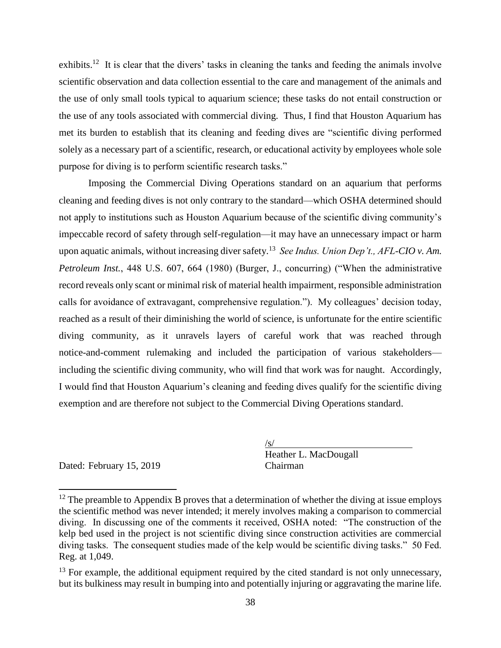exhibits.<sup>12</sup> It is clear that the divers' tasks in cleaning the tanks and feeding the animals involve scientific observation and data collection essential to the care and management of the animals and the use of only small tools typical to aquarium science; these tasks do not entail construction or the use of any tools associated with commercial diving. Thus, I find that Houston Aquarium has met its burden to establish that its cleaning and feeding dives are "scientific diving performed solely as a necessary part of a scientific, research, or educational activity by employees whole sole purpose for diving is to perform scientific research tasks."

Imposing the Commercial Diving Operations standard on an aquarium that performs cleaning and feeding dives is not only contrary to the standard—which OSHA determined should not apply to institutions such as Houston Aquarium because of the scientific diving community's impeccable record of safety through self-regulation—it may have an unnecessary impact or harm upon aquatic animals, without increasing diver safety.<sup>13</sup> *See Indus. Union Dep't., AFL-CIO v. Am. Petroleum Inst.*, 448 U.S. 607, 664 (1980) (Burger, J., concurring) ("When the administrative record reveals only scant or minimal risk of material health impairment, responsible administration calls for avoidance of extravagant, comprehensive regulation."). My colleagues' decision today, reached as a result of their diminishing the world of science, is unfortunate for the entire scientific diving community, as it unravels layers of careful work that was reached through notice-and-comment rulemaking and included the participation of various stakeholders including the scientific diving community, who will find that work was for naught. Accordingly, I would find that Houston Aquarium's cleaning and feeding dives qualify for the scientific diving exemption and are therefore not subject to the Commercial Diving Operations standard.

Dated: February 15, 2019 Chairman

 $\overline{a}$ 

 $\sqrt{s/}$ Heather L. MacDougall

 $12$  The preamble to Appendix B proves that a determination of whether the diving at issue employs the scientific method was never intended; it merely involves making a comparison to commercial diving. In discussing one of the comments it received, OSHA noted: "The construction of the kelp bed used in the project is not scientific diving since construction activities are commercial diving tasks. The consequent studies made of the kelp would be scientific diving tasks." 50 Fed. Reg. at 1,049.

 $13$  For example, the additional equipment required by the cited standard is not only unnecessary, but its bulkiness may result in bumping into and potentially injuring or aggravating the marine life.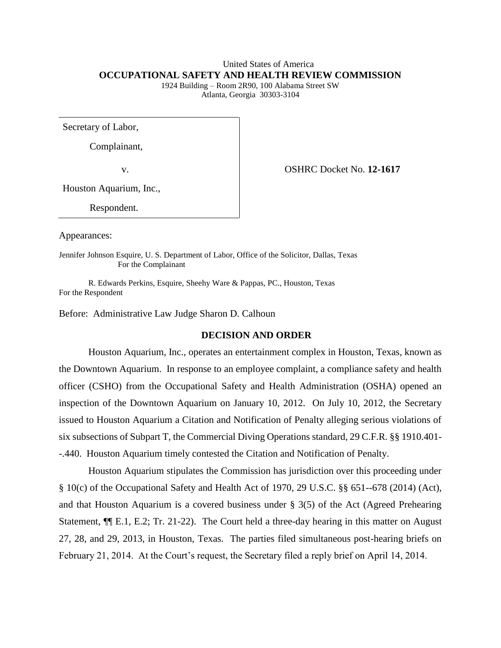# United States of America **OCCUPATIONAL SAFETY AND HEALTH REVIEW COMMISSION**

1924 Building – Room 2R90, 100 Alabama Street SW Atlanta, Georgia 30303-3104

Secretary of Labor,

Complainant,

v. OSHRC Docket No. **12-1617**

Houston Aquarium, Inc.,

Respondent.

Appearances:

Jennifer Johnson Esquire, U. S. Department of Labor, Office of the Solicitor, Dallas, Texas For the Complainant

R. Edwards Perkins, Esquire, Sheehy Ware & Pappas, PC., Houston, Texas For the Respondent

Before: Administrative Law Judge Sharon D. Calhoun

### **DECISION AND ORDER**

Houston Aquarium, Inc., operates an entertainment complex in Houston, Texas, known as the Downtown Aquarium. In response to an employee complaint, a compliance safety and health officer (CSHO) from the Occupational Safety and Health Administration (OSHA) opened an inspection of the Downtown Aquarium on January 10, 2012. On July 10, 2012, the Secretary issued to Houston Aquarium a Citation and Notification of Penalty alleging serious violations of six subsections of Subpart T, the Commercial Diving Operations standard, 29 C.F.R. §§ 1910.401- -.440. Houston Aquarium timely contested the Citation and Notification of Penalty.

Houston Aquarium stipulates the Commission has jurisdiction over this proceeding under § 10(c) of the Occupational Safety and Health Act of 1970, 29 U.S.C. §§ 651--678 (2014) (Act), and that Houston Aquarium is a covered business under § 3(5) of the Act (Agreed Prehearing Statement, ¶¶ E.1, E.2; Tr. 21-22). The Court held a three-day hearing in this matter on August 27, 28, and 29, 2013, in Houston, Texas. The parties filed simultaneous post-hearing briefs on February 21, 2014. At the Court's request, the Secretary filed a reply brief on April 14, 2014.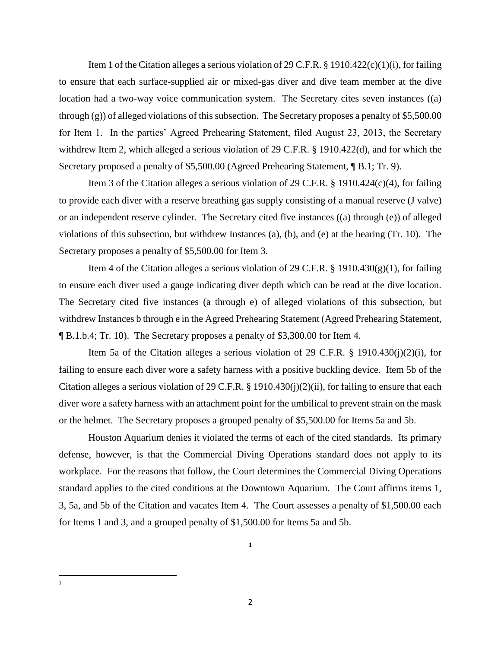Item 1 of the Citation alleges a serious violation of 29 C.F.R.  $\S$  1910.422(c)(1)(i), for failing to ensure that each surface-supplied air or mixed-gas diver and dive team member at the dive location had a two-way voice communication system. The Secretary cites seven instances ((a) through (g)) of alleged violations of this subsection. The Secretary proposes a penalty of \$5,500.00 for Item 1. In the parties' Agreed Prehearing Statement, filed August 23, 2013, the Secretary withdrew Item 2, which alleged a serious violation of 29 C.F.R. § 1910.422(d), and for which the Secretary proposed a penalty of \$5,500.00 (Agreed Prehearing Statement, ¶ B.1; Tr. 9).

Item 3 of the Citation alleges a serious violation of 29 C.F.R. § 1910.424(c)(4), for failing to provide each diver with a reserve breathing gas supply consisting of a manual reserve (J valve) or an independent reserve cylinder. The Secretary cited five instances ((a) through (e)) of alleged violations of this subsection, but withdrew Instances (a), (b), and (e) at the hearing (Tr. 10). The Secretary proposes a penalty of \$5,500.00 for Item 3.

Item 4 of the Citation alleges a serious violation of 29 C.F.R. § 1910.430(g)(1), for failing to ensure each diver used a gauge indicating diver depth which can be read at the dive location. The Secretary cited five instances (a through e) of alleged violations of this subsection, but withdrew Instances b through e in the Agreed Prehearing Statement (Agreed Prehearing Statement, ¶ B.1.b.4; Tr. 10). The Secretary proposes a penalty of \$3,300.00 for Item 4.

Item 5a of the Citation alleges a serious violation of 29 C.F.R. § 1910.430(j)(2)(i), for failing to ensure each diver wore a safety harness with a positive buckling device. Item 5b of the Citation alleges a serious violation of 29 C.F.R. § 1910.430(j)(2)(ii), for failing to ensure that each diver wore a safety harness with an attachment point for the umbilical to prevent strain on the mask or the helmet. The Secretary proposes a grouped penalty of \$5,500.00 for Items 5a and 5b.

Houston Aquarium denies it violated the terms of each of the cited standards. Its primary defense, however, is that the Commercial Diving Operations standard does not apply to its workplace. For the reasons that follow, the Court determines the Commercial Diving Operations standard applies to the cited conditions at the Downtown Aquarium. The Court affirms items 1, 3, 5a, and 5b of the Citation and vacates Item 4. The Court assesses a penalty of \$1,500.00 each for Items 1 and 3, and a grouped penalty of \$1,500.00 for Items 5a and 5b.

**1**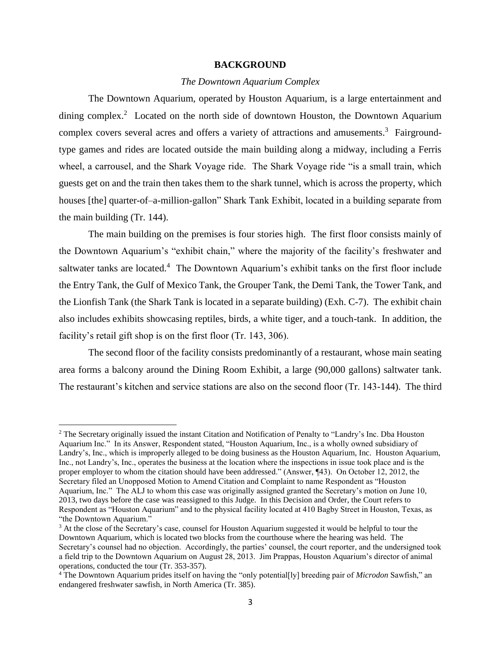#### **BACKGROUND**

#### *The Downtown Aquarium Complex*

The Downtown Aquarium, operated by Houston Aquarium, is a large entertainment and dining complex.<sup>2</sup> Located on the north side of downtown Houston, the Downtown Aquarium complex covers several acres and offers a variety of attractions and amusements.<sup>3</sup> Fairgroundtype games and rides are located outside the main building along a midway, including a Ferris wheel, a carrousel, and the Shark Voyage ride. The Shark Voyage ride "is a small train, which guests get on and the train then takes them to the shark tunnel, which is across the property, which houses [the] quarter-of-a-million-gallon" Shark Tank Exhibit, located in a building separate from the main building (Tr. 144).

The main building on the premises is four stories high. The first floor consists mainly of the Downtown Aquarium's "exhibit chain," where the majority of the facility's freshwater and saltwater tanks are located.<sup>4</sup> The Downtown Aquarium's exhibit tanks on the first floor include the Entry Tank, the Gulf of Mexico Tank, the Grouper Tank, the Demi Tank, the Tower Tank, and the Lionfish Tank (the Shark Tank is located in a separate building) (Exh. C-7). The exhibit chain also includes exhibits showcasing reptiles, birds, a white tiger, and a touch-tank. In addition, the facility's retail gift shop is on the first floor (Tr. 143, 306).

The second floor of the facility consists predominantly of a restaurant, whose main seating area forms a balcony around the Dining Room Exhibit, a large (90,000 gallons) saltwater tank. The restaurant's kitchen and service stations are also on the second floor (Tr. 143-144). The third

l

<sup>2</sup> The Secretary originally issued the instant Citation and Notification of Penalty to "Landry's Inc. Dba Houston Aquarium Inc." In its Answer, Respondent stated, "Houston Aquarium, Inc., is a wholly owned subsidiary of Landry's, Inc., which is improperly alleged to be doing business as the Houston Aquarium, Inc. Houston Aquarium, Inc., not Landry's, Inc., operates the business at the location where the inspections in issue took place and is the proper employer to whom the citation should have been addressed." (Answer, ¶43). On October 12, 2012, the Secretary filed an Unopposed Motion to Amend Citation and Complaint to name Respondent as "Houston Aquarium, Inc." The ALJ to whom this case was originally assigned granted the Secretary's motion on June 10, 2013, two days before the case was reassigned to this Judge. In this Decision and Order, the Court refers to Respondent as "Houston Aquarium" and to the physical facility located at 410 Bagby Street in Houston, Texas, as "the Downtown Aquarium."

<sup>&</sup>lt;sup>3</sup> At the close of the Secretary's case, counsel for Houston Aquarium suggested it would be helpful to tour the Downtown Aquarium, which is located two blocks from the courthouse where the hearing was held. The Secretary's counsel had no objection. Accordingly, the parties' counsel, the court reporter, and the undersigned took a field trip to the Downtown Aquarium on August 28, 2013. Jim Prappas, Houston Aquarium's director of animal operations, conducted the tour (Tr. 353-357).

<sup>4</sup> The Downtown Aquarium prides itself on having the "only potential[ly] breeding pair of *Microdon* Sawfish," an endangered freshwater sawfish, in North America (Tr. 385).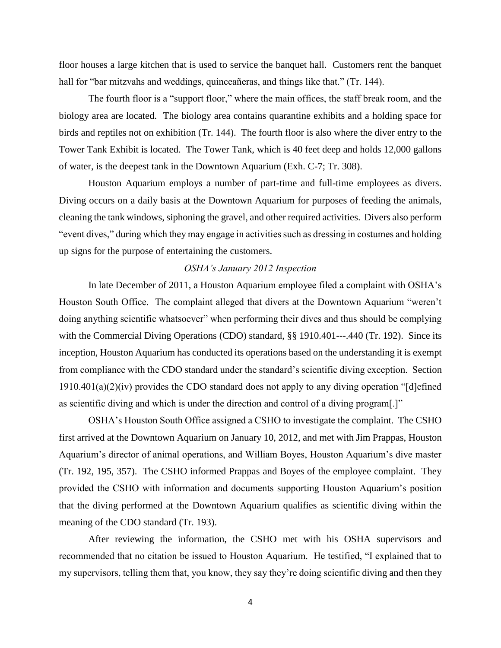floor houses a large kitchen that is used to service the banquet hall. Customers rent the banquet hall for "bar mitzvahs and weddings, quinceañeras, and things like that." (Tr. 144).

The fourth floor is a "support floor," where the main offices, the staff break room, and the biology area are located. The biology area contains quarantine exhibits and a holding space for birds and reptiles not on exhibition (Tr. 144). The fourth floor is also where the diver entry to the Tower Tank Exhibit is located. The Tower Tank, which is 40 feet deep and holds 12,000 gallons of water, is the deepest tank in the Downtown Aquarium (Exh. C-7; Tr. 308).

Houston Aquarium employs a number of part-time and full-time employees as divers. Diving occurs on a daily basis at the Downtown Aquarium for purposes of feeding the animals, cleaning the tank windows, siphoning the gravel, and other required activities. Divers also perform "event dives," during which they may engage in activities such as dressing in costumes and holding up signs for the purpose of entertaining the customers.

#### *OSHA's January 2012 Inspection*

In late December of 2011, a Houston Aquarium employee filed a complaint with OSHA's Houston South Office. The complaint alleged that divers at the Downtown Aquarium "weren't doing anything scientific whatsoever" when performing their dives and thus should be complying with the Commercial Diving Operations (CDO) standard, §§ 1910.401—-.440 (Tr. 192). Since its inception, Houston Aquarium has conducted its operations based on the understanding it is exempt from compliance with the CDO standard under the standard's scientific diving exception. Section 1910.401(a)(2)(iv) provides the CDO standard does not apply to any diving operation "[d]efined as scientific diving and which is under the direction and control of a diving program[.]"

OSHA's Houston South Office assigned a CSHO to investigate the complaint. The CSHO first arrived at the Downtown Aquarium on January 10, 2012, and met with Jim Prappas, Houston Aquarium's director of animal operations, and William Boyes, Houston Aquarium's dive master (Tr. 192, 195, 357). The CSHO informed Prappas and Boyes of the employee complaint. They provided the CSHO with information and documents supporting Houston Aquarium's position that the diving performed at the Downtown Aquarium qualifies as scientific diving within the meaning of the CDO standard (Tr. 193).

After reviewing the information, the CSHO met with his OSHA supervisors and recommended that no citation be issued to Houston Aquarium. He testified, "I explained that to my supervisors, telling them that, you know, they say they're doing scientific diving and then they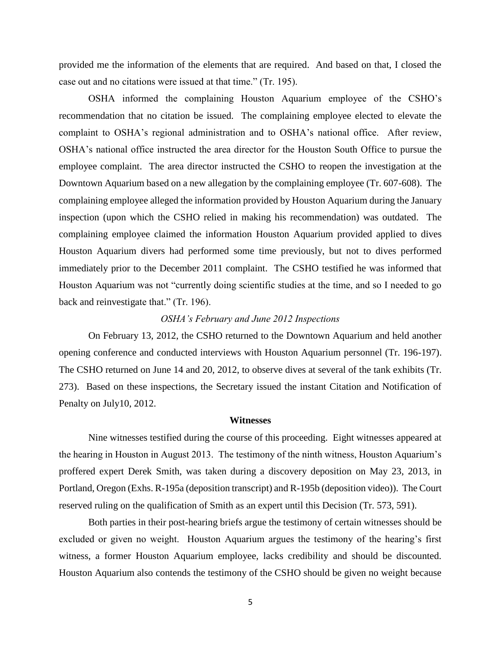provided me the information of the elements that are required. And based on that, I closed the case out and no citations were issued at that time." (Tr. 195).

OSHA informed the complaining Houston Aquarium employee of the CSHO's recommendation that no citation be issued. The complaining employee elected to elevate the complaint to OSHA's regional administration and to OSHA's national office. After review, OSHA's national office instructed the area director for the Houston South Office to pursue the employee complaint. The area director instructed the CSHO to reopen the investigation at the Downtown Aquarium based on a new allegation by the complaining employee (Tr. 607-608). The complaining employee alleged the information provided by Houston Aquarium during the January inspection (upon which the CSHO relied in making his recommendation) was outdated. The complaining employee claimed the information Houston Aquarium provided applied to dives Houston Aquarium divers had performed some time previously, but not to dives performed immediately prior to the December 2011 complaint. The CSHO testified he was informed that Houston Aquarium was not "currently doing scientific studies at the time, and so I needed to go back and reinvestigate that." (Tr. 196).

### *OSHA's February and June 2012 Inspections*

On February 13, 2012, the CSHO returned to the Downtown Aquarium and held another opening conference and conducted interviews with Houston Aquarium personnel (Tr. 196-197). The CSHO returned on June 14 and 20, 2012, to observe dives at several of the tank exhibits (Tr. 273). Based on these inspections, the Secretary issued the instant Citation and Notification of Penalty on July10, 2012.

#### **Witnesses**

Nine witnesses testified during the course of this proceeding. Eight witnesses appeared at the hearing in Houston in August 2013. The testimony of the ninth witness, Houston Aquarium's proffered expert Derek Smith, was taken during a discovery deposition on May 23, 2013, in Portland, Oregon (Exhs. R-195a (deposition transcript) and R-195b (deposition video)). The Court reserved ruling on the qualification of Smith as an expert until this Decision (Tr. 573, 591).

Both parties in their post-hearing briefs argue the testimony of certain witnesses should be excluded or given no weight. Houston Aquarium argues the testimony of the hearing's first witness, a former Houston Aquarium employee, lacks credibility and should be discounted. Houston Aquarium also contends the testimony of the CSHO should be given no weight because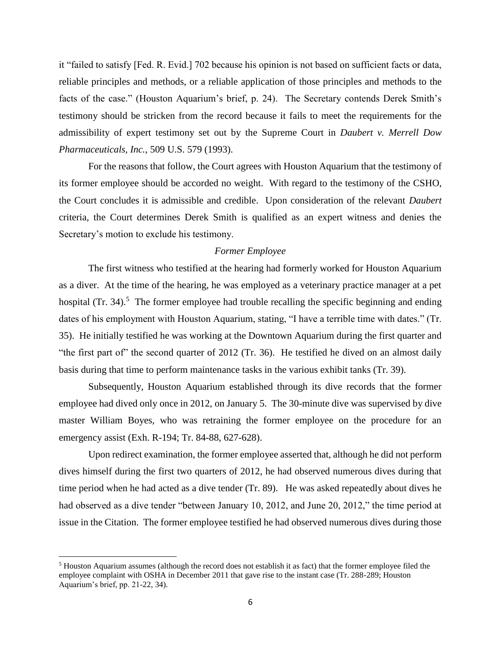it "failed to satisfy [Fed. R. Evid.] 702 because his opinion is not based on sufficient facts or data, reliable principles and methods, or a reliable application of those principles and methods to the facts of the case." (Houston Aquarium's brief, p. 24). The Secretary contends Derek Smith's testimony should be stricken from the record because it fails to meet the requirements for the admissibility of expert testimony set out by the Supreme Court in *Daubert v. Merrell Dow Pharmaceuticals, Inc.*, 509 U.S. 579 (1993).

For the reasons that follow, the Court agrees with Houston Aquarium that the testimony of its former employee should be accorded no weight. With regard to the testimony of the CSHO, the Court concludes it is admissible and credible. Upon consideration of the relevant *Daubert*  criteria, the Court determines Derek Smith is qualified as an expert witness and denies the Secretary's motion to exclude his testimony.

#### *Former Employee*

The first witness who testified at the hearing had formerly worked for Houston Aquarium as a diver. At the time of the hearing, he was employed as a veterinary practice manager at a pet hospital  $(Tr. 34).$ <sup>5</sup> The former employee had trouble recalling the specific beginning and ending dates of his employment with Houston Aquarium, stating, "I have a terrible time with dates." (Tr. 35). He initially testified he was working at the Downtown Aquarium during the first quarter and "the first part of" the second quarter of 2012 (Tr. 36). He testified he dived on an almost daily basis during that time to perform maintenance tasks in the various exhibit tanks (Tr. 39).

Subsequently, Houston Aquarium established through its dive records that the former employee had dived only once in 2012, on January 5. The 30-minute dive was supervised by dive master William Boyes, who was retraining the former employee on the procedure for an emergency assist (Exh. R-194; Tr. 84-88, 627-628).

Upon redirect examination, the former employee asserted that, although he did not perform dives himself during the first two quarters of 2012, he had observed numerous dives during that time period when he had acted as a dive tender (Tr. 89). He was asked repeatedly about dives he had observed as a dive tender "between January 10, 2012, and June 20, 2012," the time period at issue in the Citation. The former employee testified he had observed numerous dives during those

<sup>5</sup> Houston Aquarium assumes (although the record does not establish it as fact) that the former employee filed the employee complaint with OSHA in December 2011 that gave rise to the instant case (Tr. 288-289; Houston Aquarium's brief, pp. 21-22, 34).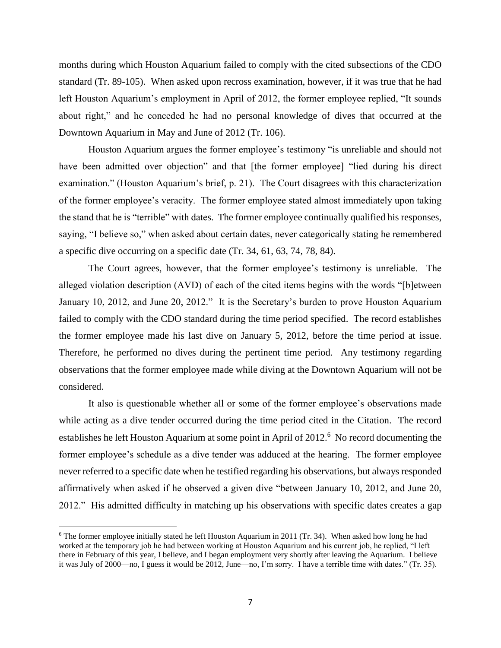months during which Houston Aquarium failed to comply with the cited subsections of the CDO standard (Tr. 89-105). When asked upon recross examination, however, if it was true that he had left Houston Aquarium's employment in April of 2012, the former employee replied, "It sounds about right," and he conceded he had no personal knowledge of dives that occurred at the Downtown Aquarium in May and June of 2012 (Tr. 106).

Houston Aquarium argues the former employee's testimony "is unreliable and should not have been admitted over objection" and that [the former employee] "lied during his direct examination." (Houston Aquarium's brief, p. 21). The Court disagrees with this characterization of the former employee's veracity. The former employee stated almost immediately upon taking the stand that he is "terrible" with dates. The former employee continually qualified his responses, saying, "I believe so," when asked about certain dates, never categorically stating he remembered a specific dive occurring on a specific date (Tr. 34, 61, 63, 74, 78, 84).

The Court agrees, however, that the former employee's testimony is unreliable. The alleged violation description (AVD) of each of the cited items begins with the words "[b]etween January 10, 2012, and June 20, 2012." It is the Secretary's burden to prove Houston Aquarium failed to comply with the CDO standard during the time period specified. The record establishes the former employee made his last dive on January 5, 2012, before the time period at issue. Therefore, he performed no dives during the pertinent time period. Any testimony regarding observations that the former employee made while diving at the Downtown Aquarium will not be considered.

It also is questionable whether all or some of the former employee's observations made while acting as a dive tender occurred during the time period cited in the Citation. The record establishes he left Houston Aquarium at some point in April of 2012.<sup>6</sup> No record documenting the former employee's schedule as a dive tender was adduced at the hearing. The former employee never referred to a specific date when he testified regarding his observations, but always responded affirmatively when asked if he observed a given dive "between January 10, 2012, and June 20, 2012." His admitted difficulty in matching up his observations with specific dates creates a gap

 $6$  The former employee initially stated he left Houston Aquarium in 2011 (Tr. 34). When asked how long he had worked at the temporary job he had between working at Houston Aquarium and his current job, he replied, "I left there in February of this year, I believe, and I began employment very shortly after leaving the Aquarium. I believe it was July of 2000—no, I guess it would be 2012, June—no, I'm sorry. I have a terrible time with dates." (Tr. 35).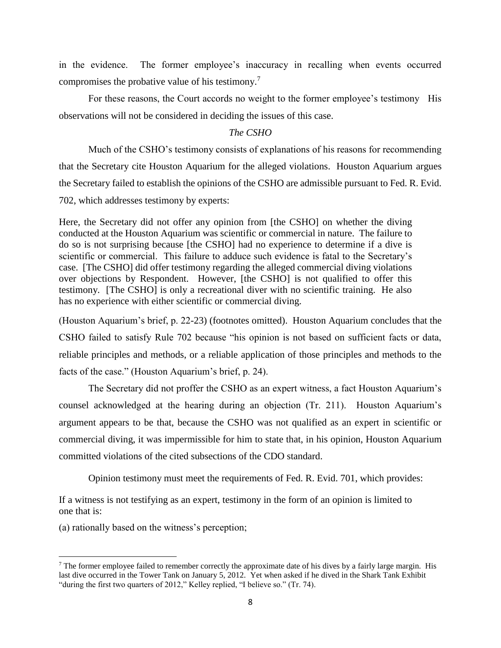in the evidence. The former employee's inaccuracy in recalling when events occurred compromises the probative value of his testimony.<sup>7</sup>

For these reasons, the Court accords no weight to the former employee's testimony His observations will not be considered in deciding the issues of this case.

## *The CSHO*

Much of the CSHO's testimony consists of explanations of his reasons for recommending that the Secretary cite Houston Aquarium for the alleged violations. Houston Aquarium argues the Secretary failed to establish the opinions of the CSHO are admissible pursuant to Fed. R. Evid. 702, which addresses testimony by experts:

Here, the Secretary did not offer any opinion from [the CSHO] on whether the diving conducted at the Houston Aquarium was scientific or commercial in nature. The failure to do so is not surprising because [the CSHO] had no experience to determine if a dive is scientific or commercial. This failure to adduce such evidence is fatal to the Secretary's case. [The CSHO] did offer testimony regarding the alleged commercial diving violations over objections by Respondent. However, [the CSHO] is not qualified to offer this testimony. [The CSHO] is only a recreational diver with no scientific training. He also has no experience with either scientific or commercial diving.

(Houston Aquarium's brief, p. 22-23) (footnotes omitted). Houston Aquarium concludes that the CSHO failed to satisfy Rule 702 because "his opinion is not based on sufficient facts or data, reliable principles and methods, or a reliable application of those principles and methods to the facts of the case." (Houston Aquarium's brief, p. 24).

The Secretary did not proffer the CSHO as an expert witness, a fact Houston Aquarium's counsel acknowledged at the hearing during an objection (Tr. 211). Houston Aquarium's argument appears to be that, because the CSHO was not qualified as an expert in scientific or commercial diving, it was impermissible for him to state that, in his opinion, Houston Aquarium committed violations of the cited subsections of the CDO standard.

Opinion testimony must meet the requirements of Fed. R. Evid. 701, which provides:

If a witness is not testifying as an expert, testimony in the form of an opinion is limited to one that is:

(a) rationally based on the witness's perception;

 $<sup>7</sup>$  The former employee failed to remember correctly the approximate date of his dives by a fairly large margin. His</sup> last dive occurred in the Tower Tank on January 5, 2012. Yet when asked if he dived in the Shark Tank Exhibit "during the first two quarters of 2012," Kelley replied, "I believe so." (Tr. 74).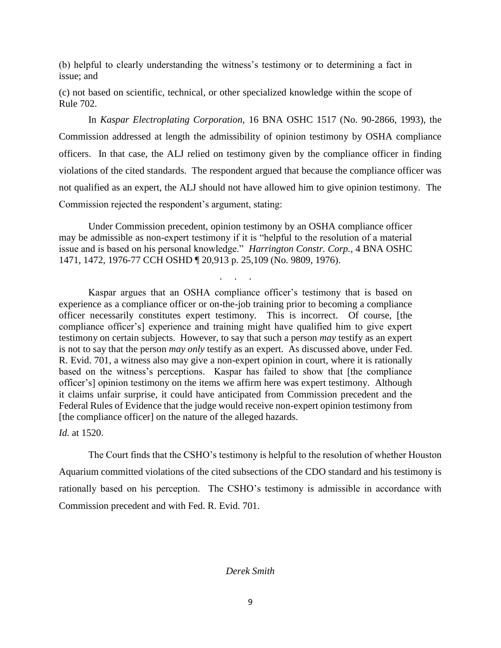(b) helpful to clearly understanding the witness's testimony or to determining a fact in issue; and

(c) not based on scientific, technical, or other specialized knowledge within the scope of Rule 702.

In *Kaspar Electroplating Corporation,* 16 BNA OSHC 1517 (No. 90-2866, 1993), the Commission addressed at length the admissibility of opinion testimony by OSHA compliance officers. In that case, the ALJ relied on testimony given by the compliance officer in finding violations of the cited standards. The respondent argued that because the compliance officer was not qualified as an expert, the ALJ should not have allowed him to give opinion testimony. The Commission rejected the respondent's argument, stating:

Under Commission precedent, opinion testimony by an OSHA compliance officer may be admissible as non-expert testimony if it is "helpful to the resolution of a material issue and is based on his personal knowledge." *Harrington Constr. Corp.,* 4 BNA OSHC 1471, 1472, 1976-77 CCH OSHD ¶ 20,913 p. 25,109 (No. 9809, 1976).

. . . . .

Kaspar argues that an OSHA compliance officer's testimony that is based on experience as a compliance officer or on-the-job training prior to becoming a compliance officer necessarily constitutes expert testimony. This is incorrect. Of course, [the compliance officer's] experience and training might have qualified him to give expert testimony on certain subjects. However, to say that such a person *may* testify as an expert is not to say that the person *may only* testify as an expert. As discussed above, under Fed. R. Evid. 701, a witness also may give a non-expert opinion in court, where it is rationally based on the witness's perceptions. Kaspar has failed to show that [the compliance officer's] opinion testimony on the items we affirm here was expert testimony. Although it claims unfair surprise, it could have anticipated from Commission precedent and the Federal Rules of Evidence that the judge would receive non-expert opinion testimony from [the compliance officer] on the nature of the alleged hazards.

*Id.* at 1520.

The Court finds that the CSHO's testimony is helpful to the resolution of whether Houston Aquarium committed violations of the cited subsections of the CDO standard and his testimony is rationally based on his perception. The CSHO's testimony is admissible in accordance with Commission precedent and with Fed. R. Evid. 701.

## *Derek Smith*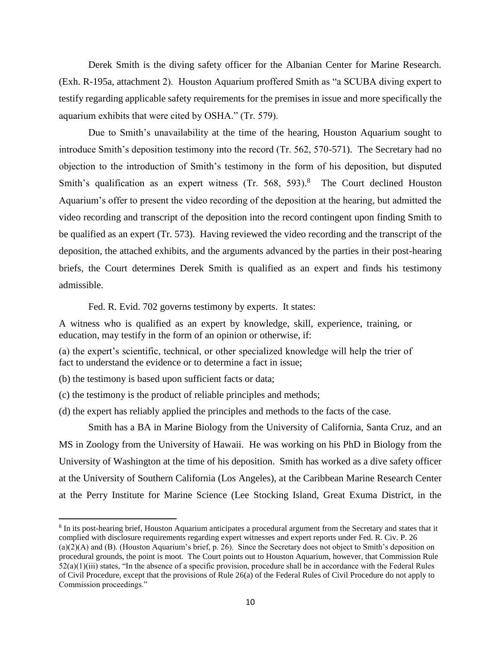Derek Smith is the diving safety officer for the Albanian Center for Marine Research. (Exh. R-195a, attachment 2). Houston Aquarium proffered Smith as "a SCUBA diving expert to testify regarding applicable safety requirements for the premises in issue and more specifically the aquarium exhibits that were cited by OSHA." (Tr. 579).

Due to Smith's unavailability at the time of the hearing, Houston Aquarium sought to introduce Smith's deposition testimony into the record (Tr. 562, 570-571). The Secretary had no objection to the introduction of Smith's testimony in the form of his deposition, but disputed Smith's qualification as an expert witness (Tr. 568, 593).<sup>8</sup> The Court declined Houston Aquarium's offer to present the video recording of the deposition at the hearing, but admitted the video recording and transcript of the deposition into the record contingent upon finding Smith to be qualified as an expert (Tr. 573). Having reviewed the video recording and the transcript of the deposition, the attached exhibits, and the arguments advanced by the parties in their post-hearing briefs, the Court determines Derek Smith is qualified as an expert and finds his testimony admissible.

Fed. R. Evid. 702 governs testimony by experts. It states:

A witness who is qualified as an expert by knowledge, skill, experience, training, or education, may testify in the form of an opinion or otherwise, if:

(a) the expert's scientific, technical, or other specialized knowledge will help the trier of fact to understand the evidence or to determine a fact in issue;

(b) the testimony is based upon sufficient facts or data;

 $\overline{\phantom{a}}$ 

(c) the testimony is the product of reliable principles and methods;

(d) the expert has reliably applied the principles and methods to the facts of the case.

 Smith has a BA in Marine Biology from the University of California, Santa Cruz, and an MS in Zoology from the University of Hawaii. He was working on his PhD in Biology from the University of Washington at the time of his deposition. Smith has worked as a dive safety officer at the University of Southern California (Los Angeles), at the Caribbean Marine Research Center at the Perry Institute for Marine Science (Lee Stocking Island, Great Exuma District, in the

<sup>&</sup>lt;sup>8</sup> In its post-hearing brief, Houston Aquarium anticipates a procedural argument from the Secretary and states that it complied with disclosure requirements regarding expert witnesses and expert reports under Fed. R. Civ. P. 26 (a)(2)(A) and (B). (Houston Aquarium's brief, p. 26). Since the Secretary does not object to Smith's deposition on procedural grounds, the point is moot. The Court points out to Houston Aquarium, however, that Commission Rule  $52(a)(1)(iii)$  states, "In the absence of a specific provision, procedure shall be in accordance with the Federal Rules of Civil Procedure, except that the provisions of Rule 26(a) of the Federal Rules of Civil Procedure do not apply to Commission proceedings."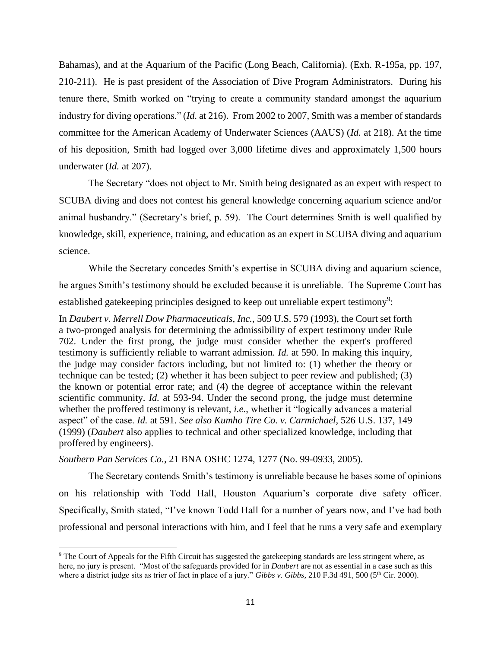Bahamas), and at the Aquarium of the Pacific (Long Beach, California). (Exh. R-195a, pp. 197, 210-211). He is past president of the Association of Dive Program Administrators. During his tenure there, Smith worked on "trying to create a community standard amongst the aquarium industry for diving operations." (*Id.* at 216). From 2002 to 2007, Smith was a member of standards committee for the American Academy of Underwater Sciences (AAUS) (*Id.* at 218). At the time of his deposition, Smith had logged over 3,000 lifetime dives and approximately 1,500 hours underwater (*Id.* at 207).

The Secretary "does not object to Mr. Smith being designated as an expert with respect to SCUBA diving and does not contest his general knowledge concerning aquarium science and/or animal husbandry." (Secretary's brief, p. 59). The Court determines Smith is well qualified by knowledge, skill, experience, training, and education as an expert in SCUBA diving and aquarium science.

While the Secretary concedes Smith's expertise in SCUBA diving and aquarium science, he argues Smith's testimony should be excluded because it is unreliable. The Supreme Court has established gatekeeping principles designed to keep out unreliable expert testimony<sup>9</sup>:

In *Daubert v. Merrell Dow Pharmaceuticals, Inc.*, 509 U.S. 579 (1993), the Court set forth a two-pronged analysis for determining the admissibility of expert testimony under Rule 702. Under the first prong, the judge must consider whether the expert's proffered testimony is sufficiently reliable to warrant admission. *Id.* at 590. In making this inquiry, the judge may consider factors including, but not limited to: (1) whether the theory or technique can be tested; (2) whether it has been subject to peer review and published; (3) the known or potential error rate; and (4) the degree of acceptance within the relevant scientific community. *Id.* at 593-94. Under the second prong, the judge must determine whether the proffered testimony is relevant, *i.e.*, whether it "logically advances a material aspect" of the case. *Id.* at 591. *See also Kumho Tire Co. v. Carmichael*, 526 U.S. 137, 149 (1999) (*Daubert* also applies to technical and other specialized knowledge, including that proffered by engineers).

*Southern Pan Services Co.,* 21 BNA OSHC 1274, 1277 (No. 99-0933, 2005).

 $\overline{a}$ 

The Secretary contends Smith's testimony is unreliable because he bases some of opinions on his relationship with Todd Hall, Houston Aquarium's corporate dive safety officer. Specifically, Smith stated, "I've known Todd Hall for a number of years now, and I've had both professional and personal interactions with him, and I feel that he runs a very safe and exemplary

<sup>&</sup>lt;sup>9</sup> The Court of Appeals for the Fifth Circuit has suggested the gatekeeping standards are less stringent where, as here, no jury is present. "Most of the safeguards provided for in *Daubert* are not as essential in a case such as this where a district judge sits as trier of fact in place of a jury." *Gibbs v. Gibbs*, 210 F.3d 491, 500 (5<sup>th</sup> Cir. 2000).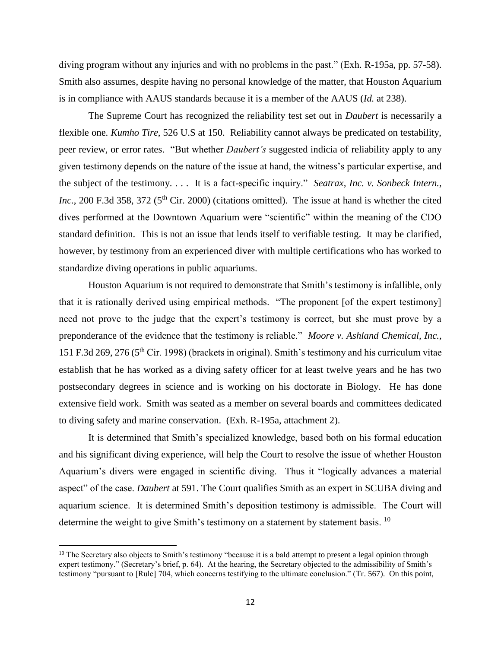diving program without any injuries and with no problems in the past." (Exh*.* R-195a, pp. 57-58). Smith also assumes, despite having no personal knowledge of the matter, that Houston Aquarium is in compliance with AAUS standards because it is a member of the AAUS (*Id.* at 238).

The Supreme Court has recognized the reliability test set out in *Daubert* is necessarily a flexible one. *Kumho Tire*, 526 U.S at 150. Reliability cannot always be predicated on testability, peer review, or error rates. "But whether *Daubert's* suggested indicia of reliability apply to any given testimony depends on the nature of the issue at hand, the witness's particular expertise, and the subject of the testimony. . . . It is a fact-specific inquiry." *Seatrax, Inc. v. Sonbeck Intern., Inc.*, 200 F.3d 358, 372 (5<sup>th</sup> Cir. 2000) (citations omitted). The issue at hand is whether the cited dives performed at the Downtown Aquarium were "scientific" within the meaning of the CDO standard definition. This is not an issue that lends itself to verifiable testing. It may be clarified, however, by testimony from an experienced diver with multiple certifications who has worked to standardize diving operations in public aquariums.

Houston Aquarium is not required to demonstrate that Smith's testimony is infallible, only that it is rationally derived using empirical methods. "The proponent [of the expert testimony] need not prove to the judge that the expert's testimony is correct, but she must prove by a preponderance of the evidence that the testimony is reliable." *Moore v. Ashland Chemical, Inc.,*  151 F.3d 269, 276 (5th Cir. 1998) (brackets in original). Smith's testimony and his curriculum vitae establish that he has worked as a diving safety officer for at least twelve years and he has two postsecondary degrees in science and is working on his doctorate in Biology. He has done extensive field work. Smith was seated as a member on several boards and committees dedicated to diving safety and marine conservation. (Exh. R-195a, attachment 2).

It is determined that Smith's specialized knowledge, based both on his formal education and his significant diving experience, will help the Court to resolve the issue of whether Houston Aquarium's divers were engaged in scientific diving. Thus it "logically advances a material aspect" of the case. *Daubert* at 591. The Court qualifies Smith as an expert in SCUBA diving and aquarium science. It is determined Smith's deposition testimony is admissible. The Court will determine the weight to give Smith's testimony on a statement by statement basis. <sup>10</sup>

 $\overline{a}$ 

<sup>&</sup>lt;sup>10</sup> The Secretary also objects to Smith's testimony "because it is a bald attempt to present a legal opinion through expert testimony." (Secretary's brief, p. 64). At the hearing, the Secretary objected to the admissibility of Smith's testimony "pursuant to [Rule] 704, which concerns testifying to the ultimate conclusion." (Tr. 567). On this point,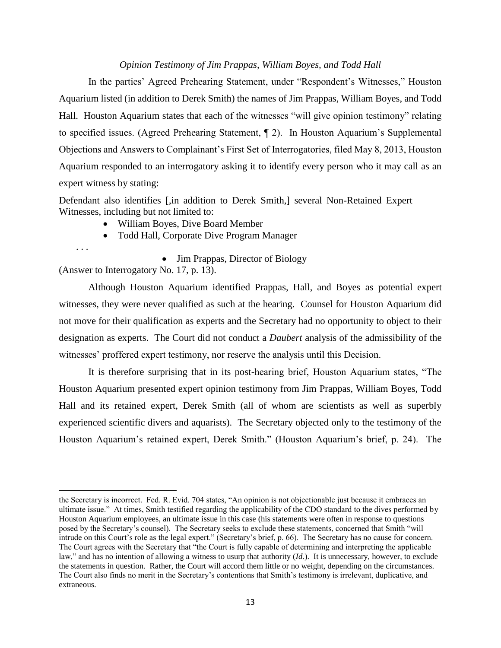## *Opinion Testimony of Jim Prappas, William Boyes, and Todd Hall*

In the parties' Agreed Prehearing Statement, under "Respondent's Witnesses," Houston Aquarium listed (in addition to Derek Smith) the names of Jim Prappas, William Boyes, and Todd Hall. Houston Aquarium states that each of the witnesses "will give opinion testimony" relating to specified issues. (Agreed Prehearing Statement, ¶ 2). In Houston Aquarium's Supplemental Objections and Answers to Complainant's First Set of Interrogatories, filed May 8, 2013, Houston Aquarium responded to an interrogatory asking it to identify every person who it may call as an expert witness by stating:

Defendant also identifies [,in addition to Derek Smith,] several Non-Retained Expert Witnesses, including but not limited to:

- William Boyes, Dive Board Member
- Todd Hall, Corporate Dive Program Manager

. . .

 $\overline{a}$ 

• Jim Prappas, Director of Biology

(Answer to Interrogatory No. 17, p. 13).

Although Houston Aquarium identified Prappas, Hall, and Boyes as potential expert witnesses, they were never qualified as such at the hearing. Counsel for Houston Aquarium did not move for their qualification as experts and the Secretary had no opportunity to object to their designation as experts. The Court did not conduct a *Daubert* analysis of the admissibility of the witnesses' proffered expert testimony, nor reserve the analysis until this Decision.

It is therefore surprising that in its post-hearing brief, Houston Aquarium states, "The Houston Aquarium presented expert opinion testimony from Jim Prappas, William Boyes, Todd Hall and its retained expert, Derek Smith (all of whom are scientists as well as superbly experienced scientific divers and aquarists). The Secretary objected only to the testimony of the Houston Aquarium's retained expert, Derek Smith." (Houston Aquarium's brief, p. 24). The

the Secretary is incorrect. Fed. R. Evid. 704 states, "An opinion is not objectionable just because it embraces an ultimate issue." At times, Smith testified regarding the applicability of the CDO standard to the dives performed by Houston Aquarium employees, an ultimate issue in this case (his statements were often in response to questions posed by the Secretary's counsel). The Secretary seeks to exclude these statements, concerned that Smith "will intrude on this Court's role as the legal expert." (Secretary's brief, p. 66). The Secretary has no cause for concern. The Court agrees with the Secretary that "the Court is fully capable of determining and interpreting the applicable law," and has no intention of allowing a witness to usurp that authority (*Id.*). It is unnecessary, however, to exclude the statements in question. Rather, the Court will accord them little or no weight, depending on the circumstances. The Court also finds no merit in the Secretary's contentions that Smith's testimony is irrelevant, duplicative, and extraneous.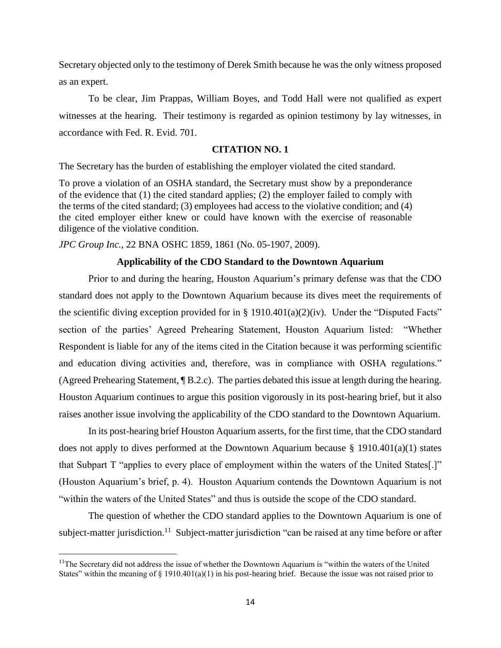Secretary objected only to the testimony of Derek Smith because he was the only witness proposed as an expert.

To be clear, Jim Prappas, William Boyes, and Todd Hall were not qualified as expert witnesses at the hearing. Their testimony is regarded as opinion testimony by lay witnesses, in accordance with Fed. R. Evid. 701.

#### **CITATION NO. 1**

The Secretary has the burden of establishing the employer violated the cited standard.

To prove a violation of an OSHA standard, the Secretary must show by a preponderance of the evidence that (1) the cited standard applies; (2) the employer failed to comply with the terms of the cited standard; (3) employees had access to the violative condition; and (4) the cited employer either knew or could have known with the exercise of reasonable diligence of the violative condition.

*JPC Group Inc.,* 22 BNA OSHC 1859, 1861 (No. 05-1907, 2009).

### **Applicability of the CDO Standard to the Downtown Aquarium**

Prior to and during the hearing, Houston Aquarium's primary defense was that the CDO standard does not apply to the Downtown Aquarium because its dives meet the requirements of the scientific diving exception provided for in § 1910.401(a)(2)(iv). Under the "Disputed Facts" section of the parties' Agreed Prehearing Statement, Houston Aquarium listed: "Whether Respondent is liable for any of the items cited in the Citation because it was performing scientific and education diving activities and, therefore, was in compliance with OSHA regulations." (Agreed Prehearing Statement, ¶ B.2.c). The parties debated this issue at length during the hearing. Houston Aquarium continues to argue this position vigorously in its post-hearing brief, but it also raises another issue involving the applicability of the CDO standard to the Downtown Aquarium.

In its post-hearing brief Houston Aquarium asserts, for the first time, that the CDO standard does not apply to dives performed at the Downtown Aquarium because § 1910.401(a)(1) states that Subpart T "applies to every place of employment within the waters of the United States[.]" (Houston Aquarium's brief, p. 4). Houston Aquarium contends the Downtown Aquarium is not "within the waters of the United States" and thus is outside the scope of the CDO standard.

The question of whether the CDO standard applies to the Downtown Aquarium is one of subject-matter jurisdiction.<sup>11</sup> Subject-matter jurisdiction "can be raised at any time before or after

<sup>&</sup>lt;sup>11</sup>The Secretary did not address the issue of whether the Downtown Aquarium is "within the waters of the United States" within the meaning of  $\S$  1910.401(a)(1) in his post-hearing brief. Because the issue was not raised prior to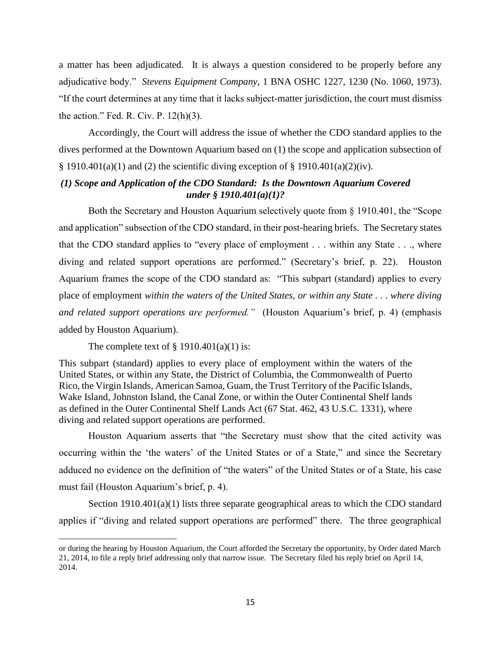a matter has been adjudicated. It is always a question considered to be properly before any adjudicative body." *Stevens Equipment Company,* 1 BNA OSHC 1227, 1230 (No. 1060, 1973). "If the court determines at any time that it lacks subject-matter jurisdiction, the court must dismiss the action." Fed. R. Civ. P.  $12(h)(3)$ .

Accordingly, the Court will address the issue of whether the CDO standard applies to the dives performed at the Downtown Aquarium based on (1) the scope and application subsection of § 1910.401(a)(1) and (2) the scientific diving exception of § 1910.401(a)(2)(iv).

## *(1) Scope and Application of the CDO Standard: Is the Downtown Aquarium Covered under § 1910.401(a)(1)?*

Both the Secretary and Houston Aquarium selectively quote from § 1910.401, the "Scope and application" subsection of the CDO standard, in their post-hearing briefs. The Secretary states that the CDO standard applies to "every place of employment . . . within any State . . ., where diving and related support operations are performed." (Secretary's brief, p. 22). Houston Aquarium frames the scope of the CDO standard as: "This subpart (standard) applies to every place of employment *within the waters of the United States, or within any State . . . where diving and related support operations are performed."* (Houston Aquarium's brief, p. 4) (emphasis added by Houston Aquarium).

The complete text of  $\S$  1910.401(a)(1) is:

 $\overline{a}$ 

This subpart (standard) applies to every place of employment within the waters of the United States, or within any State, the District of Columbia, the Commonwealth of Puerto Rico, the Virgin Islands, American Samoa, Guam, the Trust Territory of the Pacific Islands, Wake Island, Johnston Island, the Canal Zone, or within the Outer Continental Shelf lands as defined in the Outer Continental Shelf Lands Act (67 Stat. 462, 43 U.S.C. 1331), where diving and related support operations are performed.

Houston Aquarium asserts that "the Secretary must show that the cited activity was occurring within the 'the waters' of the United States or of a State," and since the Secretary adduced no evidence on the definition of "the waters" of the United States or of a State, his case must fail (Houston Aquarium's brief, p. 4).

Section 1910.401(a)(1) lists three separate geographical areas to which the CDO standard applies if "diving and related support operations are performed" there. The three geographical

or during the hearing by Houston Aquarium, the Court afforded the Secretary the opportunity, by Order dated March 21, 2014, to file a reply brief addressing only that narrow issue. The Secretary filed his reply brief on April 14, 2014.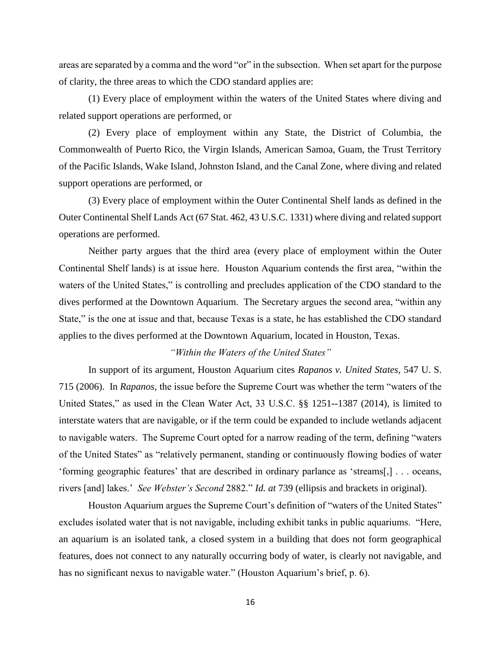areas are separated by a comma and the word "or" in the subsection. When set apart for the purpose of clarity, the three areas to which the CDO standard applies are:

(1) Every place of employment within the waters of the United States where diving and related support operations are performed, or

(2) Every place of employment within any State, the District of Columbia, the Commonwealth of Puerto Rico, the Virgin Islands, American Samoa, Guam, the Trust Territory of the Pacific Islands, Wake Island, Johnston Island, and the Canal Zone, where diving and related support operations are performed, or

(3) Every place of employment within the Outer Continental Shelf lands as defined in the Outer Continental Shelf Lands Act (67 Stat. 462, 43 U.S.C. 1331) where diving and related support operations are performed.

Neither party argues that the third area (every place of employment within the Outer Continental Shelf lands) is at issue here. Houston Aquarium contends the first area, "within the waters of the United States," is controlling and precludes application of the CDO standard to the dives performed at the Downtown Aquarium. The Secretary argues the second area, "within any State," is the one at issue and that, because Texas is a state, he has established the CDO standard applies to the dives performed at the Downtown Aquarium, located in Houston, Texas.

## *"Within the Waters of the United States"*

In support of its argument, Houston Aquarium cites *Rapanos v. United States,* 547 U. S. 715 (2006). In *Rapanos,* the issue before the Supreme Court was whether the term "waters of the United States," as used in the Clean Water Act, 33 U.S.C. §§ 1251--1387 (2014), is limited to interstate waters that are navigable, or if the term could be expanded to include wetlands adjacent to navigable waters. The Supreme Court opted for a narrow reading of the term, defining "waters of the United States" as "relatively permanent, standing or continuously flowing bodies of water 'forming geographic features' that are described in ordinary parlance as 'streams[,] . . . oceans, rivers [and] lakes.' *See Webster's Second* 2882." *Id. at* 739 (ellipsis and brackets in original).

Houston Aquarium argues the Supreme Court's definition of "waters of the United States" excludes isolated water that is not navigable, including exhibit tanks in public aquariums. "Here, an aquarium is an isolated tank, a closed system in a building that does not form geographical features, does not connect to any naturally occurring body of water, is clearly not navigable, and has no significant nexus to navigable water." (Houston Aquarium's brief, p. 6).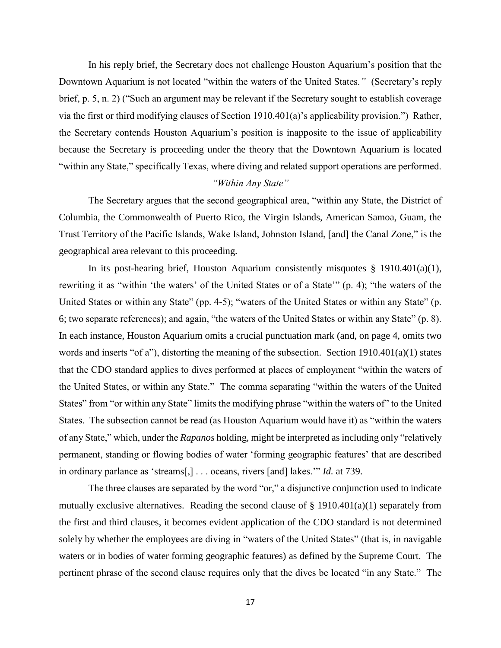In his reply brief, the Secretary does not challenge Houston Aquarium's position that the Downtown Aquarium is not located "within the waters of the United States*."* (Secretary's reply brief, p. 5, n. 2) ("Such an argument may be relevant if the Secretary sought to establish coverage via the first or third modifying clauses of Section 1910.401(a)'s applicability provision.") Rather, the Secretary contends Houston Aquarium's position is inapposite to the issue of applicability because the Secretary is proceeding under the theory that the Downtown Aquarium is located "within any State," specifically Texas, where diving and related support operations are performed.

## *"Within Any State"*

The Secretary argues that the second geographical area, "within any State, the District of Columbia, the Commonwealth of Puerto Rico, the Virgin Islands, American Samoa, Guam, the Trust Territory of the Pacific Islands, Wake Island, Johnston Island, [and] the Canal Zone," is the geographical area relevant to this proceeding.

In its post-hearing brief, Houston Aquarium consistently misquotes  $\S$  1910.401(a)(1), rewriting it as "within 'the waters' of the United States or of a State'" (p. 4); "the waters of the United States or within any State" (pp. 4-5); "waters of the United States or within any State" (p. 6; two separate references); and again, "the waters of the United States or within any State" (p. 8). In each instance, Houston Aquarium omits a crucial punctuation mark (and, on page 4, omits two words and inserts "of a"), distorting the meaning of the subsection. Section 1910.401(a)(1) states that the CDO standard applies to dives performed at places of employment "within the waters of the United States, or within any State." The comma separating "within the waters of the United States" from "or within any State" limits the modifying phrase "within the waters of" to the United States. The subsection cannot be read (as Houston Aquarium would have it) as "within the waters of any State," which, under the *Rapanos* holding, might be interpreted as including only "relatively permanent, standing or flowing bodies of water 'forming geographic features' that are described in ordinary parlance as 'streams[,] . . . oceans, rivers [and] lakes.'" *Id.* at 739.

The three clauses are separated by the word "or," a disjunctive conjunction used to indicate mutually exclusive alternatives. Reading the second clause of  $\S$  1910.401(a)(1) separately from the first and third clauses, it becomes evident application of the CDO standard is not determined solely by whether the employees are diving in "waters of the United States" (that is, in navigable waters or in bodies of water forming geographic features) as defined by the Supreme Court. The pertinent phrase of the second clause requires only that the dives be located "in any State." The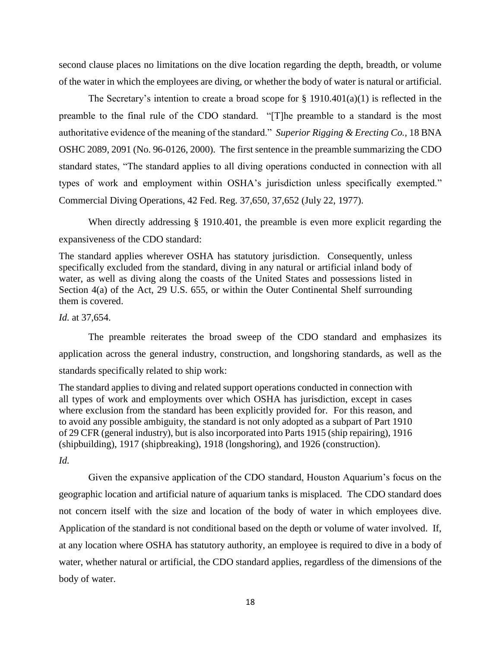second clause places no limitations on the dive location regarding the depth, breadth, or volume of the water in which the employees are diving, or whether the body of water is natural or artificial.

The Secretary's intention to create a broad scope for  $\S 1910.401(a)(1)$  is reflected in the preamble to the final rule of the CDO standard. "[T]he preamble to a standard is the most authoritative evidence of the meaning of the standard." *Superior Rigging & Erecting Co.,* 18 BNA OSHC 2089, 2091 (No. 96-0126, 2000). The first sentence in the preamble summarizing the CDO standard states, "The standard applies to all diving operations conducted in connection with all types of work and employment within OSHA's jurisdiction unless specifically exempted." Commercial Diving Operations, 42 Fed. Reg. 37,650, 37,652 (July 22, 1977).

When directly addressing § 1910.401, the preamble is even more explicit regarding the expansiveness of the CDO standard:

The standard applies wherever OSHA has statutory jurisdiction. Consequently, unless specifically excluded from the standard, diving in any natural or artificial inland body of water, as well as diving along the coasts of the United States and possessions listed in Section 4(a) of the Act, 29 U.S. 655, or within the Outer Continental Shelf surrounding them is covered.

*Id.* at 37,654.

The preamble reiterates the broad sweep of the CDO standard and emphasizes its application across the general industry, construction, and longshoring standards, as well as the standards specifically related to ship work:

The standard applies to diving and related support operations conducted in connection with all types of work and employments over which OSHA has jurisdiction, except in cases where exclusion from the standard has been explicitly provided for. For this reason, and to avoid any possible ambiguity, the standard is not only adopted as a subpart of Part 1910 of 29 CFR (general industry), but is also incorporated into Parts 1915 (ship repairing), 1916 (shipbuilding), 1917 (shipbreaking), 1918 (longshoring), and 1926 (construction). *Id.*

Given the expansive application of the CDO standard, Houston Aquarium's focus on the geographic location and artificial nature of aquarium tanks is misplaced. The CDO standard does not concern itself with the size and location of the body of water in which employees dive. Application of the standard is not conditional based on the depth or volume of water involved. If, at any location where OSHA has statutory authority, an employee is required to dive in a body of water, whether natural or artificial, the CDO standard applies, regardless of the dimensions of the body of water.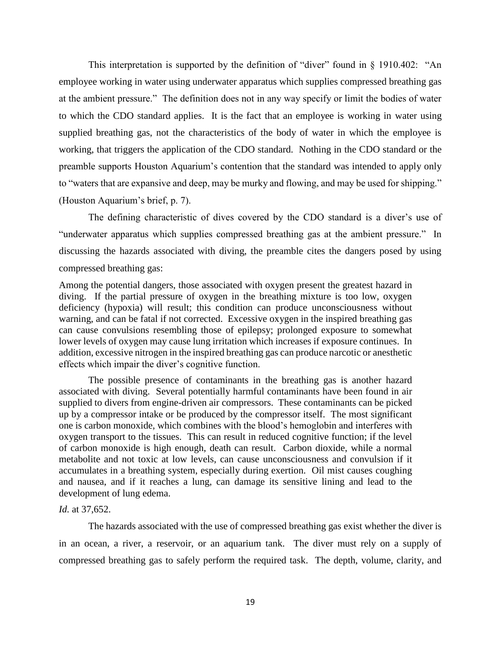This interpretation is supported by the definition of "diver" found in § 1910.402: "An employee working in water using underwater apparatus which supplies compressed breathing gas at the ambient pressure." The definition does not in any way specify or limit the bodies of water to which the CDO standard applies. It is the fact that an employee is working in water using supplied breathing gas, not the characteristics of the body of water in which the employee is working, that triggers the application of the CDO standard. Nothing in the CDO standard or the preamble supports Houston Aquarium's contention that the standard was intended to apply only to "waters that are expansive and deep, may be murky and flowing, and may be used for shipping." (Houston Aquarium's brief, p. 7).

The defining characteristic of dives covered by the CDO standard is a diver's use of "underwater apparatus which supplies compressed breathing gas at the ambient pressure." In discussing the hazards associated with diving, the preamble cites the dangers posed by using compressed breathing gas:

Among the potential dangers, those associated with oxygen present the greatest hazard in diving. If the partial pressure of oxygen in the breathing mixture is too low, oxygen deficiency (hypoxia) will result; this condition can produce unconsciousness without warning, and can be fatal if not corrected. Excessive oxygen in the inspired breathing gas can cause convulsions resembling those of epilepsy; prolonged exposure to somewhat lower levels of oxygen may cause lung irritation which increases if exposure continues. In addition, excessive nitrogen in the inspired breathing gas can produce narcotic or anesthetic effects which impair the diver's cognitive function.

The possible presence of contaminants in the breathing gas is another hazard associated with diving. Several potentially harmful contaminants have been found in air supplied to divers from engine-driven air compressors. These contaminants can be picked up by a compressor intake or be produced by the compressor itself. The most significant one is carbon monoxide, which combines with the blood's hemoglobin and interferes with oxygen transport to the tissues. This can result in reduced cognitive function; if the level of carbon monoxide is high enough, death can result. Carbon dioxide, while a normal metabolite and not toxic at low levels, can cause unconsciousness and convulsion if it accumulates in a breathing system, especially during exertion. Oil mist causes coughing and nausea, and if it reaches a lung, can damage its sensitive lining and lead to the development of lung edema.

#### *Id.* at 37,652.

The hazards associated with the use of compressed breathing gas exist whether the diver is in an ocean, a river, a reservoir, or an aquarium tank. The diver must rely on a supply of compressed breathing gas to safely perform the required task. The depth, volume, clarity, and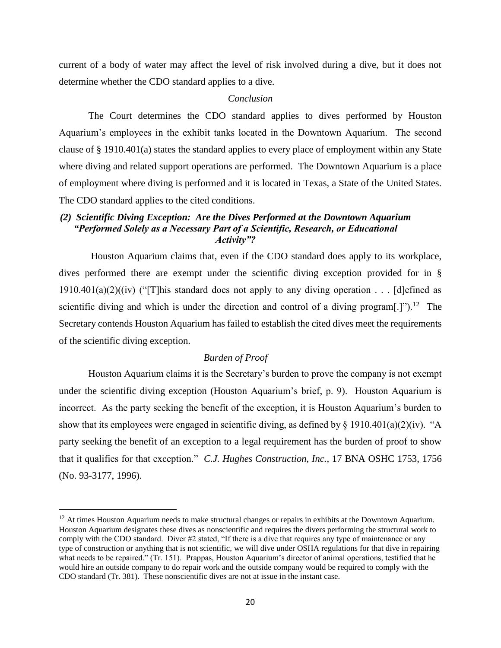current of a body of water may affect the level of risk involved during a dive, but it does not determine whether the CDO standard applies to a dive.

## *Conclusion*

The Court determines the CDO standard applies to dives performed by Houston Aquarium's employees in the exhibit tanks located in the Downtown Aquarium. The second clause of § 1910.401(a) states the standard applies to every place of employment within any State where diving and related support operations are performed. The Downtown Aquarium is a place of employment where diving is performed and it is located in Texas, a State of the United States. The CDO standard applies to the cited conditions.

# *(2) Scientific Diving Exception: Are the Dives Performed at the Downtown Aquarium "Performed Solely as a Necessary Part of a Scientific, Research, or Educational Activity"?*

Houston Aquarium claims that, even if the CDO standard does apply to its workplace, dives performed there are exempt under the scientific diving exception provided for in §  $1910.401(a)(2)((iv)$  ("This standard does not apply to any diving operation . . . [d]efined as scientific diving and which is under the direction and control of a diving program $[.]$ ").<sup>12</sup> The Secretary contends Houston Aquarium has failed to establish the cited dives meet the requirements of the scientific diving exception.

## *Burden of Proof*

Houston Aquarium claims it is the Secretary's burden to prove the company is not exempt under the scientific diving exception (Houston Aquarium's brief, p. 9). Houston Aquarium is incorrect. As the party seeking the benefit of the exception, it is Houston Aquarium's burden to show that its employees were engaged in scientific diving, as defined by  $\S$  1910.401(a)(2)(iv). "A party seeking the benefit of an exception to a legal requirement has the burden of proof to show that it qualifies for that exception." *C.J. Hughes Construction, Inc.,* 17 BNA OSHC 1753, 1756 (No. 93-3177, 1996).

 $\overline{a}$ 

<sup>&</sup>lt;sup>12</sup> At times Houston Aquarium needs to make structural changes or repairs in exhibits at the Downtown Aquarium. Houston Aquarium designates these dives as nonscientific and requires the divers performing the structural work to comply with the CDO standard. Diver #2 stated, "If there is a dive that requires any type of maintenance or any type of construction or anything that is not scientific, we will dive under OSHA regulations for that dive in repairing what needs to be repaired." (Tr. 151). Prappas, Houston Aquarium's director of animal operations, testified that he would hire an outside company to do repair work and the outside company would be required to comply with the CDO standard (Tr. 381). These nonscientific dives are not at issue in the instant case.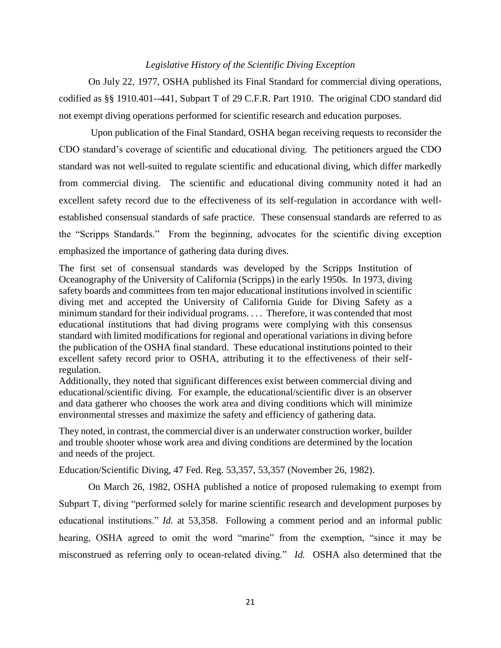## *Legislative History of the Scientific Diving Exception*

On July 22, 1977, OSHA published its Final Standard for commercial diving operations, codified as §§ 1910.401--441, Subpart T of 29 C.F.R. Part 1910. The original CDO standard did not exempt diving operations performed for scientific research and education purposes.

Upon publication of the Final Standard, OSHA began receiving requests to reconsider the CDO standard's coverage of scientific and educational diving. The petitioners argued the CDO standard was not well-suited to regulate scientific and educational diving, which differ markedly from commercial diving. The scientific and educational diving community noted it had an excellent safety record due to the effectiveness of its self-regulation in accordance with wellestablished consensual standards of safe practice. These consensual standards are referred to as the "Scripps Standards." From the beginning, advocates for the scientific diving exception emphasized the importance of gathering data during dives.

The first set of consensual standards was developed by the Scripps Institution of Oceanography of the University of California (Scripps) in the early 1950s. In 1973, diving safety boards and committees from ten major educational institutions involved in scientific diving met and accepted the University of California Guide for Diving Safety as a minimum standard for their individual programs. . . . Therefore, it was contended that most educational institutions that had diving programs were complying with this consensus standard with limited modifications for regional and operational variations in diving before the publication of the OSHA final standard. These educational institutions pointed to their excellent safety record prior to OSHA, attributing it to the effectiveness of their selfregulation.

Additionally, they noted that significant differences exist between commercial diving and educational/scientific diving. For example, the educational/scientific diver is an observer and data gatherer who chooses the work area and diving conditions which will minimize environmental stresses and maximize the safety and efficiency of gathering data.

They noted, in contrast, the commercial diver is an underwater construction worker, builder and trouble shooter whose work area and diving conditions are determined by the location and needs of the project.

Education/Scientific Diving, 47 Fed. Reg. 53,357, 53,357 (November 26, 1982).

On March 26, 1982, OSHA published a notice of proposed rulemaking to exempt from Subpart T, diving "performed solely for marine scientific research and development purposes by educational institutions." *Id.* at 53,358. Following a comment period and an informal public hearing, OSHA agreed to omit the word "marine" from the exemption, "since it may be misconstrued as referring only to ocean-related diving." *Id.* OSHA also determined that the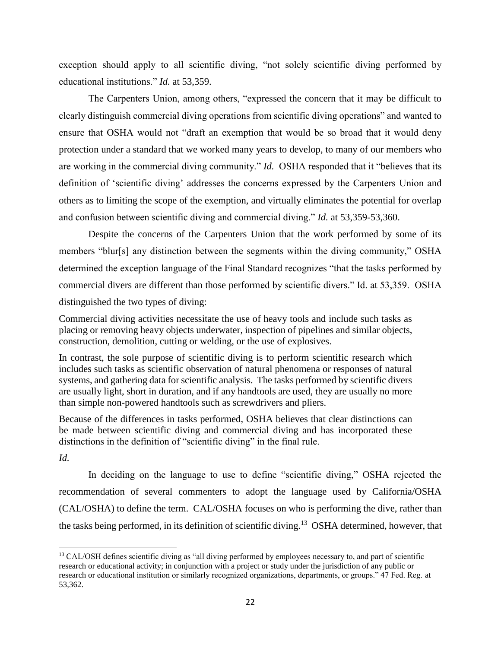exception should apply to all scientific diving, "not solely scientific diving performed by educational institutions." *Id.* at 53,359.

The Carpenters Union, among others, "expressed the concern that it may be difficult to clearly distinguish commercial diving operations from scientific diving operations" and wanted to ensure that OSHA would not "draft an exemption that would be so broad that it would deny protection under a standard that we worked many years to develop, to many of our members who are working in the commercial diving community." *Id.* OSHA responded that it "believes that its definition of 'scientific diving' addresses the concerns expressed by the Carpenters Union and others as to limiting the scope of the exemption, and virtually eliminates the potential for overlap and confusion between scientific diving and commercial diving." *Id.* at 53,359-53,360.

Despite the concerns of the Carpenters Union that the work performed by some of its members "blur[s] any distinction between the segments within the diving community," OSHA determined the exception language of the Final Standard recognizes "that the tasks performed by commercial divers are different than those performed by scientific divers." Id. at 53,359. OSHA distinguished the two types of diving:

Commercial diving activities necessitate the use of heavy tools and include such tasks as placing or removing heavy objects underwater, inspection of pipelines and similar objects, construction, demolition, cutting or welding, or the use of explosives.

In contrast, the sole purpose of scientific diving is to perform scientific research which includes such tasks as scientific observation of natural phenomena or responses of natural systems, and gathering data for scientific analysis. The tasks performed by scientific divers are usually light, short in duration, and if any handtools are used, they are usually no more than simple non-powered handtools such as screwdrivers and pliers.

Because of the differences in tasks performed, OSHA believes that clear distinctions can be made between scientific diving and commercial diving and has incorporated these distinctions in the definition of "scientific diving" in the final rule.

*Id.*

 $\overline{a}$ 

In deciding on the language to use to define "scientific diving," OSHA rejected the recommendation of several commenters to adopt the language used by California/OSHA (CAL/OSHA) to define the term. CAL/OSHA focuses on who is performing the dive, rather than the tasks being performed, in its definition of scientific diving.<sup>13</sup> OSHA determined, however, that

<sup>&</sup>lt;sup>13</sup> CAL/OSH defines scientific diving as "all diving performed by employees necessary to, and part of scientific research or educational activity; in conjunction with a project or study under the jurisdiction of any public or research or educational institution or similarly recognized organizations, departments, or groups." 47 Fed. Reg. at 53,362.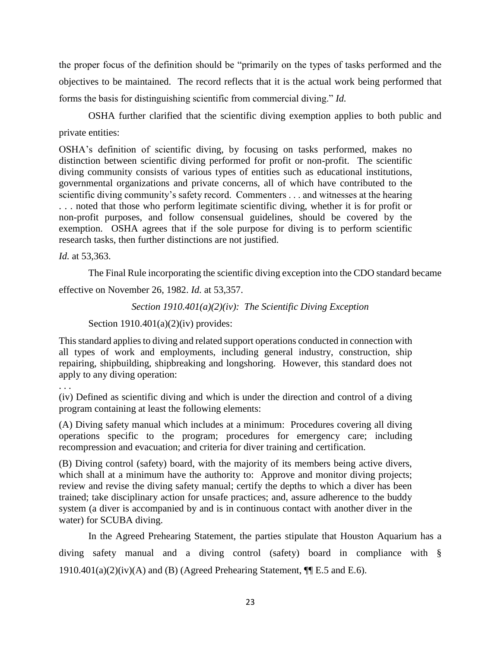the proper focus of the definition should be "primarily on the types of tasks performed and the objectives to be maintained. The record reflects that it is the actual work being performed that forms the basis for distinguishing scientific from commercial diving." *Id.*

OSHA further clarified that the scientific diving exemption applies to both public and private entities:

OSHA's definition of scientific diving, by focusing on tasks performed, makes no distinction between scientific diving performed for profit or non-profit. The scientific diving community consists of various types of entities such as educational institutions, governmental organizations and private concerns, all of which have contributed to the scientific diving community's safety record. Commenters . . . and witnesses at the hearing . . . noted that those who perform legitimate scientific diving, whether it is for profit or non-profit purposes, and follow consensual guidelines, should be covered by the exemption. OSHA agrees that if the sole purpose for diving is to perform scientific research tasks, then further distinctions are not justified.

*Id.* at 53,363.

The Final Rule incorporating the scientific diving exception into the CDO standard became

effective on November 26, 1982. *Id.* at 53,357.

*Section 1910.401(a)(2)(iv): The Scientific Diving Exception*

Section  $1910.401(a)(2)(iv)$  provides:

This standard applies to diving and related support operations conducted in connection with all types of work and employments, including general industry, construction, ship repairing, shipbuilding, shipbreaking and longshoring. However, this standard does not apply to any diving operation:

. . .

(iv) Defined as scientific diving and which is under the direction and control of a diving program containing at least the following elements:

(A) Diving safety manual which includes at a minimum: Procedures covering all diving operations specific to the program; procedures for emergency care; including recompression and evacuation; and criteria for diver training and certification.

(B) Diving control (safety) board, with the majority of its members being active divers, which shall at a minimum have the authority to: Approve and monitor diving projects; review and revise the diving safety manual; certify the depths to which a diver has been trained; take disciplinary action for unsafe practices; and, assure adherence to the buddy system (a diver is accompanied by and is in continuous contact with another diver in the water) for SCUBA diving.

In the Agreed Prehearing Statement, the parties stipulate that Houston Aquarium has a diving safety manual and a diving control (safety) board in compliance with §  $1910.401(a)(2)(iv)(A)$  and (B) (Agreed Prehearing Statement,  $\P$ [E.5 and E.6).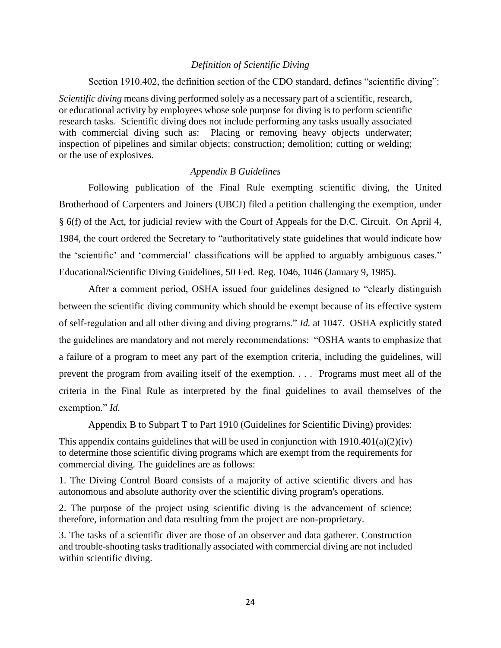### *Definition of Scientific Diving*

Section 1910.402, the definition section of the CDO standard, defines "scientific diving":

*Scientific diving* means diving performed solely as a necessary part of a scientific, research, or educational activity by employees whose sole purpose for diving is to perform scientific research tasks. Scientific diving does not include performing any tasks usually associated with commercial diving such as: Placing or removing heavy objects underwater; inspection of pipelines and similar objects; construction; demolition; cutting or welding; or the use of explosives.

## *Appendix B Guidelines*

Following publication of the Final Rule exempting scientific diving, the United Brotherhood of Carpenters and Joiners (UBCJ) filed a petition challenging the exemption, under § 6(f) of the Act, for judicial review with the Court of Appeals for the D.C. Circuit. On April 4, 1984, the court ordered the Secretary to "authoritatively state guidelines that would indicate how the 'scientific' and 'commercial' classifications will be applied to arguably ambiguous cases." Educational/Scientific Diving Guidelines, 50 Fed. Reg. 1046, 1046 (January 9, 1985).

After a comment period, OSHA issued four guidelines designed to "clearly distinguish between the scientific diving community which should be exempt because of its effective system of self-regulation and all other diving and diving programs." *Id.* at 1047. OSHA explicitly stated the guidelines are mandatory and not merely recommendations: "OSHA wants to emphasize that a failure of a program to meet any part of the exemption criteria, including the guidelines, will prevent the program from availing itself of the exemption. . . . Programs must meet all of the criteria in the Final Rule as interpreted by the final guidelines to avail themselves of the exemption." *Id.* 

Appendix B to Subpart T to Part 1910 (Guidelines for Scientific Diving) provides:

This appendix contains guidelines that will be used in conjunction with  $1910.401(a)(2)(iv)$ to determine those scientific diving programs which are exempt from the requirements for commercial diving. The guidelines are as follows:

1. The Diving Control Board consists of a majority of active scientific divers and has autonomous and absolute authority over the scientific diving program's operations.

2. The purpose of the project using scientific diving is the advancement of science; therefore, information and data resulting from the project are non-proprietary.

3. The tasks of a scientific diver are those of an observer and data gatherer. Construction and trouble-shooting tasks traditionally associated with commercial diving are not included within scientific diving.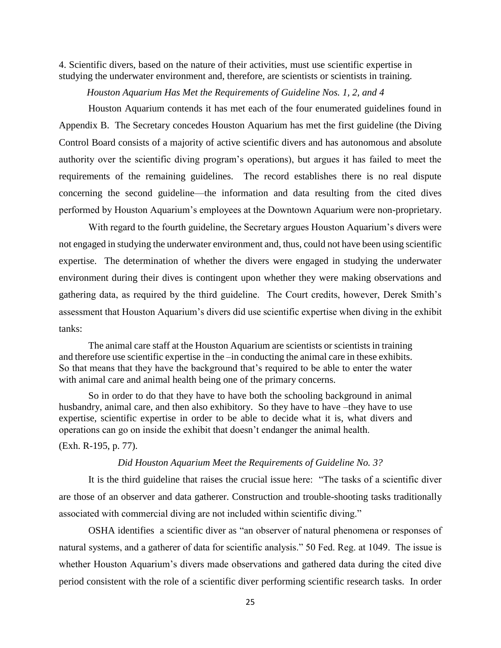4. Scientific divers, based on the nature of their activities, must use scientific expertise in studying the underwater environment and, therefore, are scientists or scientists in training.

#### *Houston Aquarium Has Met the Requirements of Guideline Nos. 1, 2, and 4*

Houston Aquarium contends it has met each of the four enumerated guidelines found in Appendix B. The Secretary concedes Houston Aquarium has met the first guideline (the Diving Control Board consists of a majority of active scientific divers and has autonomous and absolute authority over the scientific diving program's operations), but argues it has failed to meet the requirements of the remaining guidelines. The record establishes there is no real dispute concerning the second guideline—the information and data resulting from the cited dives performed by Houston Aquarium's employees at the Downtown Aquarium were non-proprietary.

With regard to the fourth guideline, the Secretary argues Houston Aquarium's divers were not engaged in studying the underwater environment and, thus, could not have been using scientific expertise. The determination of whether the divers were engaged in studying the underwater environment during their dives is contingent upon whether they were making observations and gathering data, as required by the third guideline. The Court credits, however, Derek Smith's assessment that Houston Aquarium's divers did use scientific expertise when diving in the exhibit tanks:

The animal care staff at the Houston Aquarium are scientists or scientists in training and therefore use scientific expertise in the –in conducting the animal care in these exhibits. So that means that they have the background that's required to be able to enter the water with animal care and animal health being one of the primary concerns.

So in order to do that they have to have both the schooling background in animal husbandry, animal care, and then also exhibitory. So they have to have –they have to use expertise, scientific expertise in order to be able to decide what it is, what divers and operations can go on inside the exhibit that doesn't endanger the animal health.

(Exh. R-195, p. 77).

#### *Did Houston Aquarium Meet the Requirements of Guideline No. 3?*

It is the third guideline that raises the crucial issue here: "The tasks of a scientific diver are those of an observer and data gatherer. Construction and trouble-shooting tasks traditionally associated with commercial diving are not included within scientific diving."

OSHA identifies a scientific diver as "an observer of natural phenomena or responses of natural systems, and a gatherer of data for scientific analysis." 50 Fed. Reg. at 1049. The issue is whether Houston Aquarium's divers made observations and gathered data during the cited dive period consistent with the role of a scientific diver performing scientific research tasks. In order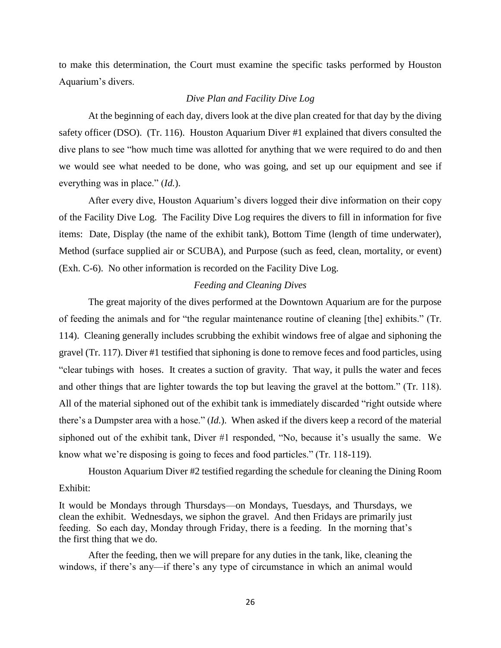to make this determination, the Court must examine the specific tasks performed by Houston Aquarium's divers.

## *Dive Plan and Facility Dive Log*

At the beginning of each day, divers look at the dive plan created for that day by the diving safety officer (DSO). (Tr. 116). Houston Aquarium Diver #1 explained that divers consulted the dive plans to see "how much time was allotted for anything that we were required to do and then we would see what needed to be done, who was going, and set up our equipment and see if everything was in place." (*Id.*).

After every dive, Houston Aquarium's divers logged their dive information on their copy of the Facility Dive Log. The Facility Dive Log requires the divers to fill in information for five items: Date, Display (the name of the exhibit tank), Bottom Time (length of time underwater), Method (surface supplied air or SCUBA), and Purpose (such as feed, clean, mortality, or event) (Exh. C-6). No other information is recorded on the Facility Dive Log.

## *Feeding and Cleaning Dives*

The great majority of the dives performed at the Downtown Aquarium are for the purpose of feeding the animals and for "the regular maintenance routine of cleaning [the] exhibits." (Tr. 114). Cleaning generally includes scrubbing the exhibit windows free of algae and siphoning the gravel (Tr. 117). Diver #1 testified that siphoning is done to remove feces and food particles, using "clear tubings with hoses. It creates a suction of gravity. That way, it pulls the water and feces and other things that are lighter towards the top but leaving the gravel at the bottom." (Tr. 118). All of the material siphoned out of the exhibit tank is immediately discarded "right outside where there's a Dumpster area with a hose." (*Id.*). When asked if the divers keep a record of the material siphoned out of the exhibit tank, Diver #1 responded, "No, because it's usually the same. We know what we're disposing is going to feces and food particles." (Tr. 118-119).

Houston Aquarium Diver #2 testified regarding the schedule for cleaning the Dining Room Exhibit:

It would be Mondays through Thursdays—on Mondays, Tuesdays, and Thursdays, we clean the exhibit. Wednesdays, we siphon the gravel. And then Fridays are primarily just feeding. So each day, Monday through Friday, there is a feeding. In the morning that's the first thing that we do.

After the feeding, then we will prepare for any duties in the tank, like, cleaning the windows, if there's any—if there's any type of circumstance in which an animal would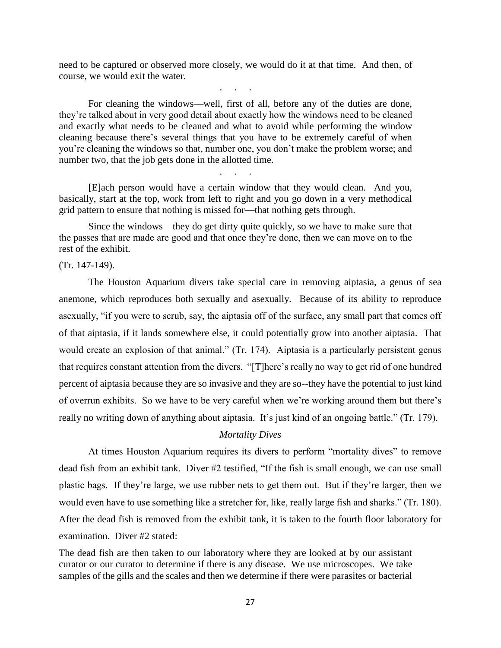need to be captured or observed more closely, we would do it at that time. And then, of course, we would exit the water.

. . . .

For cleaning the windows—well, first of all, before any of the duties are done, they're talked about in very good detail about exactly how the windows need to be cleaned and exactly what needs to be cleaned and what to avoid while performing the window cleaning because there's several things that you have to be extremely careful of when you're cleaning the windows so that, number one, you don't make the problem worse; and number two, that the job gets done in the allotted time.

[E]ach person would have a certain window that they would clean. And you, basically, start at the top, work from left to right and you go down in a very methodical grid pattern to ensure that nothing is missed for—that nothing gets through.

. . . .

Since the windows—they do get dirty quite quickly, so we have to make sure that the passes that are made are good and that once they're done, then we can move on to the rest of the exhibit.

### (Tr. 147-149).

The Houston Aquarium divers take special care in removing aiptasia, a genus of sea anemone, which reproduces both sexually and asexually. Because of its ability to reproduce asexually, "if you were to scrub, say, the aiptasia off of the surface, any small part that comes off of that aiptasia, if it lands somewhere else, it could potentially grow into another aiptasia. That would create an explosion of that animal." (Tr. 174). Aiptasia is a particularly persistent genus that requires constant attention from the divers. "[T]here's really no way to get rid of one hundred percent of aiptasia because they are so invasive and they are so--they have the potential to just kind of overrun exhibits. So we have to be very careful when we're working around them but there's really no writing down of anything about aiptasia. It's just kind of an ongoing battle." (Tr. 179).

#### *Mortality Dives*

At times Houston Aquarium requires its divers to perform "mortality dives" to remove dead fish from an exhibit tank. Diver #2 testified, "If the fish is small enough, we can use small plastic bags. If they're large, we use rubber nets to get them out. But if they're larger, then we would even have to use something like a stretcher for, like, really large fish and sharks." (Tr. 180). After the dead fish is removed from the exhibit tank, it is taken to the fourth floor laboratory for examination. Diver #2 stated:

The dead fish are then taken to our laboratory where they are looked at by our assistant curator or our curator to determine if there is any disease. We use microscopes. We take samples of the gills and the scales and then we determine if there were parasites or bacterial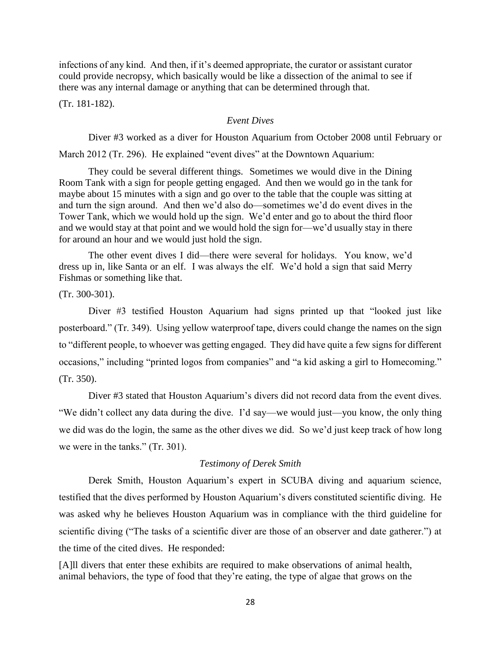infections of any kind. And then, if it's deemed appropriate, the curator or assistant curator could provide necropsy, which basically would be like a dissection of the animal to see if there was any internal damage or anything that can be determined through that.

(Tr. 181-182).

#### *Event Dives*

Diver #3 worked as a diver for Houston Aquarium from October 2008 until February or March 2012 (Tr. 296). He explained "event dives" at the Downtown Aquarium:

They could be several different things. Sometimes we would dive in the Dining Room Tank with a sign for people getting engaged. And then we would go in the tank for maybe about 15 minutes with a sign and go over to the table that the couple was sitting at and turn the sign around. And then we'd also do—sometimes we'd do event dives in the Tower Tank, which we would hold up the sign. We'd enter and go to about the third floor and we would stay at that point and we would hold the sign for—we'd usually stay in there for around an hour and we would just hold the sign.

The other event dives I did—there were several for holidays. You know, we'd dress up in, like Santa or an elf. I was always the elf. We'd hold a sign that said Merry Fishmas or something like that.

(Tr. 300-301).

Diver #3 testified Houston Aquarium had signs printed up that "looked just like posterboard." (Tr. 349). Using yellow waterproof tape, divers could change the names on the sign to "different people, to whoever was getting engaged. They did have quite a few signs for different occasions," including "printed logos from companies" and "a kid asking a girl to Homecoming." (Tr. 350).

Diver #3 stated that Houston Aquarium's divers did not record data from the event dives. "We didn't collect any data during the dive. I'd say—we would just—you know, the only thing we did was do the login, the same as the other dives we did. So we'd just keep track of how long we were in the tanks." (Tr. 301).

## *Testimony of Derek Smith*

Derek Smith, Houston Aquarium's expert in SCUBA diving and aquarium science, testified that the dives performed by Houston Aquarium's divers constituted scientific diving. He was asked why he believes Houston Aquarium was in compliance with the third guideline for scientific diving ("The tasks of a scientific diver are those of an observer and date gatherer.") at the time of the cited dives. He responded:

[A]ll divers that enter these exhibits are required to make observations of animal health, animal behaviors, the type of food that they're eating, the type of algae that grows on the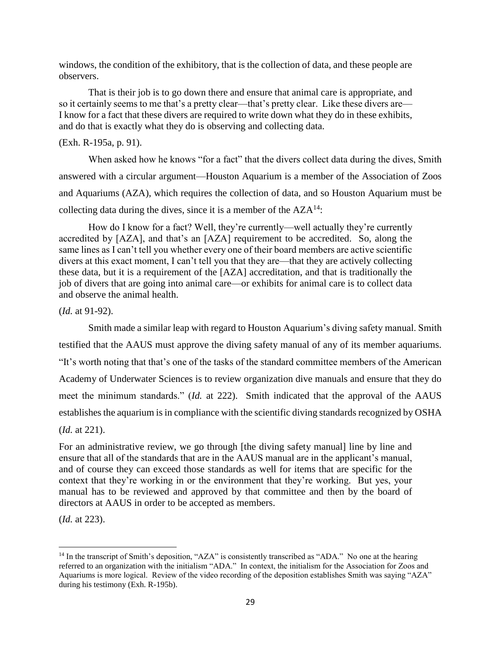windows, the condition of the exhibitory, that is the collection of data, and these people are observers.

That is their job is to go down there and ensure that animal care is appropriate, and so it certainly seems to me that's a pretty clear—that's pretty clear. Like these divers are— I know for a fact that these divers are required to write down what they do in these exhibits, and do that is exactly what they do is observing and collecting data.

## (Exh. R-195a, p. 91).

When asked how he knows "for a fact" that the divers collect data during the dives, Smith answered with a circular argument—Houston Aquarium is a member of the Association of Zoos and Aquariums (AZA), which requires the collection of data, and so Houston Aquarium must be collecting data during the dives, since it is a member of the  $AZA<sup>14</sup>$ :

How do I know for a fact? Well, they're currently—well actually they're currently accredited by [AZA], and that's an [AZA] requirement to be accredited. So, along the same lines as I can't tell you whether every one of their board members are active scientific divers at this exact moment, I can't tell you that they are—that they are actively collecting these data, but it is a requirement of the [AZA] accreditation, and that is traditionally the job of divers that are going into animal care—or exhibits for animal care is to collect data and observe the animal health.

(*Id.* at 91-92).

Smith made a similar leap with regard to Houston Aquarium's diving safety manual. Smith testified that the AAUS must approve the diving safety manual of any of its member aquariums. "It's worth noting that that's one of the tasks of the standard committee members of the American Academy of Underwater Sciences is to review organization dive manuals and ensure that they do meet the minimum standards." (*Id.* at 222). Smith indicated that the approval of the AAUS establishes the aquarium is in compliance with the scientific diving standards recognized by OSHA (*Id.* at 221).

For an administrative review, we go through [the diving safety manual] line by line and ensure that all of the standards that are in the AAUS manual are in the applicant's manual, and of course they can exceed those standards as well for items that are specific for the context that they're working in or the environment that they're working. But yes, your manual has to be reviewed and approved by that committee and then by the board of directors at AAUS in order to be accepted as members.

(*Id.* at 223).

 $\overline{a}$ 

<sup>&</sup>lt;sup>14</sup> In the transcript of Smith's deposition, "AZA" is consistently transcribed as "ADA." No one at the hearing referred to an organization with the initialism "ADA." In context, the initialism for the Association for Zoos and Aquariums is more logical. Review of the video recording of the deposition establishes Smith was saying "AZA" during his testimony (Exh. R-195b).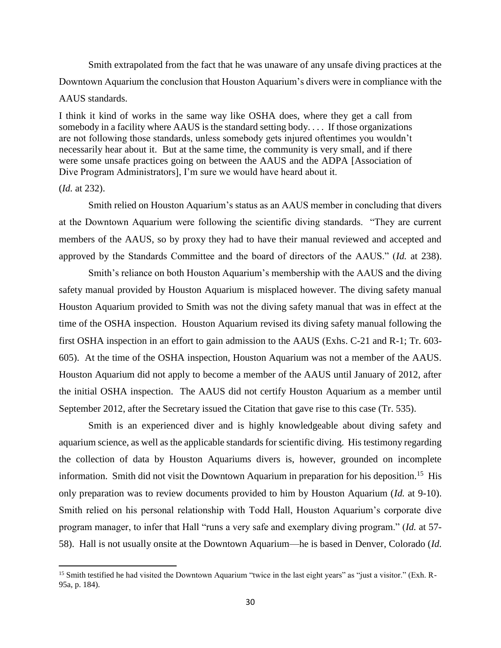Smith extrapolated from the fact that he was unaware of any unsafe diving practices at the Downtown Aquarium the conclusion that Houston Aquarium's divers were in compliance with the AAUS standards.

I think it kind of works in the same way like OSHA does, where they get a call from somebody in a facility where AAUS is the standard setting body. . . . If those organizations are not following those standards, unless somebody gets injured oftentimes you wouldn't necessarily hear about it. But at the same time, the community is very small, and if there were some unsafe practices going on between the AAUS and the ADPA [Association of Dive Program Administrators], I'm sure we would have heard about it.

#### (*Id.* at 232).

 $\overline{a}$ 

Smith relied on Houston Aquarium's status as an AAUS member in concluding that divers at the Downtown Aquarium were following the scientific diving standards. "They are current members of the AAUS, so by proxy they had to have their manual reviewed and accepted and approved by the Standards Committee and the board of directors of the AAUS." (*Id.* at 238).

Smith's reliance on both Houston Aquarium's membership with the AAUS and the diving safety manual provided by Houston Aquarium is misplaced however. The diving safety manual Houston Aquarium provided to Smith was not the diving safety manual that was in effect at the time of the OSHA inspection. Houston Aquarium revised its diving safety manual following the first OSHA inspection in an effort to gain admission to the AAUS (Exhs. C-21 and R-1; Tr. 603- 605). At the time of the OSHA inspection, Houston Aquarium was not a member of the AAUS. Houston Aquarium did not apply to become a member of the AAUS until January of 2012, after the initial OSHA inspection. The AAUS did not certify Houston Aquarium as a member until September 2012, after the Secretary issued the Citation that gave rise to this case (Tr. 535).

Smith is an experienced diver and is highly knowledgeable about diving safety and aquarium science, as well as the applicable standards for scientific diving. His testimony regarding the collection of data by Houston Aquariums divers is, however, grounded on incomplete information. Smith did not visit the Downtown Aquarium in preparation for his deposition.<sup>15</sup> His only preparation was to review documents provided to him by Houston Aquarium (*Id.* at 9-10). Smith relied on his personal relationship with Todd Hall, Houston Aquarium's corporate dive program manager, to infer that Hall "runs a very safe and exemplary diving program." (*Id.* at 57- 58). Hall is not usually onsite at the Downtown Aquarium—he is based in Denver, Colorado (*Id.* 

<sup>&</sup>lt;sup>15</sup> Smith testified he had visited the Downtown Aquarium "twice in the last eight years" as "just a visitor." (Exh. R-95a, p. 184).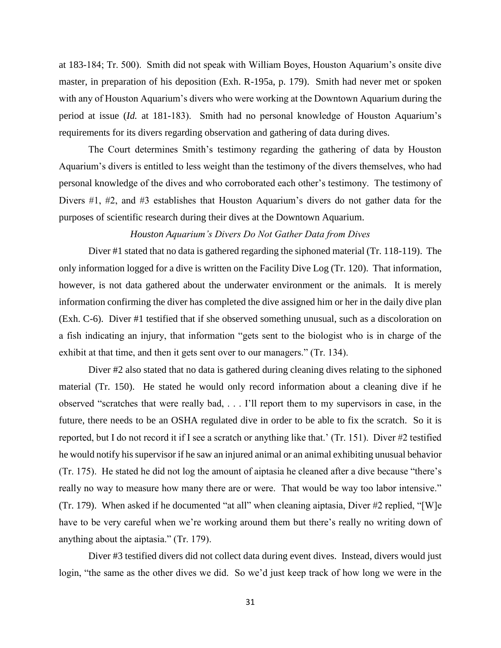at 183-184; Tr. 500). Smith did not speak with William Boyes, Houston Aquarium's onsite dive master, in preparation of his deposition (Exh. R-195a, p. 179). Smith had never met or spoken with any of Houston Aquarium's divers who were working at the Downtown Aquarium during the period at issue (*Id.* at 181-183). Smith had no personal knowledge of Houston Aquarium's requirements for its divers regarding observation and gathering of data during dives.

The Court determines Smith's testimony regarding the gathering of data by Houston Aquarium's divers is entitled to less weight than the testimony of the divers themselves, who had personal knowledge of the dives and who corroborated each other's testimony. The testimony of Divers #1, #2, and #3 establishes that Houston Aquarium's divers do not gather data for the purposes of scientific research during their dives at the Downtown Aquarium.

# *Houston Aquarium's Divers Do Not Gather Data from Dives*

Diver #1 stated that no data is gathered regarding the siphoned material (Tr. 118-119). The only information logged for a dive is written on the Facility Dive Log (Tr. 120). That information, however, is not data gathered about the underwater environment or the animals. It is merely information confirming the diver has completed the dive assigned him or her in the daily dive plan (Exh. C-6). Diver #1 testified that if she observed something unusual, such as a discoloration on a fish indicating an injury, that information "gets sent to the biologist who is in charge of the exhibit at that time, and then it gets sent over to our managers." (Tr. 134).

Diver #2 also stated that no data is gathered during cleaning dives relating to the siphoned material (Tr. 150). He stated he would only record information about a cleaning dive if he observed "scratches that were really bad, . . . I'll report them to my supervisors in case, in the future, there needs to be an OSHA regulated dive in order to be able to fix the scratch. So it is reported, but I do not record it if I see a scratch or anything like that.' (Tr. 151). Diver #2 testified he would notify his supervisor if he saw an injured animal or an animal exhibiting unusual behavior (Tr. 175). He stated he did not log the amount of aiptasia he cleaned after a dive because "there's really no way to measure how many there are or were. That would be way too labor intensive." (Tr. 179). When asked if he documented "at all" when cleaning aiptasia, Diver #2 replied, "[W]e have to be very careful when we're working around them but there's really no writing down of anything about the aiptasia." (Tr. 179).

Diver #3 testified divers did not collect data during event dives. Instead, divers would just login, "the same as the other dives we did. So we'd just keep track of how long we were in the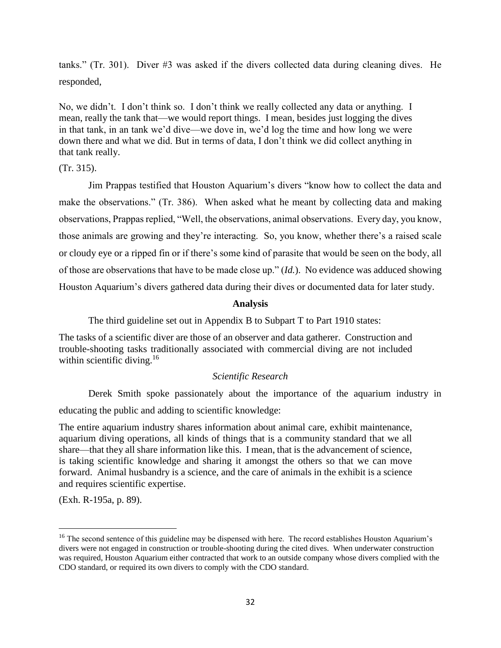tanks." (Tr. 301). Diver #3 was asked if the divers collected data during cleaning dives. He responded,

No, we didn't. I don't think so. I don't think we really collected any data or anything. I mean, really the tank that—we would report things. I mean, besides just logging the dives in that tank, in an tank we'd dive—we dove in, we'd log the time and how long we were down there and what we did. But in terms of data, I don't think we did collect anything in that tank really.

(Tr. 315).

Jim Prappas testified that Houston Aquarium's divers "know how to collect the data and make the observations." (Tr. 386). When asked what he meant by collecting data and making observations, Prappas replied, "Well, the observations, animal observations. Every day, you know, those animals are growing and they're interacting. So, you know, whether there's a raised scale or cloudy eye or a ripped fin or if there's some kind of parasite that would be seen on the body, all of those are observations that have to be made close up." (*Id.*). No evidence was adduced showing Houston Aquarium's divers gathered data during their dives or documented data for later study.

## **Analysis**

The third guideline set out in Appendix B to Subpart T to Part 1910 states:

The tasks of a scientific diver are those of an observer and data gatherer. Construction and trouble-shooting tasks traditionally associated with commercial diving are not included within scientific diving. $16$ 

## *Scientific Research*

Derek Smith spoke passionately about the importance of the aquarium industry in educating the public and adding to scientific knowledge:

The entire aquarium industry shares information about animal care, exhibit maintenance, aquarium diving operations, all kinds of things that is a community standard that we all share—that they all share information like this. I mean, that is the advancement of science, is taking scientific knowledge and sharing it amongst the others so that we can move forward. Animal husbandry is a science, and the care of animals in the exhibit is a science and requires scientific expertise.

(Exh. R-195a, p. 89).

<sup>&</sup>lt;sup>16</sup> The second sentence of this guideline may be dispensed with here. The record establishes Houston Aquarium's divers were not engaged in construction or trouble-shooting during the cited dives. When underwater construction was required, Houston Aquarium either contracted that work to an outside company whose divers complied with the CDO standard, or required its own divers to comply with the CDO standard.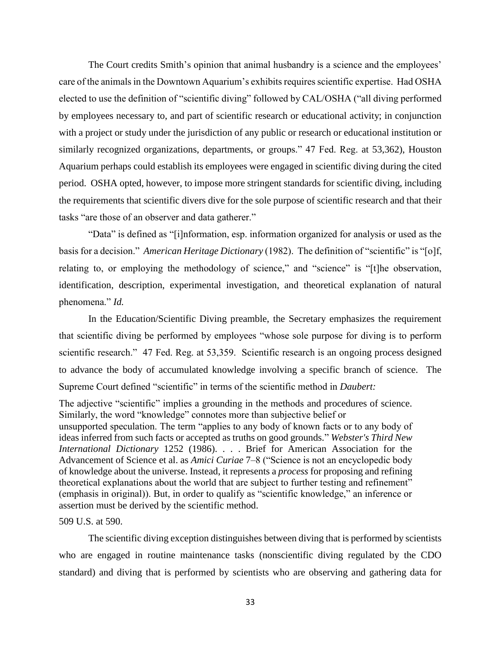The Court credits Smith's opinion that animal husbandry is a science and the employees' care of the animals in the Downtown Aquarium's exhibits requires scientific expertise. Had OSHA elected to use the definition of "scientific diving" followed by CAL/OSHA ("all diving performed by employees necessary to, and part of scientific research or educational activity; in conjunction with a project or study under the jurisdiction of any public or research or educational institution or similarly recognized organizations, departments, or groups." 47 Fed. Reg. at 53,362), Houston Aquarium perhaps could establish its employees were engaged in scientific diving during the cited period. OSHA opted, however, to impose more stringent standards for scientific diving, including the requirements that scientific divers dive for the sole purpose of scientific research and that their tasks "are those of an observer and data gatherer."

"Data" is defined as "[i]nformation, esp. information organized for analysis or used as the basis for a decision." *American Heritage Dictionary* (1982). The definition of "scientific" is "[o]f, relating to, or employing the methodology of science," and "science" is "[t]he observation, identification, description, experimental investigation, and theoretical explanation of natural phenomena." *Id.*

In the Education/Scientific Diving preamble, the Secretary emphasizes the requirement that scientific diving be performed by employees "whose sole purpose for diving is to perform scientific research." 47 Fed. Reg. at 53,359. Scientific research is an ongoing process designed to advance the body of accumulated knowledge involving a specific branch of science. The Supreme Court defined "scientific" in terms of the scientific method in *Daubert:*

The adjective "scientific" implies a grounding in the methods and procedures of science. Similarly, the word "knowledge" connotes more than subjective belief or unsupported speculation. The term "applies to any body of known facts or to any body of ideas inferred from such facts or accepted as truths on good grounds." *Webster's Third New International Dictionary* 1252 (1986). . . . Brief for American Association for the Advancement of Science et al. as *Amici Curiae* 7–8 ("Science is not an encyclopedic body of knowledge about the universe. Instead, it represents a *process* for proposing and refining theoretical explanations about the world that are subject to further testing and refinement" (emphasis in original)). But, in order to qualify as "scientific knowledge," an inference or assertion must be derived by the scientific method.

#### 509 U.S. at 590.

The scientific diving exception distinguishes between diving that is performed by scientists who are engaged in routine maintenance tasks (nonscientific diving regulated by the CDO standard) and diving that is performed by scientists who are observing and gathering data for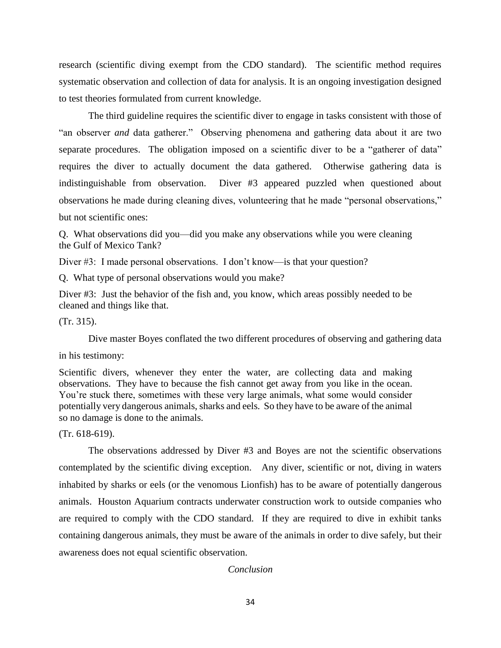research (scientific diving exempt from the CDO standard). The scientific method requires systematic observation and collection of data for analysis. It is an ongoing investigation designed to test theories formulated from current knowledge.

The third guideline requires the scientific diver to engage in tasks consistent with those of "an observer *and* data gatherer." Observing phenomena and gathering data about it are two separate procedures. The obligation imposed on a scientific diver to be a "gatherer of data" requires the diver to actually document the data gathered. Otherwise gathering data is indistinguishable from observation. Diver #3 appeared puzzled when questioned about observations he made during cleaning dives, volunteering that he made "personal observations," but not scientific ones:

Q. What observations did you—did you make any observations while you were cleaning the Gulf of Mexico Tank?

Diver #3: I made personal observations. I don't know—is that your question?

Q. What type of personal observations would you make?

Diver #3: Just the behavior of the fish and, you know, which areas possibly needed to be cleaned and things like that.

(Tr. 315).

Dive master Boyes conflated the two different procedures of observing and gathering data

in his testimony:

Scientific divers, whenever they enter the water, are collecting data and making observations. They have to because the fish cannot get away from you like in the ocean. You're stuck there, sometimes with these very large animals, what some would consider potentially very dangerous animals, sharks and eels. So they have to be aware of the animal so no damage is done to the animals.

(Tr. 618-619).

The observations addressed by Diver #3 and Boyes are not the scientific observations contemplated by the scientific diving exception. Any diver, scientific or not, diving in waters inhabited by sharks or eels (or the venomous Lionfish) has to be aware of potentially dangerous animals. Houston Aquarium contracts underwater construction work to outside companies who are required to comply with the CDO standard. If they are required to dive in exhibit tanks containing dangerous animals, they must be aware of the animals in order to dive safely, but their awareness does not equal scientific observation.

## *Conclusion*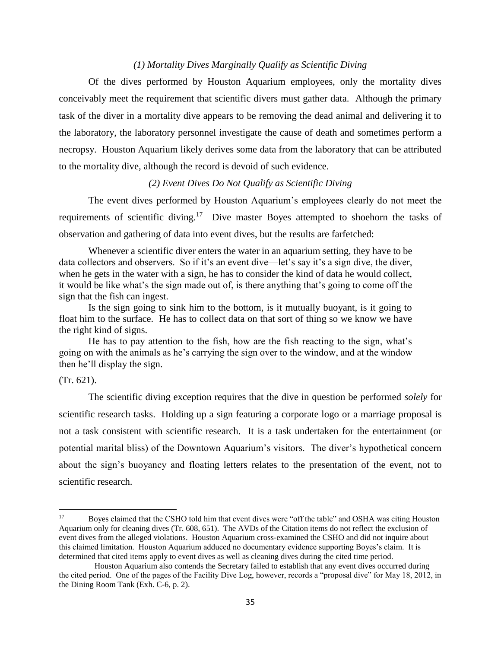# *(1) Mortality Dives Marginally Qualify as Scientific Diving*

Of the dives performed by Houston Aquarium employees, only the mortality dives conceivably meet the requirement that scientific divers must gather data. Although the primary task of the diver in a mortality dive appears to be removing the dead animal and delivering it to the laboratory, the laboratory personnel investigate the cause of death and sometimes perform a necropsy. Houston Aquarium likely derives some data from the laboratory that can be attributed to the mortality dive, although the record is devoid of such evidence.

#### *(2) Event Dives Do Not Qualify as Scientific Diving*

The event dives performed by Houston Aquarium's employees clearly do not meet the requirements of scientific diving.<sup>17</sup> Dive master Boyes attempted to shoehorn the tasks of observation and gathering of data into event dives, but the results are farfetched:

Whenever a scientific diver enters the water in an aquarium setting, they have to be data collectors and observers. So if it's an event dive—let's say it's a sign dive, the diver, when he gets in the water with a sign, he has to consider the kind of data he would collect, it would be like what's the sign made out of, is there anything that's going to come off the sign that the fish can ingest.

Is the sign going to sink him to the bottom, is it mutually buoyant, is it going to float him to the surface. He has to collect data on that sort of thing so we know we have the right kind of signs.

He has to pay attention to the fish, how are the fish reacting to the sign, what's going on with the animals as he's carrying the sign over to the window, and at the window then he'll display the sign.

(Tr. 621).

The scientific diving exception requires that the dive in question be performed *solely* for scientific research tasks. Holding up a sign featuring a corporate logo or a marriage proposal is not a task consistent with scientific research. It is a task undertaken for the entertainment (or potential marital bliss) of the Downtown Aquarium's visitors. The diver's hypothetical concern about the sign's buoyancy and floating letters relates to the presentation of the event, not to scientific research.

 $17\text{ }$ <sup>17</sup> Boyes claimed that the CSHO told him that event dives were "off the table" and OSHA was citing Houston Aquarium only for cleaning dives (Tr. 608, 651). The AVDs of the Citation items do not reflect the exclusion of event dives from the alleged violations. Houston Aquarium cross-examined the CSHO and did not inquire about this claimed limitation. Houston Aquarium adduced no documentary evidence supporting Boyes's claim. It is determined that cited items apply to event dives as well as cleaning dives during the cited time period.

Houston Aquarium also contends the Secretary failed to establish that any event dives occurred during the cited period. One of the pages of the Facility Dive Log, however, records a "proposal dive" for May 18, 2012, in the Dining Room Tank (Exh. C-6, p. 2).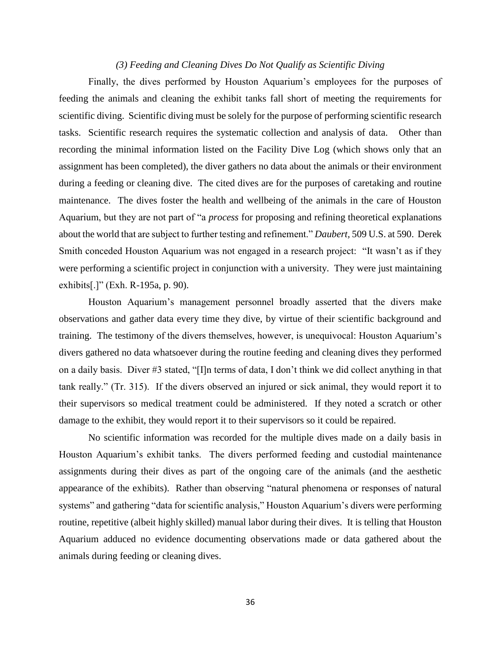### *(3) Feeding and Cleaning Dives Do Not Qualify as Scientific Diving*

Finally, the dives performed by Houston Aquarium's employees for the purposes of feeding the animals and cleaning the exhibit tanks fall short of meeting the requirements for scientific diving. Scientific diving must be solely for the purpose of performing scientific research tasks. Scientific research requires the systematic collection and analysis of data. Other than recording the minimal information listed on the Facility Dive Log (which shows only that an assignment has been completed), the diver gathers no data about the animals or their environment during a feeding or cleaning dive. The cited dives are for the purposes of caretaking and routine maintenance. The dives foster the health and wellbeing of the animals in the care of Houston Aquarium, but they are not part of "a *process* for proposing and refining theoretical explanations about the world that are subject to further testing and refinement." *Daubert,* 509 U.S. at 590. Derek Smith conceded Houston Aquarium was not engaged in a research project: "It wasn't as if they were performing a scientific project in conjunction with a university. They were just maintaining exhibits[.]" (Exh. R-195a, p. 90).

Houston Aquarium's management personnel broadly asserted that the divers make observations and gather data every time they dive, by virtue of their scientific background and training. The testimony of the divers themselves, however, is unequivocal: Houston Aquarium's divers gathered no data whatsoever during the routine feeding and cleaning dives they performed on a daily basis. Diver #3 stated, "[I]n terms of data, I don't think we did collect anything in that tank really." (Tr. 315). If the divers observed an injured or sick animal, they would report it to their supervisors so medical treatment could be administered. If they noted a scratch or other damage to the exhibit, they would report it to their supervisors so it could be repaired.

No scientific information was recorded for the multiple dives made on a daily basis in Houston Aquarium's exhibit tanks. The divers performed feeding and custodial maintenance assignments during their dives as part of the ongoing care of the animals (and the aesthetic appearance of the exhibits). Rather than observing "natural phenomena or responses of natural systems" and gathering "data for scientific analysis," Houston Aquarium's divers were performing routine, repetitive (albeit highly skilled) manual labor during their dives. It is telling that Houston Aquarium adduced no evidence documenting observations made or data gathered about the animals during feeding or cleaning dives.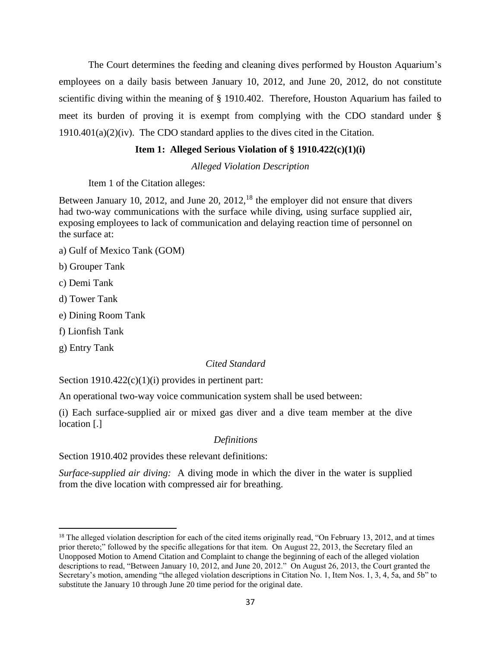The Court determines the feeding and cleaning dives performed by Houston Aquarium's employees on a daily basis between January 10, 2012, and June 20, 2012, do not constitute scientific diving within the meaning of § 1910.402. Therefore, Houston Aquarium has failed to meet its burden of proving it is exempt from complying with the CDO standard under §  $1910.401(a)(2)(iv)$ . The CDO standard applies to the dives cited in the Citation.

## **Item 1: Alleged Serious Violation of § 1910.422(c)(1)(i)**

*Alleged Violation Description*

Item 1 of the Citation alleges:

Between January 10, 2012, and June 20,  $2012$ , <sup>18</sup> the employer did not ensure that divers had two-way communications with the surface while diving, using surface supplied air, exposing employees to lack of communication and delaying reaction time of personnel on the surface at:

- a) Gulf of Mexico Tank (GOM)
- b) Grouper Tank
- c) Demi Tank
- d) Tower Tank
- e) Dining Room Tank
- f) Lionfish Tank
- g) Entry Tank

 $\overline{\phantom{a}}$ 

## *Cited Standard*

Section  $1910.422(c)(1)(i)$  provides in pertinent part:

An operational two-way voice communication system shall be used between:

(i) Each surface-supplied air or mixed gas diver and a dive team member at the dive location [.]

#### *Definitions*

Section 1910.402 provides these relevant definitions:

*Surface-supplied air diving:* A diving mode in which the diver in the water is supplied from the dive location with compressed air for breathing.

 $18$  The alleged violation description for each of the cited items originally read, "On February 13, 2012, and at times prior thereto;" followed by the specific allegations for that item. On August 22, 2013, the Secretary filed an Unopposed Motion to Amend Citation and Complaint to change the beginning of each of the alleged violation descriptions to read, "Between January 10, 2012, and June 20, 2012." On August 26, 2013, the Court granted the Secretary's motion, amending "the alleged violation descriptions in Citation No. 1, Item Nos. 1, 3, 4, 5a, and 5b" to substitute the January 10 through June 20 time period for the original date.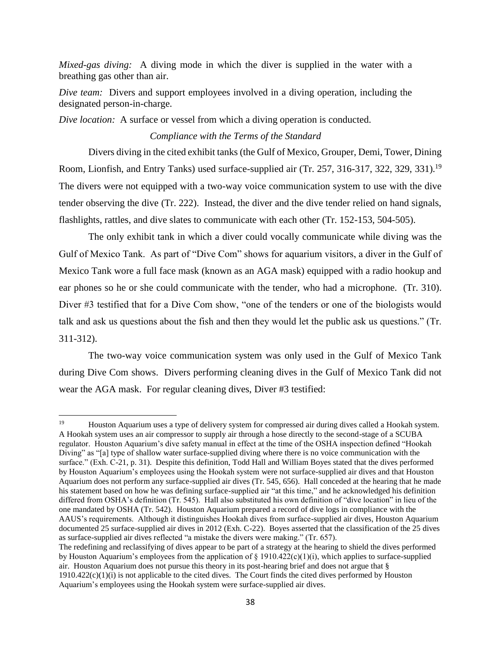*Mixed-gas diving:* A diving mode in which the diver is supplied in the water with a breathing gas other than air.

*Dive team:* Divers and support employees involved in a diving operation, including the designated person-in-charge.

*Dive location:* A surface or vessel from which a diving operation is conducted.

# *Compliance with the Terms of the Standard*

Divers diving in the cited exhibit tanks (the Gulf of Mexico, Grouper, Demi, Tower, Dining Room, Lionfish, and Entry Tanks) used surface-supplied air (Tr. 257, 316-317, 322, 329, 331).<sup>19</sup> The divers were not equipped with a two-way voice communication system to use with the dive tender observing the dive (Tr. 222). Instead, the diver and the dive tender relied on hand signals, flashlights, rattles, and dive slates to communicate with each other (Tr. 152-153, 504-505).

The only exhibit tank in which a diver could vocally communicate while diving was the Gulf of Mexico Tank. As part of "Dive Com" shows for aquarium visitors, a diver in the Gulf of Mexico Tank wore a full face mask (known as an AGA mask) equipped with a radio hookup and ear phones so he or she could communicate with the tender, who had a microphone. (Tr. 310). Diver #3 testified that for a Dive Com show, "one of the tenders or one of the biologists would talk and ask us questions about the fish and then they would let the public ask us questions." (Tr. 311-312).

The two-way voice communication system was only used in the Gulf of Mexico Tank during Dive Com shows. Divers performing cleaning dives in the Gulf of Mexico Tank did not wear the AGA mask. For regular cleaning dives, Diver #3 testified:

 $\frac{1}{19}$  Houston Aquarium uses a type of delivery system for compressed air during dives called a Hookah system. A Hookah system uses an air compressor to supply air through a hose directly to the second-stage of a SCUBA regulator. Houston Aquarium's dive safety manual in effect at the time of the OSHA inspection defined "Hookah Diving" as "[a] type of shallow water surface-supplied diving where there is no voice communication with the surface." (Exh. C-21, p. 31). Despite this definition, Todd Hall and William Boyes stated that the dives performed by Houston Aquarium's employees using the Hookah system were not surface-supplied air dives and that Houston Aquarium does not perform any surface-supplied air dives (Tr. 545, 656). Hall conceded at the hearing that he made his statement based on how he was defining surface-supplied air "at this time," and he acknowledged his definition differed from OSHA's definition (Tr. 545). Hall also substituted his own definition of "dive location" in lieu of the one mandated by OSHA (Tr. 542). Houston Aquarium prepared a record of dive logs in compliance with the AAUS's requirements. Although it distinguishes Hookah dives from surface-supplied air dives, Houston Aquarium documented 25 surface-supplied air dives in 2012 (Exh. C-22). Boyes asserted that the classification of the 25 dives as surface-supplied air dives reflected "a mistake the divers were making." (Tr. 657).

The redefining and reclassifying of dives appear to be part of a strategy at the hearing to shield the dives performed by Houston Aquarium's employees from the application of  $\S$  1910.422(c)(1)(i), which applies to surface-supplied air. Houston Aquarium does not pursue this theory in its post-hearing brief and does not argue that §  $1910.422(c)(1)(i)$  is not applicable to the cited dives. The Court finds the cited dives performed by Houston Aquarium's employees using the Hookah system were surface-supplied air dives.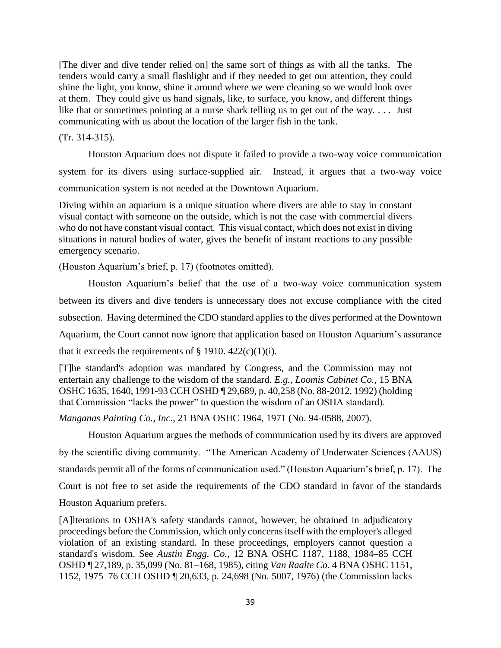[The diver and dive tender relied on] the same sort of things as with all the tanks. The tenders would carry a small flashlight and if they needed to get our attention, they could shine the light, you know, shine it around where we were cleaning so we would look over at them. They could give us hand signals, like, to surface, you know, and different things like that or sometimes pointing at a nurse shark telling us to get out of the way. . . . Just communicating with us about the location of the larger fish in the tank.

(Tr. 314-315).

Houston Aquarium does not dispute it failed to provide a two-way voice communication system for its divers using surface-supplied air. Instead, it argues that a two-way voice communication system is not needed at the Downtown Aquarium.

Diving within an aquarium is a unique situation where divers are able to stay in constant visual contact with someone on the outside, which is not the case with commercial divers who do not have constant visual contact. This visual contact, which does not exist in diving situations in natural bodies of water, gives the benefit of instant reactions to any possible emergency scenario.

(Houston Aquarium's brief, p. 17) (footnotes omitted).

Houston Aquarium's belief that the use of a two-way voice communication system between its divers and dive tenders is unnecessary does not excuse compliance with the cited subsection. Having determined the CDO standard applies to the dives performed at the Downtown Aquarium, the Court cannot now ignore that application based on Houston Aquarium's assurance that it exceeds the requirements of  $\S$  1910. 422(c)(1)(i).

[T]he standard's adoption was mandated by Congress, and the Commission may not entertain any challenge to the wisdom of the standard. *E.g., Loomis Cabinet Co.*, 15 BNA OSHC 1635, 1640, 1991-93 CCH OSHD ¶ 29,689, p. 40,258 (No. 88-2012, 1992) (holding that Commission "lacks the power" to question the wisdom of an OSHA standard).

*Manganas Painting Co., Inc.,* 21 BNA OSHC 1964, 1971 (No. 94-0588, 2007).

Houston Aquarium argues the methods of communication used by its divers are approved by the scientific diving community. "The American Academy of Underwater Sciences (AAUS) standards permit all of the forms of communication used." (Houston Aquarium's brief, p. 17). The Court is not free to set aside the requirements of the CDO standard in favor of the standards Houston Aquarium prefers.

[A]lterations to OSHA's safety standards cannot, however, be obtained in adjudicatory proceedings before the Commission, which only concerns itself with the employer's alleged violation of an existing standard. In these proceedings, employers cannot question a standard's wisdom. See *Austin Engg. Co.,* 12 BNA OSHC 1187, 1188, 1984–85 CCH OSHD ¶ 27,189, p. 35,099 (No. 81–168, 1985), citing *Van Raalte Co*. 4 BNA OSHC 1151, 1152, 1975–76 CCH OSHD ¶ 20,633, p. 24,698 (No. 5007, 1976) (the Commission lacks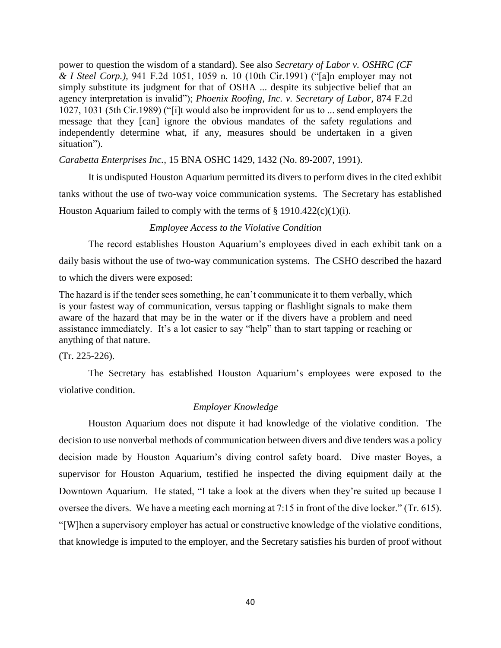power to question the wisdom of a standard). See also *Secretary of Labor v. OSHRC (CF & I Steel Corp.),* 941 F.2d 1051, 1059 n. 10 (10th Cir.1991) ("[a]n employer may not simply substitute its judgment for that of OSHA ... despite its subjective belief that an agency interpretation is invalid"); *Phoenix Roofing, Inc. v. Secretary of Labor,* 874 F.2d 1027, 1031 (5th Cir.1989) ("[i]t would also be improvident for us to ... send employers the message that they [can] ignore the obvious mandates of the safety regulations and independently determine what, if any, measures should be undertaken in a given situation").

*Carabetta Enterprises Inc.,* 15 BNA OSHC 1429, 1432 (No. 89-2007, 1991).

It is undisputed Houston Aquarium permitted its divers to perform dives in the cited exhibit tanks without the use of two-way voice communication systems. The Secretary has established Houston Aquarium failed to comply with the terms of  $\S$  1910.422(c)(1)(i).

### *Employee Access to the Violative Condition*

The record establishes Houston Aquarium's employees dived in each exhibit tank on a daily basis without the use of two-way communication systems. The CSHO described the hazard to which the divers were exposed:

The hazard is if the tender sees something, he can't communicate it to them verbally, which is your fastest way of communication, versus tapping or flashlight signals to make them aware of the hazard that may be in the water or if the divers have a problem and need assistance immediately. It's a lot easier to say "help" than to start tapping or reaching or anything of that nature.

(Tr. 225-226).

The Secretary has established Houston Aquarium's employees were exposed to the violative condition.

## *Employer Knowledge*

Houston Aquarium does not dispute it had knowledge of the violative condition. The decision to use nonverbal methods of communication between divers and dive tenders was a policy decision made by Houston Aquarium's diving control safety board. Dive master Boyes, a supervisor for Houston Aquarium, testified he inspected the diving equipment daily at the Downtown Aquarium. He stated, "I take a look at the divers when they're suited up because I oversee the divers. We have a meeting each morning at 7:15 in front of the dive locker." (Tr. 615). "[W]hen a supervisory employer has actual or constructive knowledge of the violative conditions, that knowledge is imputed to the employer, and the Secretary satisfies his burden of proof without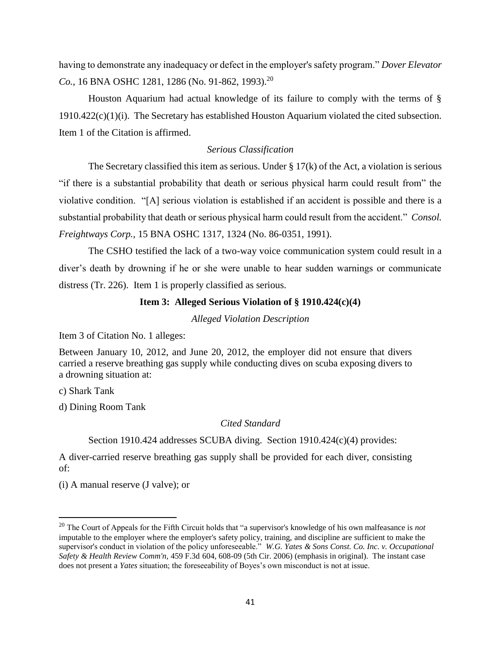having to demonstrate any inadequacy or defect in the employer's safety program." *Dover Elevator Co.*, 16 BNA OSHC 1281, 1286 (No. 91-862, 1993).<sup>20</sup>

Houston Aquarium had actual knowledge of its failure to comply with the terms of § 1910.422(c)(1)(i). The Secretary has established Houston Aquarium violated the cited subsection. Item 1 of the Citation is affirmed.

## *Serious Classification*

The Secretary classified this item as serious. Under  $\S 17(k)$  of the Act, a violation is serious "if there is a substantial probability that death or serious physical harm could result from" the violative condition. "[A] serious violation is established if an accident is possible and there is a substantial probability that death or serious physical harm could result from the accident." *Consol. Freightways Corp.,* 15 BNA OSHC 1317, 1324 (No. 86-0351, 1991).

The CSHO testified the lack of a two-way voice communication system could result in a diver's death by drowning if he or she were unable to hear sudden warnings or communicate distress (Tr. 226). Item 1 is properly classified as serious.

## **Item 3: Alleged Serious Violation of § 1910.424(c)(4)**

*Alleged Violation Description*

Item 3 of Citation No. 1 alleges:

Between January 10, 2012, and June 20, 2012, the employer did not ensure that divers carried a reserve breathing gas supply while conducting dives on scuba exposing divers to a drowning situation at:

c) Shark Tank

l

d) Dining Room Tank

*Cited Standard*

Section 1910.424 addresses SCUBA diving. Section 1910.424(c)(4) provides:

A diver-carried reserve breathing gas supply shall be provided for each diver, consisting of:

(i) A manual reserve (J valve); or

<sup>20</sup> The Court of Appeals for the Fifth Circuit holds that "a supervisor's knowledge of his own malfeasance is *not* imputable to the employer where the employer's safety policy, training, and discipline are sufficient to make the supervisor's conduct in violation of the policy unforeseeable." *W.G. Yates & Sons Const. Co. Inc. v. Occupational Safety & Health Review Comm'n,* 459 F.3d 604, 608-09 (5th Cir. 2006) (emphasis in original). The instant case does not present a *Yates* situation; the foreseeability of Boyes's own misconduct is not at issue.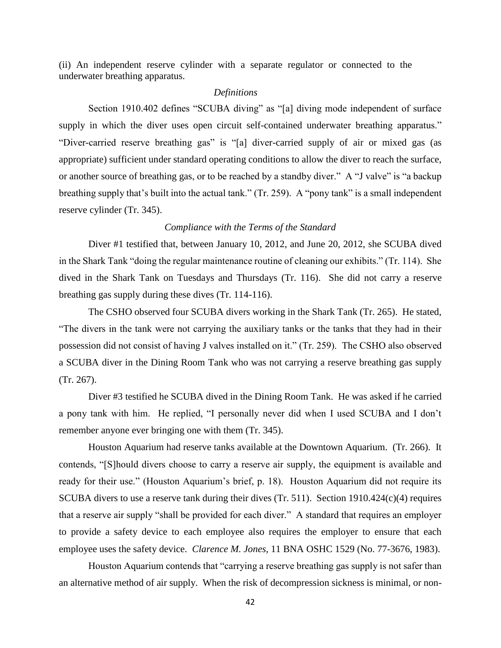(ii) An independent reserve cylinder with a separate regulator or connected to the underwater breathing apparatus.

#### *Definitions*

Section 1910.402 defines "SCUBA diving" as "[a] diving mode independent of surface supply in which the diver uses open circuit self-contained underwater breathing apparatus." "Diver-carried reserve breathing gas" is "[a] diver-carried supply of air or mixed gas (as appropriate) sufficient under standard operating conditions to allow the diver to reach the surface, or another source of breathing gas, or to be reached by a standby diver." A "J valve" is "a backup breathing supply that's built into the actual tank." (Tr. 259). A "pony tank" is a small independent reserve cylinder (Tr. 345).

### *Compliance with the Terms of the Standard*

Diver #1 testified that, between January 10, 2012, and June 20, 2012, she SCUBA dived in the Shark Tank "doing the regular maintenance routine of cleaning our exhibits." (Tr. 114). She dived in the Shark Tank on Tuesdays and Thursdays (Tr. 116). She did not carry a reserve breathing gas supply during these dives (Tr. 114-116).

The CSHO observed four SCUBA divers working in the Shark Tank (Tr. 265). He stated, "The divers in the tank were not carrying the auxiliary tanks or the tanks that they had in their possession did not consist of having J valves installed on it." (Tr. 259). The CSHO also observed a SCUBA diver in the Dining Room Tank who was not carrying a reserve breathing gas supply (Tr. 267).

Diver #3 testified he SCUBA dived in the Dining Room Tank. He was asked if he carried a pony tank with him. He replied, "I personally never did when I used SCUBA and I don't remember anyone ever bringing one with them (Tr. 345).

Houston Aquarium had reserve tanks available at the Downtown Aquarium. (Tr. 266). It contends, "[S]hould divers choose to carry a reserve air supply, the equipment is available and ready for their use." (Houston Aquarium's brief, p. 18). Houston Aquarium did not require its SCUBA divers to use a reserve tank during their dives (Tr. 511). Section 1910.424(c)(4) requires that a reserve air supply "shall be provided for each diver." A standard that requires an employer to provide a safety device to each employee also requires the employer to ensure that each employee uses the safety device. *Clarence M. Jones,* 11 BNA OSHC 1529 (No. 77-3676, 1983).

Houston Aquarium contends that "carrying a reserve breathing gas supply is not safer than an alternative method of air supply. When the risk of decompression sickness is minimal, or non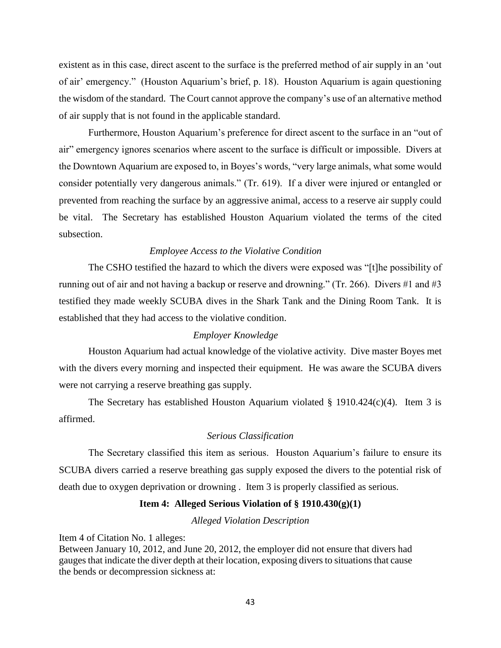existent as in this case, direct ascent to the surface is the preferred method of air supply in an 'out of air' emergency." (Houston Aquarium's brief, p. 18). Houston Aquarium is again questioning the wisdom of the standard. The Court cannot approve the company's use of an alternative method of air supply that is not found in the applicable standard.

Furthermore, Houston Aquarium's preference for direct ascent to the surface in an "out of air" emergency ignores scenarios where ascent to the surface is difficult or impossible. Divers at the Downtown Aquarium are exposed to, in Boyes's words, "very large animals, what some would consider potentially very dangerous animals." (Tr. 619). If a diver were injured or entangled or prevented from reaching the surface by an aggressive animal, access to a reserve air supply could be vital. The Secretary has established Houston Aquarium violated the terms of the cited subsection.

#### *Employee Access to the Violative Condition*

The CSHO testified the hazard to which the divers were exposed was "[t]he possibility of running out of air and not having a backup or reserve and drowning." (Tr. 266). Divers #1 and #3 testified they made weekly SCUBA dives in the Shark Tank and the Dining Room Tank. It is established that they had access to the violative condition.

#### *Employer Knowledge*

Houston Aquarium had actual knowledge of the violative activity. Dive master Boyes met with the divers every morning and inspected their equipment. He was aware the SCUBA divers were not carrying a reserve breathing gas supply.

The Secretary has established Houston Aquarium violated  $\S$  1910.424(c)(4). Item 3 is affirmed.

### *Serious Classification*

The Secretary classified this item as serious. Houston Aquarium's failure to ensure its SCUBA divers carried a reserve breathing gas supply exposed the divers to the potential risk of death due to oxygen deprivation or drowning . Item 3 is properly classified as serious.

# **Item 4: Alleged Serious Violation of § 1910.430(g)(1)**

*Alleged Violation Description*

Item 4 of Citation No. 1 alleges:

Between January 10, 2012, and June 20, 2012, the employer did not ensure that divers had gauges that indicate the diver depth at their location, exposing divers to situations that cause the bends or decompression sickness at: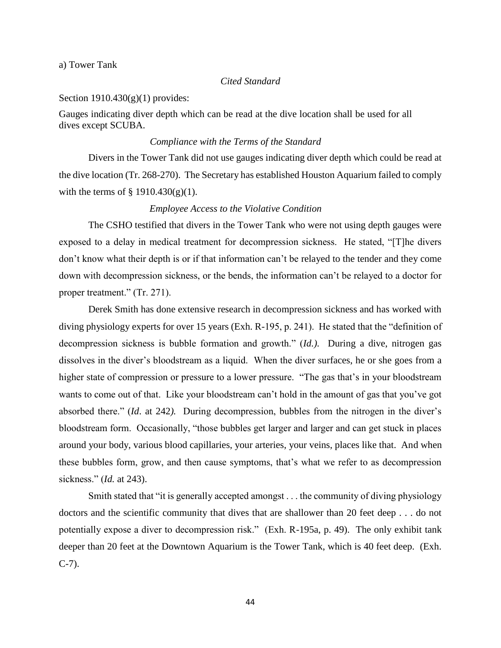a) Tower Tank

#### *Cited Standard*

Section  $1910.430(g)(1)$  provides:

Gauges indicating diver depth which can be read at the dive location shall be used for all dives except SCUBA.

## *Compliance with the Terms of the Standard*

Divers in the Tower Tank did not use gauges indicating diver depth which could be read at the dive location (Tr. 268-270). The Secretary has established Houston Aquarium failed to comply with the terms of  $\S$  1910.430(g)(1).

## *Employee Access to the Violative Condition*

The CSHO testified that divers in the Tower Tank who were not using depth gauges were exposed to a delay in medical treatment for decompression sickness. He stated, "[T]he divers don't know what their depth is or if that information can't be relayed to the tender and they come down with decompression sickness, or the bends, the information can't be relayed to a doctor for proper treatment." (Tr. 271).

Derek Smith has done extensive research in decompression sickness and has worked with diving physiology experts for over 15 years (Exh. R-195, p. 241). He stated that the "definition of decompression sickness is bubble formation and growth." (*Id.).* During a dive, nitrogen gas dissolves in the diver's bloodstream as a liquid. When the diver surfaces, he or she goes from a higher state of compression or pressure to a lower pressure. "The gas that's in your bloodstream wants to come out of that. Like your bloodstream can't hold in the amount of gas that you've got absorbed there." (*Id*. at 242*).* During decompression, bubbles from the nitrogen in the diver's bloodstream form. Occasionally, "those bubbles get larger and larger and can get stuck in places around your body, various blood capillaries, your arteries, your veins, places like that. And when these bubbles form, grow, and then cause symptoms, that's what we refer to as decompression sickness." (*Id.* at 243).

Smith stated that "it is generally accepted amongst . . . the community of diving physiology doctors and the scientific community that dives that are shallower than 20 feet deep . . . do not potentially expose a diver to decompression risk." (Exh. R-195a, p. 49). The only exhibit tank deeper than 20 feet at the Downtown Aquarium is the Tower Tank, which is 40 feet deep. (Exh. C-7).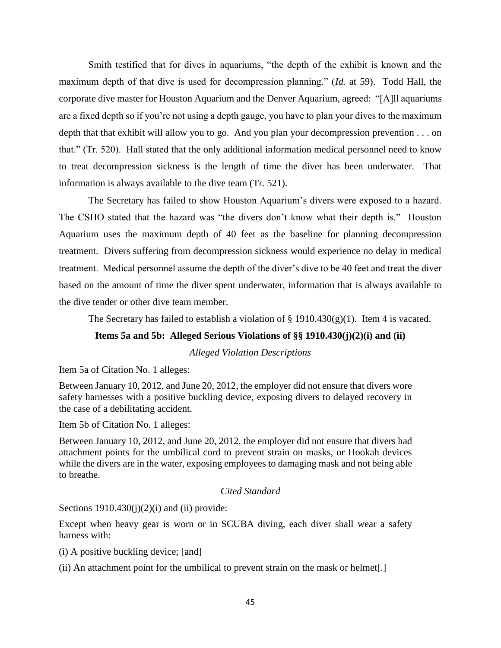Smith testified that for dives in aquariums, "the depth of the exhibit is known and the maximum depth of that dive is used for decompression planning." (*Id.* at 59). Todd Hall, the corporate dive master for Houston Aquarium and the Denver Aquarium, agreed: "[A]ll aquariums are a fixed depth so if you're not using a depth gauge, you have to plan your dives to the maximum depth that that exhibit will allow you to go. And you plan your decompression prevention . . . on that." (Tr. 520). Hall stated that the only additional information medical personnel need to know to treat decompression sickness is the length of time the diver has been underwater. That information is always available to the dive team (Tr. 521).

The Secretary has failed to show Houston Aquarium's divers were exposed to a hazard. The CSHO stated that the hazard was "the divers don't know what their depth is." Houston Aquarium uses the maximum depth of 40 feet as the baseline for planning decompression treatment. Divers suffering from decompression sickness would experience no delay in medical treatment. Medical personnel assume the depth of the diver's dive to be 40 feet and treat the diver based on the amount of time the diver spent underwater, information that is always available to the dive tender or other dive team member.

The Secretary has failed to establish a violation of  $\S$  1910.430(g)(1). Item 4 is vacated.

### **Items 5a and 5b: Alleged Serious Violations of §§ 1910.430(j)(2)(i) and (ii)**

*Alleged Violation Descriptions*

Item 5a of Citation No. 1 alleges:

Between January 10, 2012, and June 20, 2012, the employer did not ensure that divers wore safety harnesses with a positive buckling device, exposing divers to delayed recovery in the case of a debilitating accident.

Item 5b of Citation No. 1 alleges:

Between January 10, 2012, and June 20, 2012, the employer did not ensure that divers had attachment points for the umbilical cord to prevent strain on masks, or Hookah devices while the divers are in the water, exposing employees to damaging mask and not being able to breathe.

# *Cited Standard*

Sections  $1910.430(j)(2)(i)$  and (ii) provide:

Except when heavy gear is worn or in SCUBA diving, each diver shall wear a safety harness with:

(i) A positive buckling device; [and]

(ii) An attachment point for the umbilical to prevent strain on the mask or helmet[.]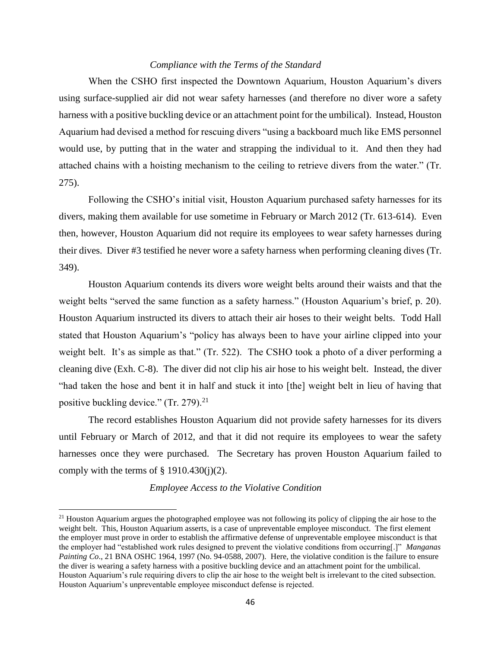### *Compliance with the Terms of the Standard*

When the CSHO first inspected the Downtown Aquarium, Houston Aquarium's divers using surface-supplied air did not wear safety harnesses (and therefore no diver wore a safety harness with a positive buckling device or an attachment point for the umbilical). Instead, Houston Aquarium had devised a method for rescuing divers "using a backboard much like EMS personnel would use, by putting that in the water and strapping the individual to it. And then they had attached chains with a hoisting mechanism to the ceiling to retrieve divers from the water." (Tr. 275).

Following the CSHO's initial visit, Houston Aquarium purchased safety harnesses for its divers, making them available for use sometime in February or March 2012 (Tr. 613-614). Even then, however, Houston Aquarium did not require its employees to wear safety harnesses during their dives. Diver #3 testified he never wore a safety harness when performing cleaning dives (Tr. 349).

Houston Aquarium contends its divers wore weight belts around their waists and that the weight belts "served the same function as a safety harness." (Houston Aquarium's brief, p. 20). Houston Aquarium instructed its divers to attach their air hoses to their weight belts. Todd Hall stated that Houston Aquarium's "policy has always been to have your airline clipped into your weight belt. It's as simple as that." (Tr. 522). The CSHO took a photo of a diver performing a cleaning dive (Exh. C-8). The diver did not clip his air hose to his weight belt. Instead, the diver "had taken the hose and bent it in half and stuck it into [the] weight belt in lieu of having that positive buckling device."  $(Tr. 279)^{21}$ 

The record establishes Houston Aquarium did not provide safety harnesses for its divers until February or March of 2012, and that it did not require its employees to wear the safety harnesses once they were purchased. The Secretary has proven Houston Aquarium failed to comply with the terms of  $\S$  1910.430(j)(2).

#### *Employee Access to the Violative Condition*

 $\overline{a}$ 

<sup>&</sup>lt;sup>21</sup> Houston Aquarium argues the photographed employee was not following its policy of clipping the air hose to the weight belt. This, Houston Aquarium asserts, is a case of unpreventable employee misconduct. The first element the employer must prove in order to establish the affirmative defense of unpreventable employee misconduct is that the employer had "established work rules designed to prevent the violative conditions from occurring[.]" *Manganas Painting Co*., 21 BNA OSHC 1964, 1997 (No. 94-0588, 2007). Here, the violative condition is the failure to ensure the diver is wearing a safety harness with a positive buckling device and an attachment point for the umbilical. Houston Aquarium's rule requiring divers to clip the air hose to the weight belt is irrelevant to the cited subsection. Houston Aquarium's unpreventable employee misconduct defense is rejected.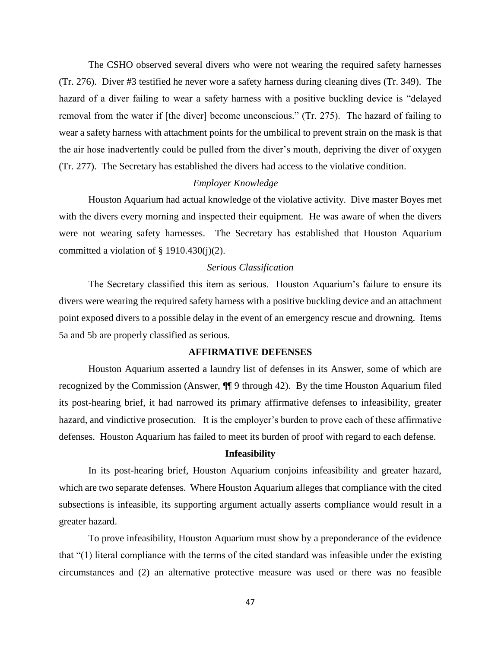The CSHO observed several divers who were not wearing the required safety harnesses (Tr. 276). Diver #3 testified he never wore a safety harness during cleaning dives (Tr. 349). The hazard of a diver failing to wear a safety harness with a positive buckling device is "delayed removal from the water if [the diver] become unconscious." (Tr. 275). The hazard of failing to wear a safety harness with attachment points for the umbilical to prevent strain on the mask is that the air hose inadvertently could be pulled from the diver's mouth, depriving the diver of oxygen (Tr. 277). The Secretary has established the divers had access to the violative condition.

#### *Employer Knowledge*

Houston Aquarium had actual knowledge of the violative activity. Dive master Boyes met with the divers every morning and inspected their equipment. He was aware of when the divers were not wearing safety harnesses. The Secretary has established that Houston Aquarium committed a violation of  $\S$  1910.430(j)(2).

## *Serious Classification*

The Secretary classified this item as serious. Houston Aquarium's failure to ensure its divers were wearing the required safety harness with a positive buckling device and an attachment point exposed divers to a possible delay in the event of an emergency rescue and drowning. Items 5a and 5b are properly classified as serious.

# **AFFIRMATIVE DEFENSES**

Houston Aquarium asserted a laundry list of defenses in its Answer, some of which are recognized by the Commission (Answer, ¶¶ 9 through 42). By the time Houston Aquarium filed its post-hearing brief, it had narrowed its primary affirmative defenses to infeasibility, greater hazard, and vindictive prosecution. It is the employer's burden to prove each of these affirmative defenses. Houston Aquarium has failed to meet its burden of proof with regard to each defense.

#### **Infeasibility**

In its post-hearing brief, Houston Aquarium conjoins infeasibility and greater hazard, which are two separate defenses. Where Houston Aquarium alleges that compliance with the cited subsections is infeasible, its supporting argument actually asserts compliance would result in a greater hazard.

To prove infeasibility, Houston Aquarium must show by a preponderance of the evidence that "(1) literal compliance with the terms of the cited standard was infeasible under the existing circumstances and (2) an alternative protective measure was used or there was no feasible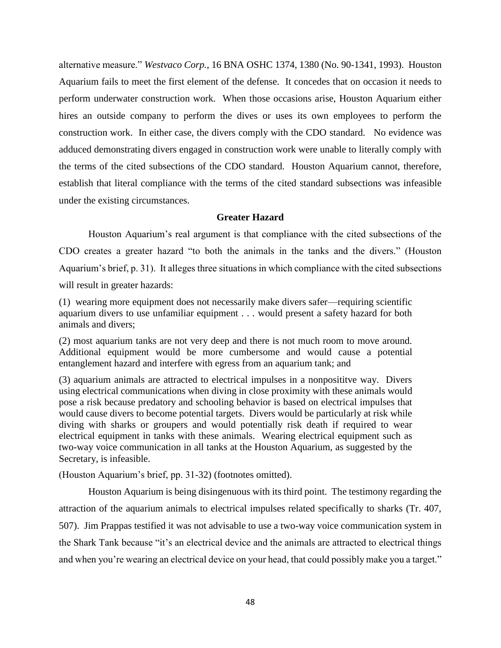alternative measure." *Westvaco Corp.*, 16 BNA OSHC 1374, 1380 (No. 90-1341, 1993). Houston Aquarium fails to meet the first element of the defense. It concedes that on occasion it needs to perform underwater construction work. When those occasions arise, Houston Aquarium either hires an outside company to perform the dives or uses its own employees to perform the construction work. In either case, the divers comply with the CDO standard. No evidence was adduced demonstrating divers engaged in construction work were unable to literally comply with the terms of the cited subsections of the CDO standard. Houston Aquarium cannot, therefore, establish that literal compliance with the terms of the cited standard subsections was infeasible under the existing circumstances.

# **Greater Hazard**

Houston Aquarium's real argument is that compliance with the cited subsections of the CDO creates a greater hazard "to both the animals in the tanks and the divers." (Houston Aquarium's brief, p. 31). It alleges three situations in which compliance with the cited subsections will result in greater hazards:

(1) wearing more equipment does not necessarily make divers safer—requiring scientific aquarium divers to use unfamiliar equipment . . . would present a safety hazard for both animals and divers;

(2) most aquarium tanks are not very deep and there is not much room to move around. Additional equipment would be more cumbersome and would cause a potential entanglement hazard and interfere with egress from an aquarium tank; and

(3) aquarium animals are attracted to electrical impulses in a nonposititve way. Divers using electrical communications when diving in close proximity with these animals would pose a risk because predatory and schooling behavior is based on electrical impulses that would cause divers to become potential targets. Divers would be particularly at risk while diving with sharks or groupers and would potentially risk death if required to wear electrical equipment in tanks with these animals. Wearing electrical equipment such as two-way voice communication in all tanks at the Houston Aquarium, as suggested by the Secretary, is infeasible.

(Houston Aquarium's brief, pp. 31-32) (footnotes omitted).

Houston Aquarium is being disingenuous with its third point. The testimony regarding the attraction of the aquarium animals to electrical impulses related specifically to sharks (Tr. 407, 507). Jim Prappas testified it was not advisable to use a two-way voice communication system in the Shark Tank because "it's an electrical device and the animals are attracted to electrical things and when you're wearing an electrical device on your head, that could possibly make you a target."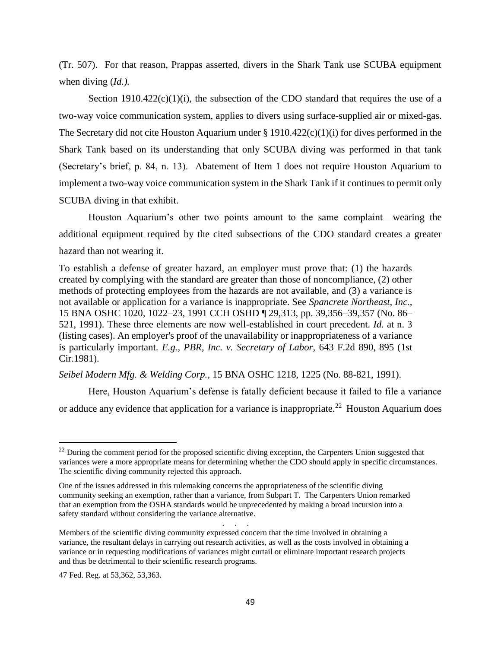(Tr. 507). For that reason, Prappas asserted, divers in the Shark Tank use SCUBA equipment when diving (*Id.).*

Section 1910.422 $(c)(1)(i)$ , the subsection of the CDO standard that requires the use of a two-way voice communication system, applies to divers using surface-supplied air or mixed-gas. The Secretary did not cite Houston Aquarium under § 1910.422(c)(1)(i) for dives performed in the Shark Tank based on its understanding that only SCUBA diving was performed in that tank (Secretary's brief, p. 84, n. 13). Abatement of Item 1 does not require Houston Aquarium to implement a two-way voice communication system in the Shark Tank if it continues to permit only SCUBA diving in that exhibit.

Houston Aquarium's other two points amount to the same complaint—wearing the additional equipment required by the cited subsections of the CDO standard creates a greater hazard than not wearing it.

To establish a defense of greater hazard, an employer must prove that: (1) the hazards created by complying with the standard are greater than those of noncompliance, (2) other methods of protecting employees from the hazards are not available, and (3) a variance is not available or application for a variance is inappropriate. See *Spancrete Northeast, Inc.,* 15 BNA OSHC 1020, 1022–23, 1991 CCH OSHD ¶ 29,313, pp. 39,356–39,357 (No. 86– 521, 1991). These three elements are now well-established in court precedent. *Id.* at n. 3 (listing cases). An employer's proof of the unavailability or inappropriateness of a variance is particularly important. *E.g., PBR, Inc. v. Secretary of Labor,* 643 F.2d 890, 895 (1st Cir.1981).

*Seibel Modern Mfg. & Welding Corp.*, 15 BNA OSHC 1218, 1225 (No. 88-821, 1991).

Here, Houston Aquarium's defense is fatally deficient because it failed to file a variance or adduce any evidence that application for a variance is inappropriate.<sup>22</sup> Houston Aquarium does

. . . . .

l

<sup>&</sup>lt;sup>22</sup> During the comment period for the proposed scientific diving exception, the Carpenters Union suggested that variances were a more appropriate means for determining whether the CDO should apply in specific circumstances. The scientific diving community rejected this approach.

One of the issues addressed in this rulemaking concerns the appropriateness of the scientific diving community seeking an exemption, rather than a variance, from Subpart T. The Carpenters Union remarked that an exemption from the OSHA standards would be unprecedented by making a broad incursion into a safety standard without considering the variance alternative.

Members of the scientific diving community expressed concern that the time involved in obtaining a variance, the resultant delays in carrying out research activities, as well as the costs involved in obtaining a variance or in requesting modifications of variances might curtail or eliminate important research projects and thus be detrimental to their scientific research programs.

<sup>47</sup> Fed. Reg. at 53,362, 53,363.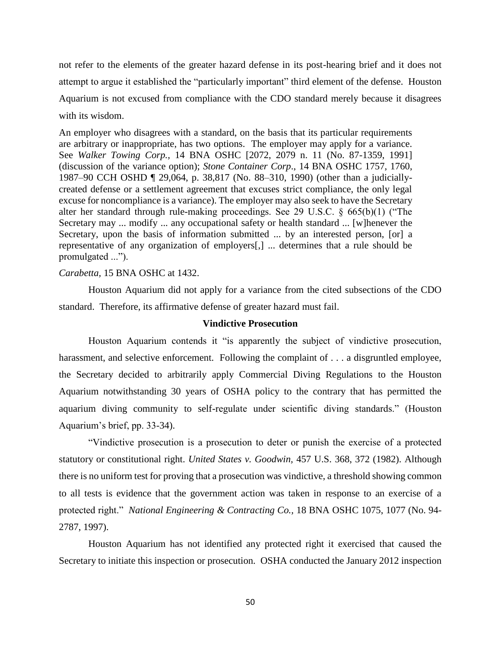not refer to the elements of the greater hazard defense in its post-hearing brief and it does not attempt to argue it established the "particularly important" third element of the defense. Houston Aquarium is not excused from compliance with the CDO standard merely because it disagrees with its wisdom.

An employer who disagrees with a standard, on the basis that its particular requirements are arbitrary or inappropriate, has two options. The employer may apply for a variance. See *Walker Towing Corp.,* 14 BNA OSHC [2072, 2079 n. 11 (No. 87-1359, 1991] (discussion of the variance option); *Stone Container Corp*., 14 BNA OSHC 1757, 1760, 1987–90 CCH OSHD ¶ 29,064, p. 38,817 (No. 88–310, 1990) (other than a judiciallycreated defense or a settlement agreement that excuses strict compliance, the only legal excuse for noncompliance is a variance). The employer may also seek to have the Secretary alter her standard through rule-making proceedings. See 29 U.S.C. § 665(b)(1) ("The Secretary may ... modify ... any occupational safety or health standard ... [w]henever the Secretary, upon the basis of information submitted ... by an interested person, [or] a representative of any organization of employers[,] ... determines that a rule should be promulgated ...").

#### *Carabetta,* 15 BNA OSHC at 1432.

Houston Aquarium did not apply for a variance from the cited subsections of the CDO standard. Therefore, its affirmative defense of greater hazard must fail.

#### **Vindictive Prosecution**

Houston Aquarium contends it "is apparently the subject of vindictive prosecution, harassment, and selective enforcement. Following the complaint of . . . a disgruntled employee, the Secretary decided to arbitrarily apply Commercial Diving Regulations to the Houston Aquarium notwithstanding 30 years of OSHA policy to the contrary that has permitted the aquarium diving community to self-regulate under scientific diving standards." (Houston Aquarium's brief, pp. 33-34).

"Vindictive prosecution is a prosecution to deter or punish the exercise of a protected statutory or constitutional right. *United States v. Goodwin,* 457 U.S. 368, 372 (1982). Although there is no uniform test for proving that a prosecution was vindictive, a threshold showing common to all tests is evidence that the government action was taken in response to an exercise of a protected right." *National Engineering & Contracting Co.,* 18 BNA OSHC 1075, 1077 (No. 94- 2787, 1997).

Houston Aquarium has not identified any protected right it exercised that caused the Secretary to initiate this inspection or prosecution. OSHA conducted the January 2012 inspection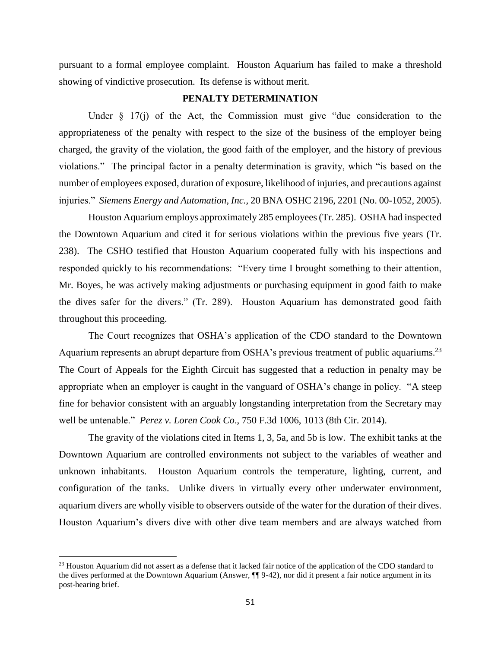pursuant to a formal employee complaint. Houston Aquarium has failed to make a threshold showing of vindictive prosecution. Its defense is without merit.

## **PENALTY DETERMINATION**

Under  $\S$  17(j) of the Act, the Commission must give "due consideration to the appropriateness of the penalty with respect to the size of the business of the employer being charged, the gravity of the violation, the good faith of the employer, and the history of previous violations." The principal factor in a penalty determination is gravity, which "is based on the number of employees exposed, duration of exposure, likelihood of injuries, and precautions against injuries." *Siemens Energy and Automation, Inc.,* 20 BNA OSHC 2196, 2201 (No. 00-1052, 2005).

Houston Aquarium employs approximately 285 employees (Tr. 285). OSHA had inspected the Downtown Aquarium and cited it for serious violations within the previous five years (Tr. 238). The CSHO testified that Houston Aquarium cooperated fully with his inspections and responded quickly to his recommendations: "Every time I brought something to their attention, Mr. Boyes, he was actively making adjustments or purchasing equipment in good faith to make the dives safer for the divers." (Tr. 289). Houston Aquarium has demonstrated good faith throughout this proceeding.

The Court recognizes that OSHA's application of the CDO standard to the Downtown Aquarium represents an abrupt departure from OSHA's previous treatment of public aquariums.<sup>23</sup> The Court of Appeals for the Eighth Circuit has suggested that a reduction in penalty may be appropriate when an employer is caught in the vanguard of OSHA's change in policy. "A steep fine for behavior consistent with an arguably longstanding interpretation from the Secretary may well be untenable." *Perez v. Loren Cook Co*., 750 F.3d 1006, 1013 (8th Cir. 2014).

The gravity of the violations cited in Items 1, 3, 5a, and 5b is low. The exhibit tanks at the Downtown Aquarium are controlled environments not subject to the variables of weather and unknown inhabitants. Houston Aquarium controls the temperature, lighting, current, and configuration of the tanks. Unlike divers in virtually every other underwater environment, aquarium divers are wholly visible to observers outside of the water for the duration of their dives. Houston Aquarium's divers dive with other dive team members and are always watched from

 $\overline{\phantom{a}}$ 

<sup>&</sup>lt;sup>23</sup> Houston Aquarium did not assert as a defense that it lacked fair notice of the application of the CDO standard to the dives performed at the Downtown Aquarium (Answer, ¶¶ 9-42), nor did it present a fair notice argument in its post-hearing brief.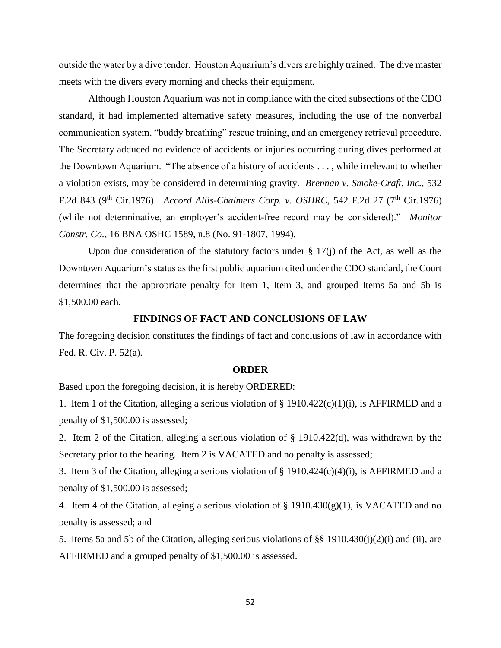outside the water by a dive tender. Houston Aquarium's divers are highly trained. The dive master meets with the divers every morning and checks their equipment.

Although Houston Aquarium was not in compliance with the cited subsections of the CDO standard, it had implemented alternative safety measures, including the use of the nonverbal communication system, "buddy breathing" rescue training, and an emergency retrieval procedure. The Secretary adduced no evidence of accidents or injuries occurring during dives performed at the Downtown Aquarium. "The absence of a history of accidents . . . , while irrelevant to whether a violation exists, may be considered in determining gravity. *Brennan v. Smoke-Craft, Inc.,* 532 F.2d 843 (9<sup>th</sup> Cir.1976). *Accord Allis-Chalmers Corp. v. OSHRC*, 542 F.2d 27 (7<sup>th</sup> Cir.1976) (while not determinative, an employer's accident-free record may be considered)." *Monitor Constr. Co.,* 16 BNA OSHC 1589, n.8 (No. 91-1807, 1994).

Upon due consideration of the statutory factors under  $\S 17(i)$  of the Act, as well as the Downtown Aquarium's status as the first public aquarium cited under the CDO standard, the Court determines that the appropriate penalty for Item 1, Item 3, and grouped Items 5a and 5b is \$1,500.00 each.

#### **FINDINGS OF FACT AND CONCLUSIONS OF LAW**

The foregoing decision constitutes the findings of fact and conclusions of law in accordance with Fed. R. Civ. P. 52(a).

#### **ORDER**

Based upon the foregoing decision, it is hereby ORDERED:

1. Item 1 of the Citation, alleging a serious violation of § 1910.422(c)(1)(i), is AFFIRMED and a penalty of \$1,500.00 is assessed;

2. Item 2 of the Citation, alleging a serious violation of § 1910.422(d), was withdrawn by the Secretary prior to the hearing. Item 2 is VACATED and no penalty is assessed;

3. Item 3 of the Citation, alleging a serious violation of § 1910.424(c)(4)(i), is AFFIRMED and a penalty of \$1,500.00 is assessed;

4. Item 4 of the Citation, alleging a serious violation of § 1910.430(g)(1), is VACATED and no penalty is assessed; and

5. Items 5a and 5b of the Citation, alleging serious violations of §§ 1910.430(j)(2)(i) and (ii), are AFFIRMED and a grouped penalty of \$1,500.00 is assessed.